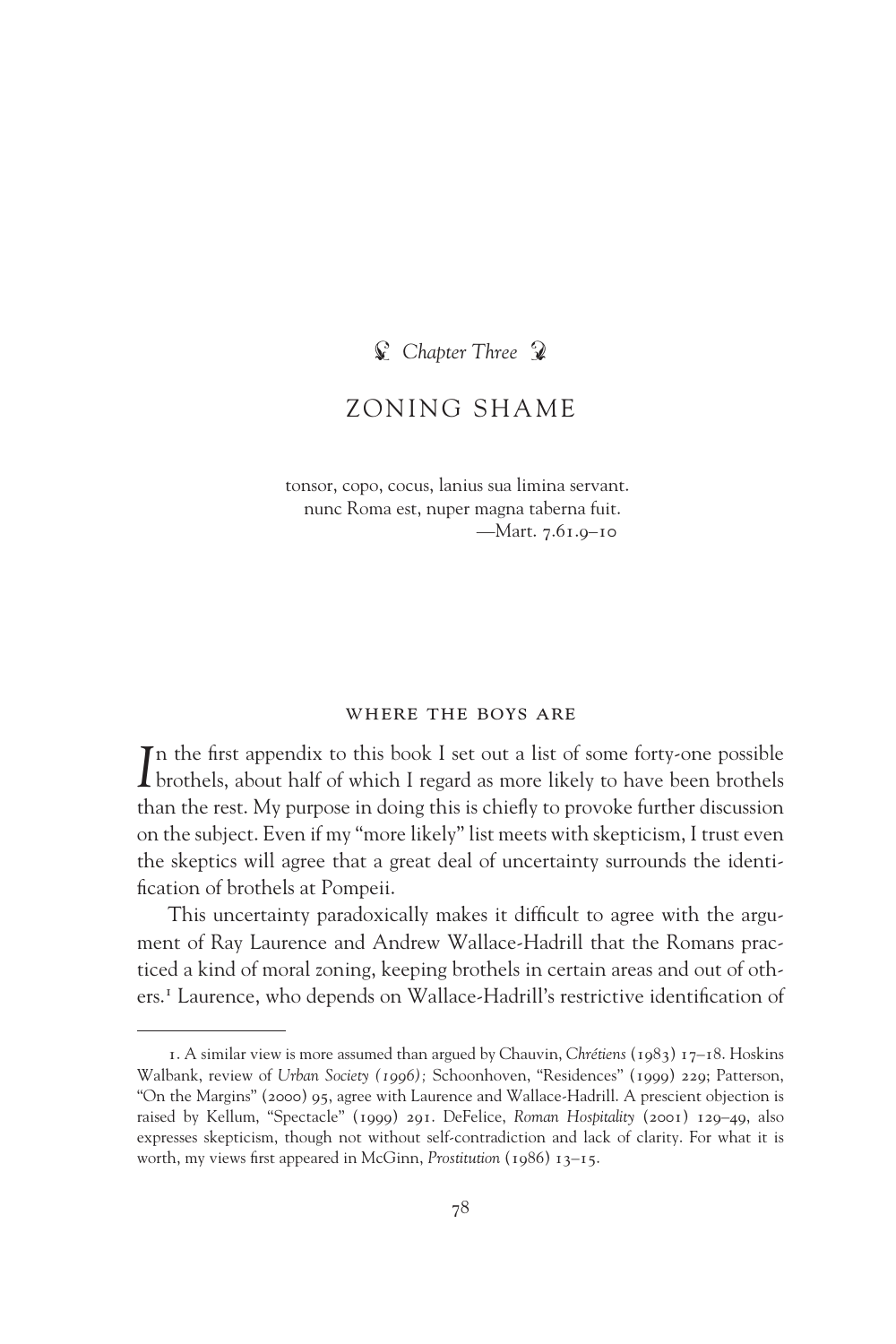# $\mathcal{C}$  Chapter Three  $\mathcal{D}$

## ZONING SHAME

tonsor, copo, cocus, lanius sua limina servant. nunc Roma est, nuper magna taberna fuit. —Mart. 7.61.9–10

#### where the boys are

In the first appendix to this book I set out a list of some forty-one possible brothels, about half of which I regard as more likely to have been brothels In the first appendix to this book I set out a list of some forty-one possible than the rest. My purpose in doing this is chiefly to provoke further discussion on the subject. Even if my "more likely" list meets with skepticism, I trust even the skeptics will agree that a great deal of uncertainty surrounds the identi fication of brothels at Pompeii.

This uncertainty paradoxically makes it difficult to agree with the argument of Ray Laurence and Andrew Wallace-Hadrill that the Romans practiced a kind of moral zoning, keeping brothels in certain areas and out of others.<sup>1</sup> Laurence, who depends on Wallace-Hadrill's restrictive identification of

<sup>1.</sup> A similar view is more assumed than argued by Chauvin, *Chrétiens* (1983) 17–18. Hoskins Walbank, review of *Urban Society (1996);* Schoonhoven, "Residences" (1999) 229; Patterson, "On the Margins" (2000) 95, agree with Laurence and Wallace-Hadrill. A prescient objection is raised by Kellum, "Spectacle" (1999) 291. DeFelice, *Roman Hospitality* (2001) 129–49, also expresses skepticism, though not without self-contradiction and lack of clarity. For what it is worth, my views first appeared in McGinn, *Prostitution* (1986) 13–15.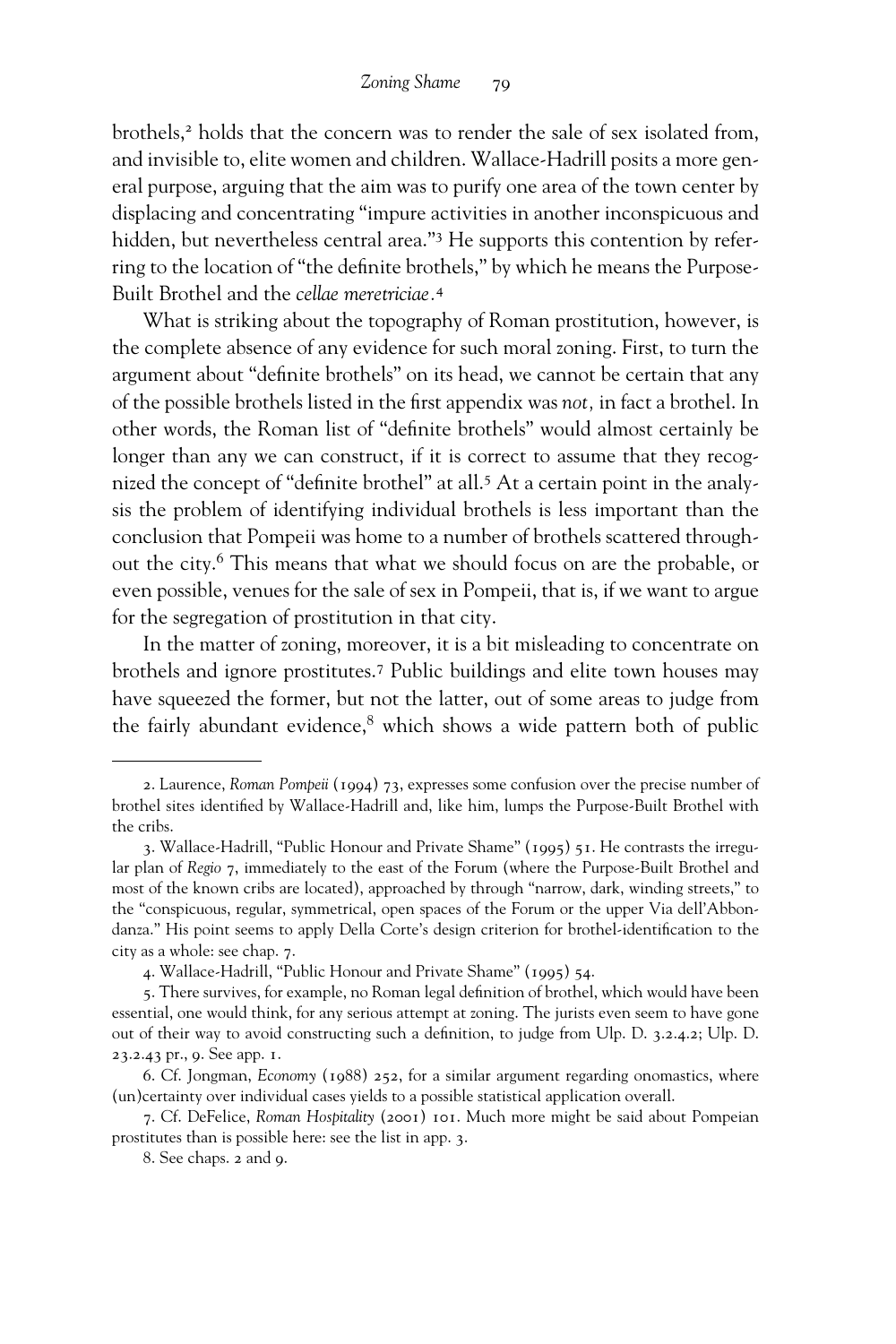brothels,<sup>2</sup> holds that the concern was to render the sale of sex isolated from, and invisible to, elite women and children. Wallace-Hadrill posits a more general purpose, arguing that the aim was to purify one area of the town center by displacing and concentrating "impure activities in another inconspicuous and hidden, but nevertheless central area."<sup>3</sup> He supports this contention by referring to the location of "the definite brothels," by which he means the Purpose-Built Brothel and the *cellae meretriciae.*<sup>4</sup>

What is striking about the topography of Roman prostitution, however, is the complete absence of any evidence for such moral zoning. First, to turn the argument about "definite brothels" on its head, we cannot be certain that any of the possible brothels listed in the first appendix was *not*, in fact a brothel. In other words, the Roman list of "definite brothels" would almost certainly be longer than any we can construct, if it is correct to assume that they recognized the concept of "definite brothel" at all.<sup>5</sup> At a certain point in the analysis the problem of identifying individual brothels is less important than the conclusion that Pompeii was home to a number of brothels scattered throughout the city.6 This means that what we should focus on are the probable, or even possible, venues for the sale of sex in Pompeii, that is, if we want to argue for the segregation of prostitution in that city.

In the matter of zoning, moreover, it is a bit misleading to concentrate on brothels and ignore prostitutes.7 Public buildings and elite town houses may have squeezed the former, but not the latter, out of some areas to judge from the fairly abundant evidence,<sup>8</sup> which shows a wide pattern both of public

<sup>2.</sup> Laurence, *Roman Pompeii* (1994) 73, expresses some confusion over the precise number of brothel sites identified by Wallace-Hadrill and, like him, lumps the Purpose-Built Brothel with the cribs.

<sup>3.</sup> Wallace-Hadrill, "Public Honour and Private Shame" (1995) 51. He contrasts the irregular plan of *Regio* 7, immediately to the east of the Forum (where the Purpose-Built Brothel and most of the known cribs are located), approached by through "narrow, dark, winding streets," to the "conspicuous, regular, symmetrical, open spaces of the Forum or the upper Via dell'Abbondanza." His point seems to apply Della Corte's design criterion for brothel-identification to the city as a whole: see chap. 7.

<sup>4.</sup> Wallace-Hadrill, "Public Honour and Private Shame" (1995) 54.

<sup>5.</sup> There survives, for example, no Roman legal definition of brothel, which would have been essential, one would think, for any serious attempt at zoning. The jurists even seem to have gone out of their way to avoid constructing such a definition, to judge from Ulp. D. 3.2.4.2; Ulp. D. 23.2.43 pr., 9. See app. 1.

<sup>6.</sup> Cf. Jongman, *Economy* (1988) 252, for a similar argument regarding onomastics, where (un)certainty over individual cases yields to a possible statistical application overall.

<sup>7.</sup> Cf. DeFelice, *Roman Hospitality* (2001) 101. Much more might be said about Pompeian prostitutes than is possible here: see the list in app. 3.

<sup>8.</sup> See chaps. 2 and 9.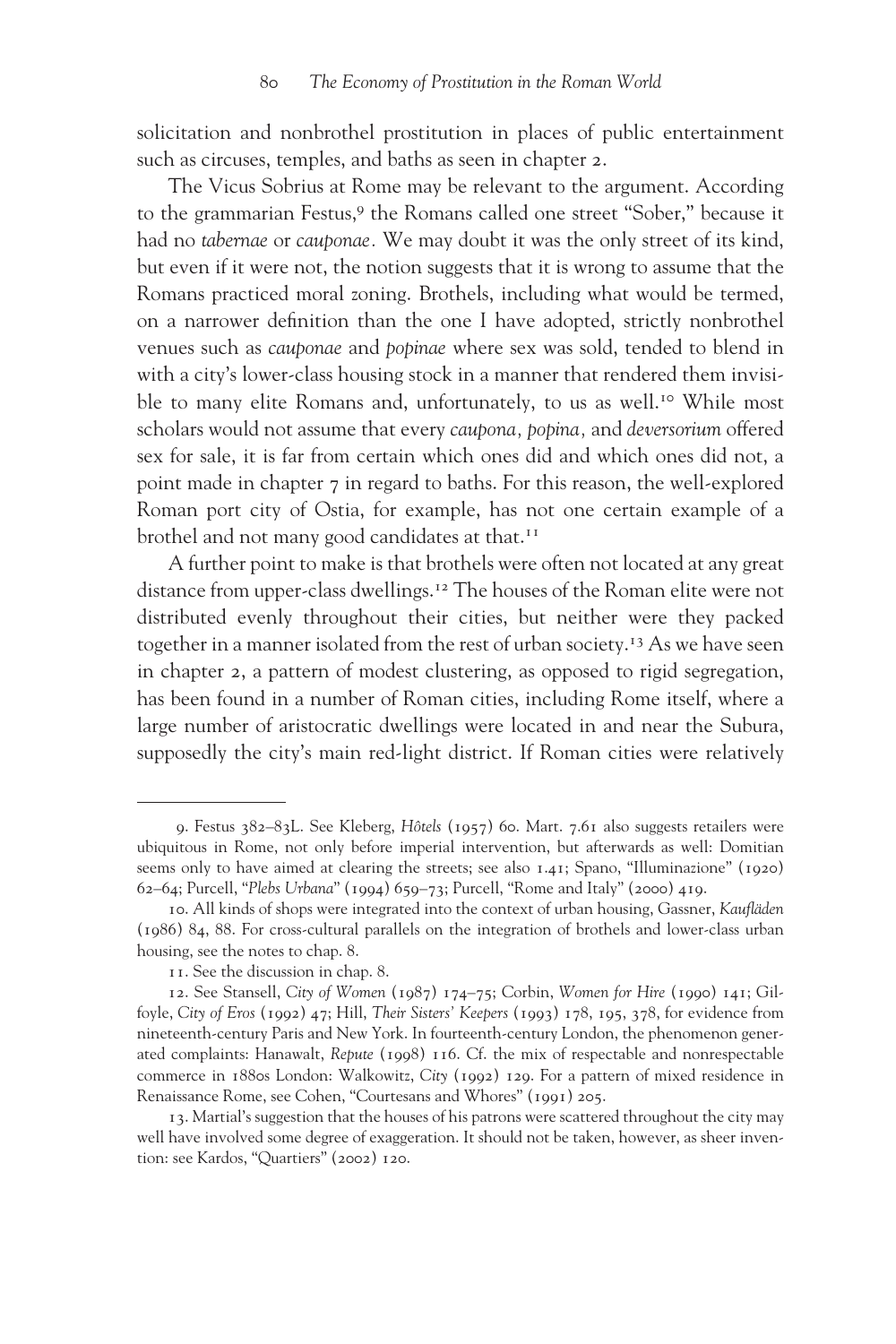solicitation and nonbrothel prostitution in places of public entertainment such as circuses, temples, and baths as seen in chapter 2.

The Vicus Sobrius at Rome may be relevant to the argument. According to the grammarian Festus,<sup>9</sup> the Romans called one street "Sober," because it had no *tabernae* or *cauponae.* We may doubt it was the only street of its kind, but even if it were not, the notion suggests that it is wrong to assume that the Romans practiced moral zoning. Brothels, including what would be termed, on a narrower definition than the one I have adopted, strictly nonbrothel venues such as *cauponae* and *popinae* where sex was sold, tended to blend in with a city's lower-class housing stock in a manner that rendered them invisible to many elite Romans and, unfortunately, to us as well.<sup>10</sup> While most scholars would not assume that every *caupona, popina,* and *deversorium* offered sex for sale, it is far from certain which ones did and which ones did not, a point made in chapter 7 in regard to baths. For this reason, the well-explored Roman port city of Ostia, for example, has not one certain example of a brothel and not many good candidates at that.<sup>11</sup>

A further point to make is that brothels were often not located at any great distance from upper-class dwellings.12 The houses of the Roman elite were not distributed evenly throughout their cities, but neither were they packed together in a manner isolated from the rest of urban society.<sup>13</sup> As we have seen in chapter 2, a pattern of modest clustering, as opposed to rigid segregation, has been found in a number of Roman cities, including Rome itself, where a large number of aristocratic dwellings were located in and near the Subura, supposedly the city's main red-light district. If Roman cities were relatively

<sup>9.</sup> Festus 382–83L. See Kleberg, *Hôtels* (1957) 60. Mart. 7.61 also suggests retailers were ubiquitous in Rome, not only before imperial intervention, but afterwards as well: Domitian seems only to have aimed at clearing the streets; see also 1.41; Spano, "Illuminazione" (1920) 62–64; Purcell, "*Plebs Urbana*" (1994) 659–73; Purcell, "Rome and Italy" (2000) 419.

<sup>10.</sup> All kinds of shops were integrated into the context of urban housing, Gassner, *Kau݊den* (1986) 84, 88. For cross-cultural parallels on the integration of brothels and lower-class urban housing, see the notes to chap. 8.

<sup>11.</sup> See the discussion in chap. 8.

<sup>12.</sup> See Stansell, *City of Women* (1987) 174–75; Corbin, *Women for Hire* (1990) 141; Gilfoyle, *City of Eros* (1992) 47; Hill, *Their Sisters' Keepers* (1993) 178, 195, 378, for evidence from nineteenth-century Paris and New York. In fourteenth-century London, the phenomenon generated complaints: Hanawalt, *Repute* (1998) 116. Cf. the mix of respectable and nonrespectable commerce in 1880s London: Walkowitz, *City* (1992) 129. For a pattern of mixed residence in Renaissance Rome, see Cohen, "Courtesans and Whores" (1991) 205.

<sup>13.</sup> Martial's suggestion that the houses of his patrons were scattered throughout the city may well have involved some degree of exaggeration. It should not be taken, however, as sheer invention: see Kardos, "Quartiers" (2002) 120.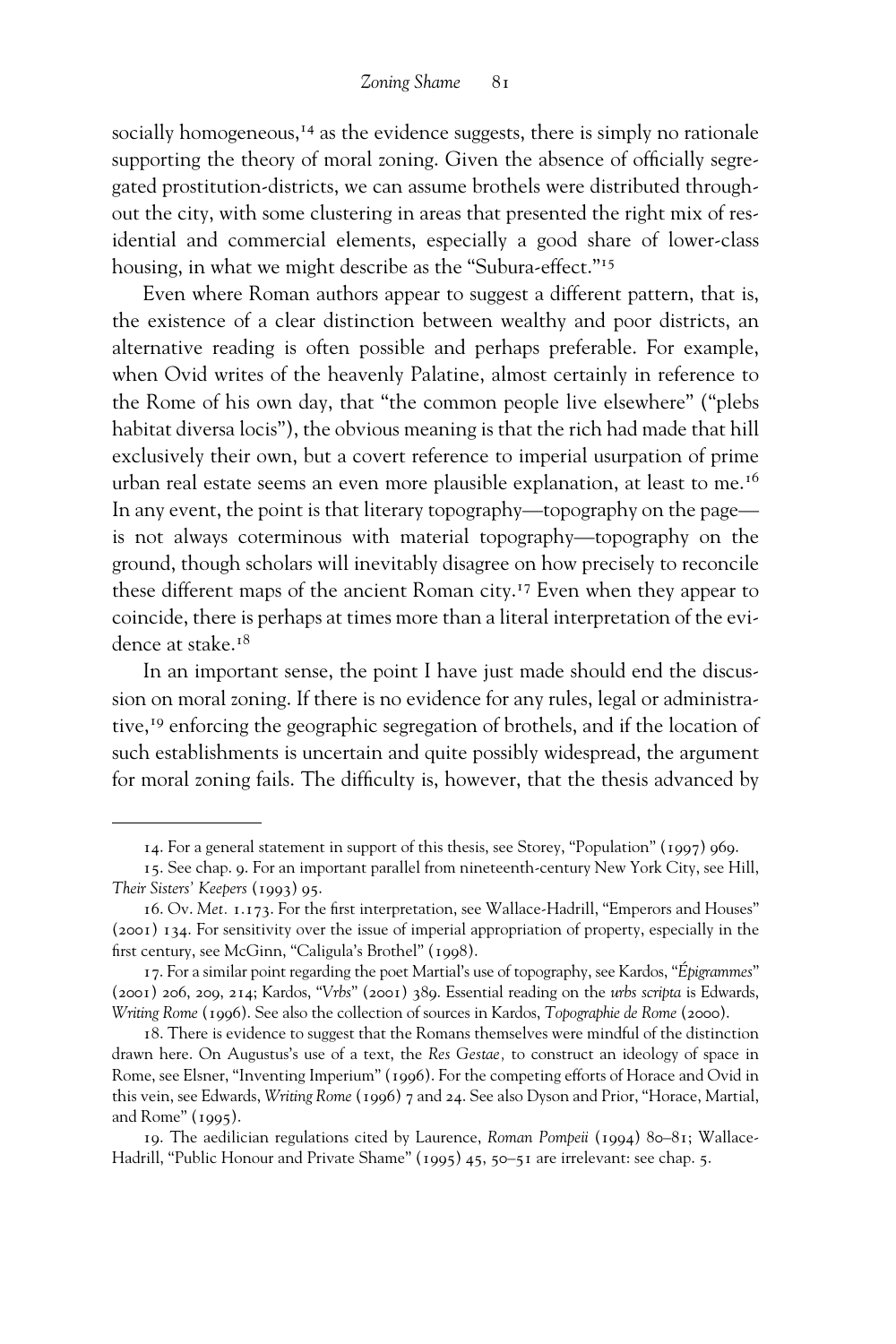socially homogeneous,<sup>14</sup> as the evidence suggests, there is simply no rationale supporting the theory of moral zoning. Given the absence of officially segregated prostitution-districts, we can assume brothels were distributed throughout the city, with some clustering in areas that presented the right mix of residential and commercial elements, especially a good share of lower-class housing, in what we might describe as the "Subura-effect."15

Even where Roman authors appear to suggest a different pattern, that is, the existence of a clear distinction between wealthy and poor districts, an alternative reading is often possible and perhaps preferable. For example, when Ovid writes of the heavenly Palatine, almost certainly in reference to the Rome of his own day, that "the common people live elsewhere" ("plebs habitat diversa locis"), the obvious meaning is that the rich had made that hill exclusively their own, but a covert reference to imperial usurpation of prime urban real estate seems an even more plausible explanation, at least to me.<sup>16</sup> In any event, the point is that literary topography—topography on the page is not always coterminous with material topography—topography on the ground, though scholars will inevitably disagree on how precisely to reconcile these different maps of the ancient Roman city.17 Even when they appear to coincide, there is perhaps at times more than a literal interpretation of the evidence at stake.<sup>18</sup>

In an important sense, the point I have just made should end the discussion on moral zoning. If there is no evidence for any rules, legal or administrative,<sup>19</sup> enforcing the geographic segregation of brothels, and if the location of such establishments is uncertain and quite possibly widespread, the argument for moral zoning fails. The difficulty is, however, that the thesis advanced by

<sup>14.</sup> For a general statement in support of this thesis, see Storey, "Population" (1997) 969.

<sup>15.</sup> See chap. 9. For an important parallel from nineteenth-century New York City, see Hill, *Their Sisters' Keepers* (1993) 95.

<sup>16.</sup> Ov. *Met.* 1.173. For the first interpretation, see Wallace-Hadrill, "Emperors and Houses" (2001) 134. For sensitivity over the issue of imperial appropriation of property, especially in the first century, see McGinn, "Caligula's Brothel" (1998).

<sup>17.</sup> For a similar point regarding the poet Martial's use of topography, see Kardos, "*Épigrammes*" (2001) 206, 209, 214; Kardos, "*Vrbs*" (2001) 389. Essential reading on the *urbs scripta* is Edwards, *Writing Rome* (1996). See also the collection of sources in Kardos, *Topographie de Rome* (2000).

<sup>18.</sup> There is evidence to suggest that the Romans themselves were mindful of the distinction drawn here. On Augustus's use of a text, the *Res Gestae,* to construct an ideology of space in Rome, see Elsner, "Inventing Imperium" (1996). For the competing efforts of Horace and Ovid in this vein, see Edwards, *Writing Rome* (1996) 7 and 24. See also Dyson and Prior, "Horace, Martial, and Rome" (1995).

<sup>19.</sup> The aedilician regulations cited by Laurence, *Roman Pompeii* (1994) 80–81; Wallace-Hadrill, "Public Honour and Private Shame" (1995) 45, 50–51 are irrelevant: see chap. 5.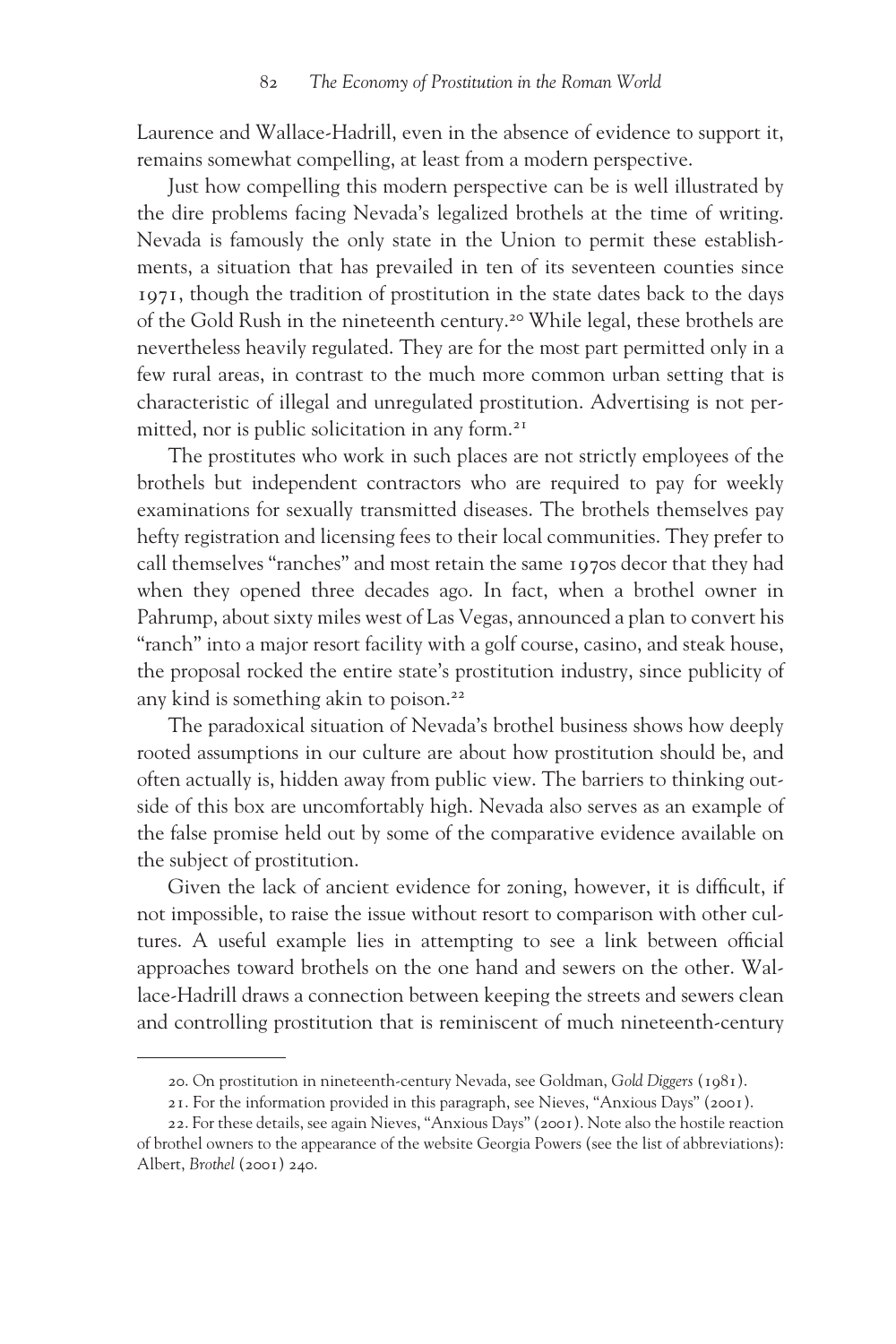Laurence and Wallace-Hadrill, even in the absence of evidence to support it, remains somewhat compelling, at least from a modern perspective.

Just how compelling this modern perspective can be is well illustrated by the dire problems facing Nevada's legalized brothels at the time of writing. Nevada is famously the only state in the Union to permit these establishments, a situation that has prevailed in ten of its seventeen counties since 1971, though the tradition of prostitution in the state dates back to the days of the Gold Rush in the nineteenth century.20 While legal, these brothels are nevertheless heavily regulated. They are for the most part permitted only in a few rural areas, in contrast to the much more common urban setting that is characteristic of illegal and unregulated prostitution. Advertising is not permitted, nor is public solicitation in any form.<sup>21</sup>

The prostitutes who work in such places are not strictly employees of the brothels but independent contractors who are required to pay for weekly examinations for sexually transmitted diseases. The brothels themselves pay hefty registration and licensing fees to their local communities. They prefer to call themselves "ranches" and most retain the same 1970s decor that they had when they opened three decades ago. In fact, when a brothel owner in Pahrump, about sixty miles west of Las Vegas, announced a plan to convert his "ranch" into a major resort facility with a golf course, casino, and steak house, the proposal rocked the entire state's prostitution industry, since publicity of any kind is something akin to poison.22

The paradoxical situation of Nevada's brothel business shows how deeply rooted assumptions in our culture are about how prostitution should be, and often actually is, hidden away from public view. The barriers to thinking outside of this box are uncomfortably high. Nevada also serves as an example of the false promise held out by some of the comparative evidence available on the subject of prostitution.

Given the lack of ancient evidence for zoning, however, it is difficult, if not impossible, to raise the issue without resort to comparison with other cultures. A useful example lies in attempting to see a link between official approaches toward brothels on the one hand and sewers on the other. Wallace-Hadrill draws a connection between keeping the streets and sewers clean and controlling prostitution that is reminiscent of much nineteenth-century

<sup>20.</sup> On prostitution in nineteenth-century Nevada, see Goldman, *Gold Diggers* (1981).

<sup>21.</sup> For the information provided in this paragraph, see Nieves, "Anxious Days" (2001).

<sup>22.</sup> For these details, see again Nieves, "Anxious Days" (2001). Note also the hostile reaction of brothel owners to the appearance of the website Georgia Powers (see the list of abbreviations): Albert, *Brothel* (2001) 240.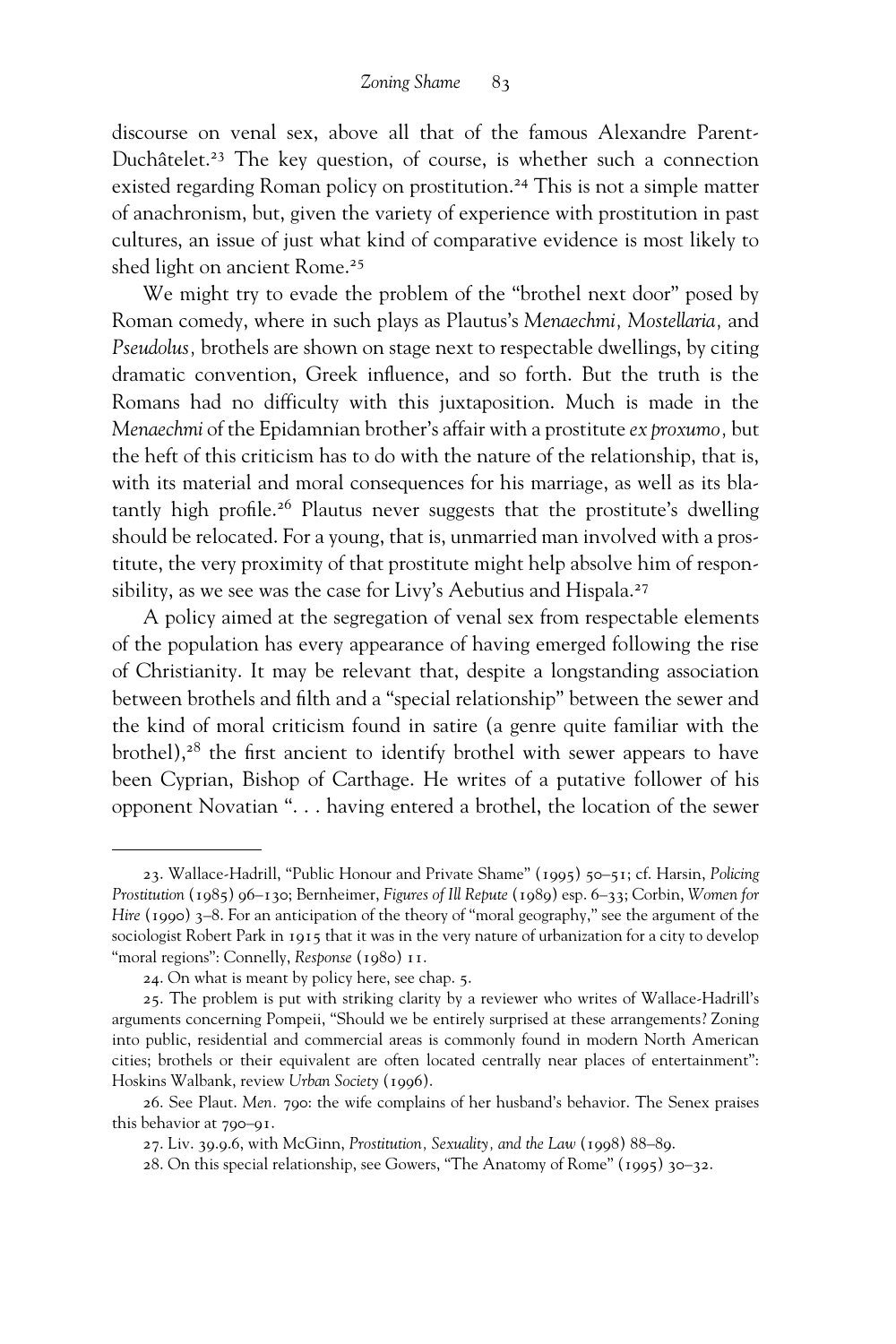discourse on venal sex, above all that of the famous Alexandre Parent-Duchâtelet.<sup>23</sup> The key question, of course, is whether such a connection existed regarding Roman policy on prostitution.<sup>24</sup> This is not a simple matter of anachronism, but, given the variety of experience with prostitution in past cultures, an issue of just what kind of comparative evidence is most likely to shed light on ancient Rome.<sup>25</sup>

We might try to evade the problem of the "brothel next door" posed by Roman comedy, where in such plays as Plautus's *Menaechmi, Mostellaria,* and *Pseudolus,* brothels are shown on stage next to respectable dwellings, by citing dramatic convention, Greek influence, and so forth. But the truth is the Romans had no difficulty with this juxtaposition. Much is made in the *Menaechmi* of the Epidamnian brother's affair with a prostitute *ex proxumo,* but the heft of this criticism has to do with the nature of the relationship, that is, with its material and moral consequences for his marriage, as well as its blatantly high profile.<sup>26</sup> Plautus never suggests that the prostitute's dwelling should be relocated. For a young, that is, unmarried man involved with a prostitute, the very proximity of that prostitute might help absolve him of responsibility, as we see was the case for Livy's Aebutius and Hispala.<sup>27</sup>

A policy aimed at the segregation of venal sex from respectable elements of the population has every appearance of having emerged following the rise of Christianity. It may be relevant that, despite a longstanding association between brothels and filth and a "special relationship" between the sewer and the kind of moral criticism found in satire (a genre quite familiar with the brothel), $2^8$  the first ancient to identify brothel with sewer appears to have been Cyprian, Bishop of Carthage. He writes of a putative follower of his opponent Novatian ". . . having entered a brothel, the location of the sewer

<sup>23.</sup> Wallace-Hadrill, "Public Honour and Private Shame" (1995) 50–51; cf. Harsin, *Policing Prostitution* (1985) 96–130; Bernheimer, *Figures of Ill Repute* (1989) esp. 6–33; Corbin, *Women for Hire* (1990) 3–8. For an anticipation of the theory of "moral geography," see the argument of the sociologist Robert Park in 1915 that it was in the very nature of urbanization for a city to develop "moral regions": Connelly, *Response* (1980) 11.

<sup>24.</sup> On what is meant by policy here, see chap. 5.

<sup>25.</sup> The problem is put with striking clarity by a reviewer who writes of Wallace-Hadrill's arguments concerning Pompeii, "Should we be entirely surprised at these arrangements? Zoning into public, residential and commercial areas is commonly found in modern North American cities; brothels or their equivalent are often located centrally near places of entertainment": Hoskins Walbank, review *Urban Society* (1996).

<sup>26.</sup> See Plaut. *Men.* 790: the wife complains of her husband's behavior. The Senex praises this behavior at 790–91.

<sup>27.</sup> Liv. 39.9.6, with McGinn, *Prostitution, Sexuality, and the Law* (1998) 88–89.

<sup>28.</sup> On this special relationship, see Gowers, "The Anatomy of Rome" (1995) 30–32.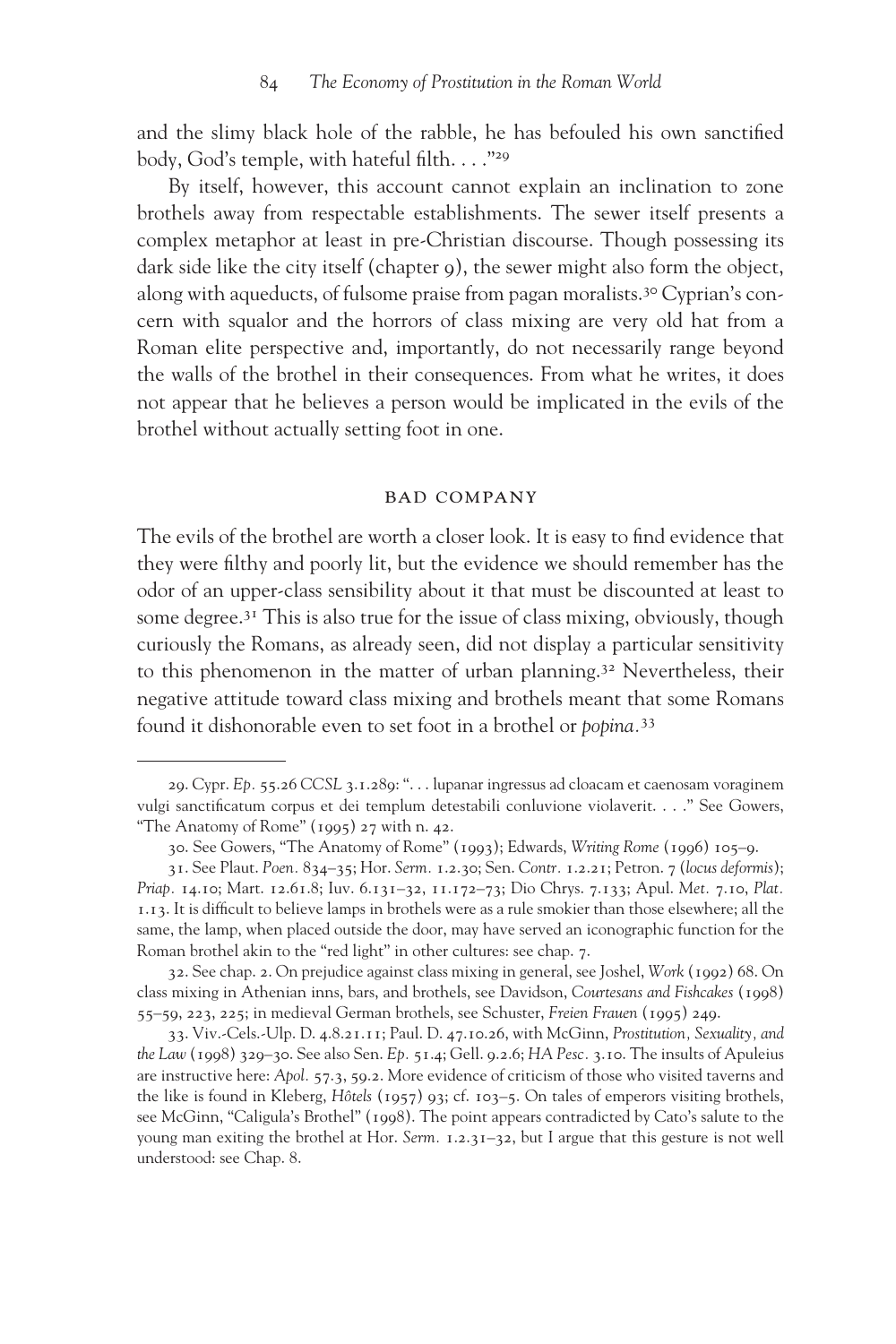and the slimy black hole of the rabble, he has befouled his own sanctified body, God's temple, with hateful filth.  $\ldots$ ."<sup>29</sup>

By itself, however, this account cannot explain an inclination to zone brothels away from respectable establishments. The sewer itself presents a complex metaphor at least in pre-Christian discourse. Though possessing its dark side like the city itself (chapter 9), the sewer might also form the object, along with aqueducts, of fulsome praise from pagan moralists.<sup>30</sup> Cyprian's concern with squalor and the horrors of class mixing are very old hat from a Roman elite perspective and, importantly, do not necessarily range beyond the walls of the brothel in their consequences. From what he writes, it does not appear that he believes a person would be implicated in the evils of the brothel without actually setting foot in one.

#### bad company

The evils of the brothel are worth a closer look. It is easy to find evidence that they were filthy and poorly lit, but the evidence we should remember has the odor of an upper-class sensibility about it that must be discounted at least to some degree.<sup>31</sup> This is also true for the issue of class mixing, obviously, though curiously the Romans, as already seen, did not display a particular sensitivity to this phenomenon in the matter of urban planning.32 Nevertheless, their negative attitude toward class mixing and brothels meant that some Romans found it dishonorable even to set foot in a brothel or *popina.*<sup>33</sup>

<sup>29.</sup> Cypr. *Ep.* 55.26 *CCSL* 3.1.289: ". . . lupanar ingressus ad cloacam et caenosam voraginem vulgi sanctificatum corpus et dei templum detestabili conluvione violaverit. . . ." See Gowers, "The Anatomy of Rome" (1995) 27 with n. 42.

<sup>30.</sup> See Gowers, "The Anatomy of Rome" (1993); Edwards, *Writing Rome* (1996) 105–9.

<sup>31.</sup> See Plaut. *Poen.* 834–35; Hor. *Serm.* 1.2.30; Sen. *Contr.* 1.2.21; Petron. 7 (*locus deformis*); *Priap.* 14.10; Mart. 12.61.8; Iuv. 6.131–32, 11.172–73; Dio Chrys. 7.133; Apul. *Met.* 7.10, *Plat.* 1.13. It is difficult to believe lamps in brothels were as a rule smokier than those elsewhere; all the same, the lamp, when placed outside the door, may have served an iconographic function for the Roman brothel akin to the "red light" in other cultures: see chap. 7.

<sup>32.</sup> See chap. 2. On prejudice against class mixing in general, see Joshel, *Work* (1992) 68. On class mixing in Athenian inns, bars, and brothels, see Davidson, *Courtesans and Fishcakes* (1998) 55–59, 223, 225; in medieval German brothels, see Schuster, *Freien Frauen* (1995) 249.

<sup>33.</sup> Viv.-Cels.-Ulp. D. 4.8.21.11; Paul. D. 47.10.26, with McGinn, *Prostitution, Sexuality, and the Law* (1998) 329–30. See also Sen. *Ep.* 51.4; Gell. 9.2.6; *HA Pesc.* 3.10. The insults of Apuleius are instructive here: *Apol.* 57.3, 59.2. More evidence of criticism of those who visited taverns and the like is found in Kleberg, *Hôtels* (1957) 93; cf. 103–5. On tales of emperors visiting brothels, see McGinn, "Caligula's Brothel" (1998). The point appears contradicted by Cato's salute to the young man exiting the brothel at Hor. *Serm.* 1.2.31–32, but I argue that this gesture is not well understood: see Chap. 8.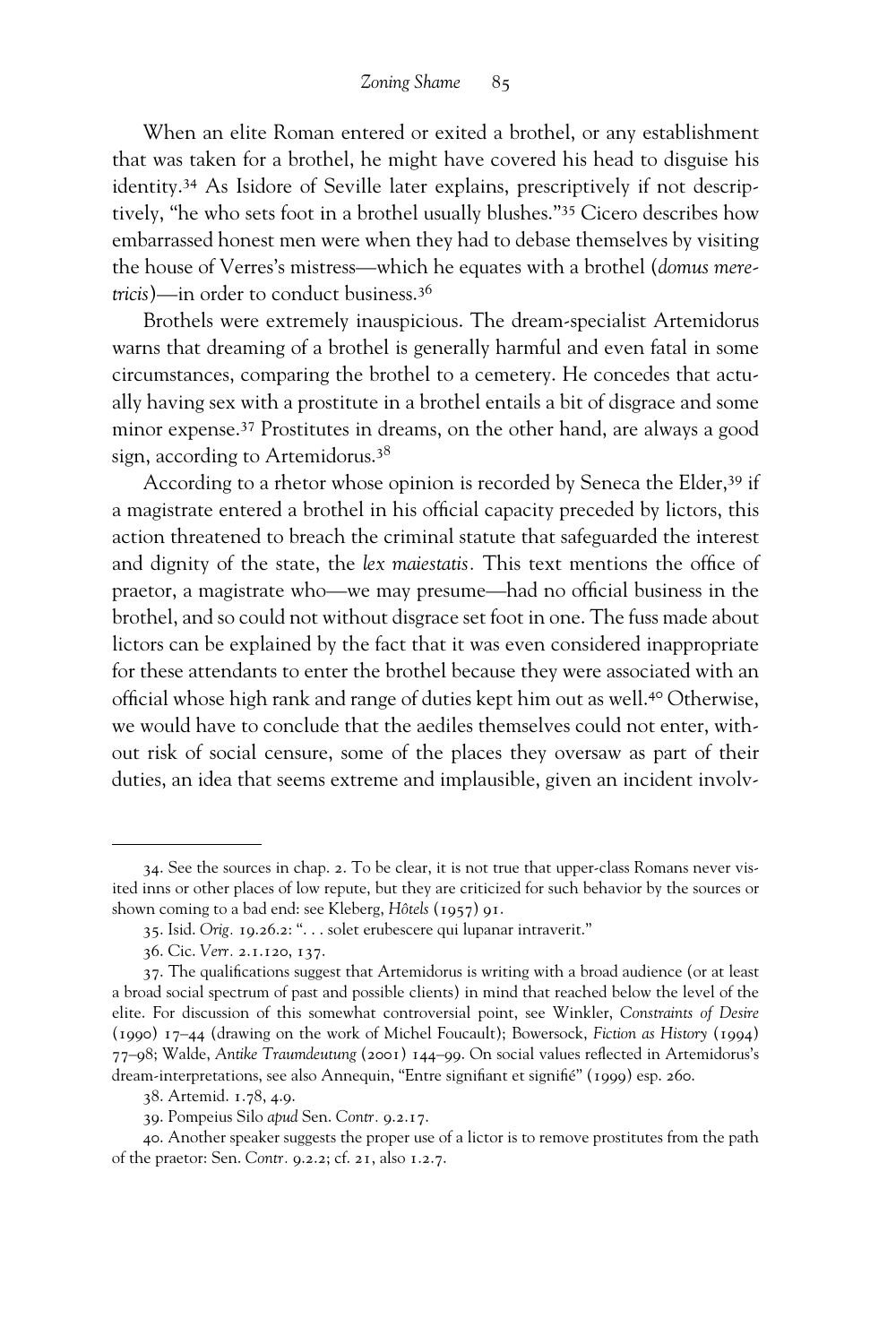When an elite Roman entered or exited a brothel, or any establishment that was taken for a brothel, he might have covered his head to disguise his identity.34 As Isidore of Seville later explains, prescriptively if not descriptively, "he who sets foot in a brothel usually blushes."35 Cicero describes how embarrassed honest men were when they had to debase themselves by visiting the house of Verres's mistress—which he equates with a brothel (*domus meretricis*)—in order to conduct business.36

Brothels were extremely inauspicious. The dream-specialist Artemidorus warns that dreaming of a brothel is generally harmful and even fatal in some circumstances, comparing the brothel to a cemetery. He concedes that actually having sex with a prostitute in a brothel entails a bit of disgrace and some minor expense.37 Prostitutes in dreams, on the other hand, are always a good sign, according to Artemidorus.38

According to a rhetor whose opinion is recorded by Seneca the Elder,<sup>39</sup> if a magistrate entered a brothel in his official capacity preceded by lictors, this action threatened to breach the criminal statute that safeguarded the interest and dignity of the state, the *lex maiestatis*. This text mentions the office of praetor, a magistrate who—we may presume—had no official business in the brothel, and so could not without disgrace set foot in one. The fuss made about lictors can be explained by the fact that it was even considered inappropriate for these attendants to enter the brothel because they were associated with an official whose high rank and range of duties kept him out as well.<sup>40</sup> Otherwise, we would have to conclude that the aediles themselves could not enter, without risk of social censure, some of the places they oversaw as part of their duties, an idea that seems extreme and implausible, given an incident involv-

<sup>34.</sup> See the sources in chap. 2. To be clear, it is not true that upper-class Romans never visited inns or other places of low repute, but they are criticized for such behavior by the sources or shown coming to a bad end: see Kleberg, *Hôtels* (1957) 91.

<sup>35.</sup> Isid. *Orig.* 19.26.2: ". . . solet erubescere qui lupanar intraverit."

<sup>36.</sup> Cic. *Verr.* 2.1.120, 137.

<sup>37.</sup> The qualifications suggest that Artemidorus is writing with a broad audience (or at least a broad social spectrum of past and possible clients) in mind that reached below the level of the elite. For discussion of this somewhat controversial point, see Winkler, *Constraints of Desire* (1990) 17–44 (drawing on the work of Michel Foucault); Bowersock, *Fiction as History* (1994) 77–98; Walde, *Antike Traumdeutung* (2001) 144–99. On social values reflected in Artemidorus's dream-interpretations, see also Annequin, "Entre signifiant et signifié" (1999) esp. 260.

<sup>38.</sup> Artemid. 1.78, 4.9.

<sup>39.</sup> Pompeius Silo *apud* Sen. *Contr.* 9.2.17.

<sup>40.</sup> Another speaker suggests the proper use of a lictor is to remove prostitutes from the path of the praetor: Sen. *Contr.* 9.2.2; cf. 21, also 1.2.7.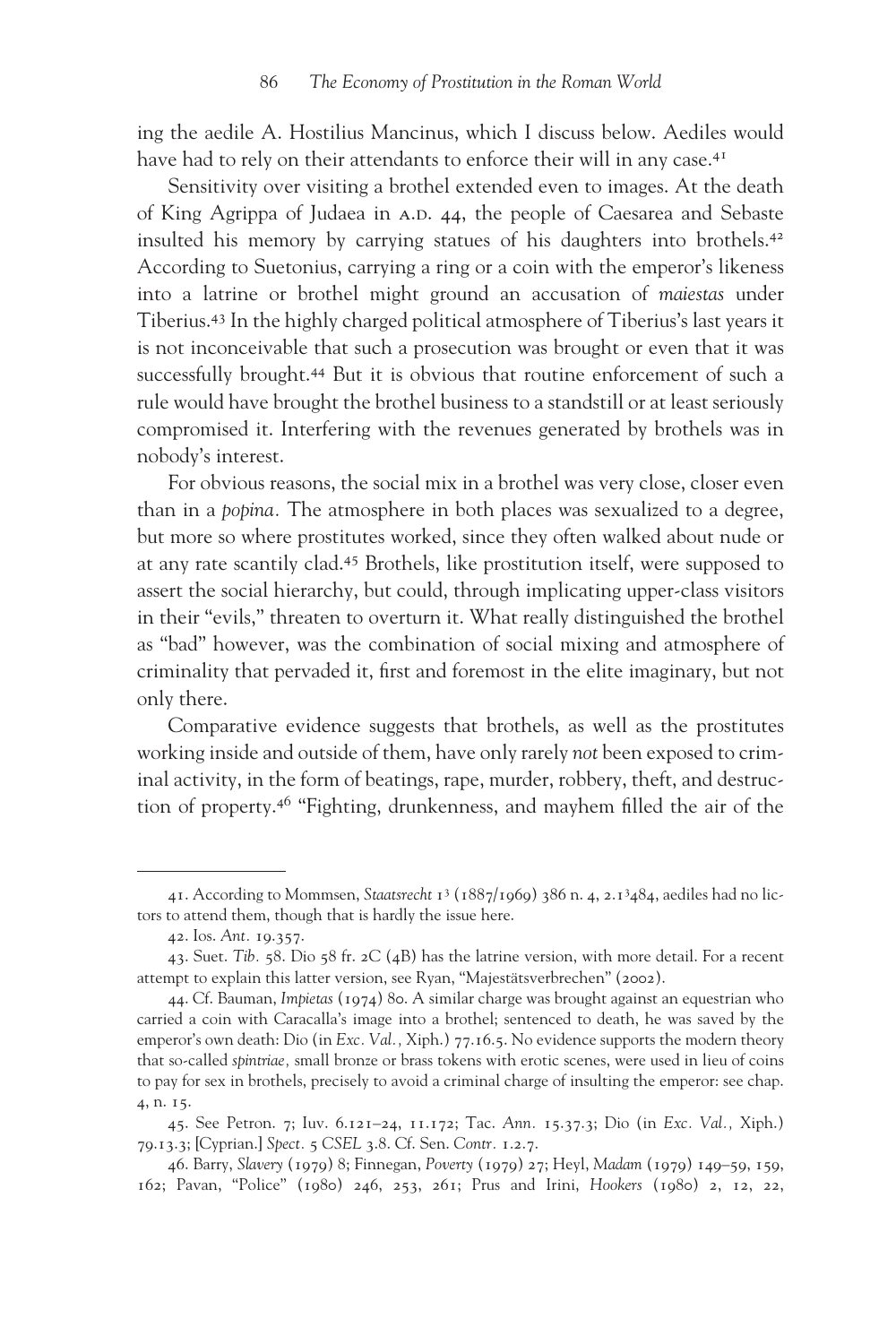ing the aedile A. Hostilius Mancinus, which I discuss below. Aediles would have had to rely on their attendants to enforce their will in any case.<sup>41</sup>

Sensitivity over visiting a brothel extended even to images. At the death of King Agrippa of Judaea in A.D. 44, the people of Caesarea and Sebaste insulted his memory by carrying statues of his daughters into brothels.42 According to Suetonius, carrying a ring or a coin with the emperor's likeness into a latrine or brothel might ground an accusation of *maiestas* under Tiberius.43 In the highly charged political atmosphere of Tiberius's last years it is not inconceivable that such a prosecution was brought or even that it was successfully brought.44 But it is obvious that routine enforcement of such a rule would have brought the brothel business to a standstill or at least seriously compromised it. Interfering with the revenues generated by brothels was in nobody's interest.

For obvious reasons, the social mix in a brothel was very close, closer even than in a *popina.* The atmosphere in both places was sexualized to a degree, but more so where prostitutes worked, since they often walked about nude or at any rate scantily clad.45 Brothels, like prostitution itself, were supposed to assert the social hierarchy, but could, through implicating upper-class visitors in their "evils," threaten to overturn it. What really distinguished the brothel as "bad" however, was the combination of social mixing and atmosphere of criminality that pervaded it, first and foremost in the elite imaginary, but not only there.

Comparative evidence suggests that brothels, as well as the prostitutes working inside and outside of them, have only rarely *not* been exposed to criminal activity, in the form of beatings, rape, murder, robbery, theft, and destruction of property.<sup>46</sup> "Fighting, drunkenness, and mayhem filled the air of the

<sup>41.</sup> According to Mommsen, *Staatsrecht* 13 (1887/1969) 386 n. 4, 2.13484, aediles had no lictors to attend them, though that is hardly the issue here.

<sup>42.</sup> Ios. *Ant.* 19.357.

<sup>43.</sup> Suet. *Tib.* 58. Dio 58 fr. 2C (4B) has the latrine version, with more detail. For a recent attempt to explain this latter version, see Ryan, "Majestätsverbrechen" (2002).

<sup>44.</sup> Cf. Bauman, *Impietas* (1974) 80. A similar charge was brought against an equestrian who carried a coin with Caracalla's image into a brothel; sentenced to death, he was saved by the emperor's own death: Dio (in *Exc. Val.,* Xiph.) 77.16.5. No evidence supports the modern theory that so-called *spintriae,* small bronze or brass tokens with erotic scenes, were used in lieu of coins to pay for sex in brothels, precisely to avoid a criminal charge of insulting the emperor: see chap. 4, n. 15.

<sup>45.</sup> See Petron. 7; Iuv. 6.121–24, 11.172; Tac. *Ann.* 15.37.3; Dio (in *Exc. Val.,* Xiph.) 79.13.3; [Cyprian.] *Spect.* 5 *CSEL* 3.8. Cf. Sen. *Contr.* 1.2.7.

<sup>46.</sup> Barry, *Slavery* (1979) 8; Finnegan, *Poverty* (1979) 27; Heyl, *Madam* (1979) 149–59, 159, 162; Pavan, "Police" (1980) 246, 253, 261; Prus and Irini, *Hookers* (1980) 2, 12, 22,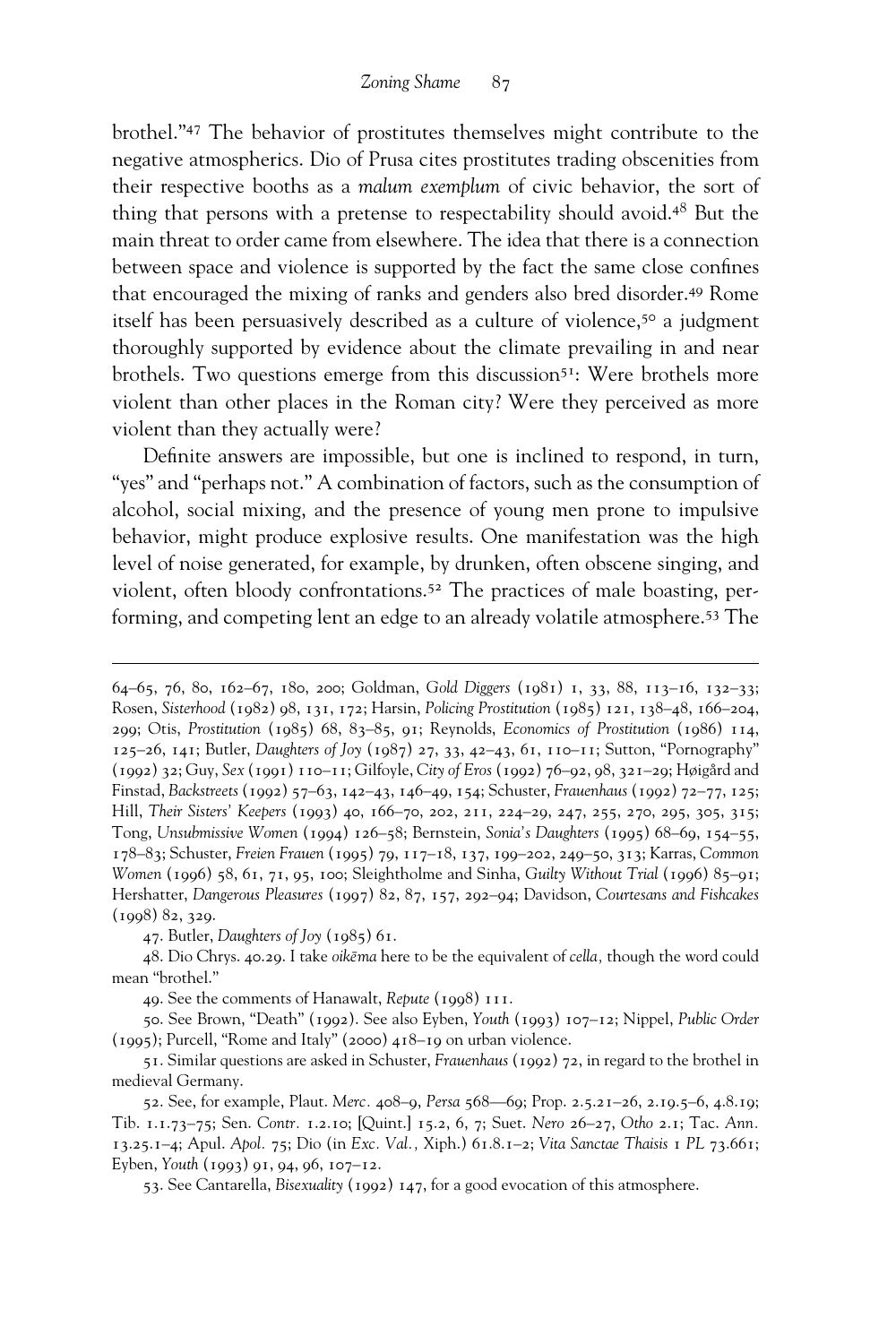brothel."47 The behavior of prostitutes themselves might contribute to the negative atmospherics. Dio of Prusa cites prostitutes trading obscenities from their respective booths as a *malum exemplum* of civic behavior, the sort of thing that persons with a pretense to respectability should avoid.48 But the main threat to order came from elsewhere. The idea that there is a connection between space and violence is supported by the fact the same close confines that encouraged the mixing of ranks and genders also bred disorder.49 Rome itself has been persuasively described as a culture of violence,<sup>50</sup> a judgment thoroughly supported by evidence about the climate prevailing in and near brothels. Two questions emerge from this discussion<sup>51</sup>: Were brothels more violent than other places in the Roman city? Were they perceived as more violent than they actually were?

Definite answers are impossible, but one is inclined to respond, in turn, "yes" and "perhaps not." A combination of factors, such as the consumption of alcohol, social mixing, and the presence of young men prone to impulsive behavior, might produce explosive results. One manifestation was the high level of noise generated, for example, by drunken, often obscene singing, and violent, often bloody confrontations.52 The practices of male boasting, performing, and competing lent an edge to an already volatile atmosphere.53 The

64–65, 76, 80, 162–67, 180, 200; Goldman, *Gold Diggers* (1981) 1, 33, 88, 113–16, 132–33; Rosen, *Sisterhood* (1982) 98, 131, 172; Harsin, *Policing Prostitution* (1985) 121, 138–48, 166–204, 299; Otis, *Prostitution* (1985) 68, 83–85, 91; Reynolds, *Economics of Prostitution* (1986) 114, 125–26, 141; Butler, *Daughters of Joy* (1987) 27, 33, 42–43, 61, 110–11; Sutton, "Pornography" (1992) 32; Guy, *Sex* (1991) 110–11; Gilfoyle, *City of Eros* (1992) 76–92, 98, 321–29; Høigård and Finstad, *Backstreets* (1992) 57–63, 142–43, 146–49, 154; Schuster, *Frauenhaus* (1992) 72–77, 125; Hill, *Their Sisters' Keepers* (1993) 40, 166–70, 202, 211, 224–29, 247, 255, 270, 295, 305, 315; Tong, *Unsubmissive Women* (1994) 126–58; Bernstein, *Sonia's Daughters* (1995) 68–69, 154–55, 178–83; Schuster, *Freien Frauen* (1995) 79, 117–18, 137, 199–202, 249–50, 313; Karras, *Common Women* (1996) 58, 61, 71, 95, 100; Sleightholme and Sinha, *Guilty Without Trial* (1996) 85–91; Hershatter, *Dangerous Pleasures* (1997) 82, 87, 157, 292–94; Davidson, *Courtesans and Fishcakes* (1998) 82, 329.

47. Butler, *Daughters of Joy* (1985) 61.

48. Dio Chrys. 40.29. I take *oike¯ma* here to be the equivalent of *cella,* though the word could mean "brothel."

49. See the comments of Hanawalt, *Repute* (1998) 111.

50. See Brown, "Death" (1992). See also Eyben, *Youth* (1993) 107–12; Nippel, *Public Order* (1995); Purcell, "Rome and Italy" (2000) 418–19 on urban violence.

51. Similar questions are asked in Schuster, *Frauenhaus* (1992) 72, in regard to the brothel in medieval Germany.

52. See, for example, Plaut. *Merc.* 408–9, *Persa* 568—69; Prop. 2.5.21–26, 2.19.5–6, 4.8.19; Tib. 1.1.73–75; Sen. *Contr.* 1.2.10; [Quint.] 15.2, 6, 7; Suet. *Nero* 26–27, *Otho* 2.1; Tac. *Ann.* 13.25.1–4; Apul. *Apol.* 75; Dio (in *Exc. Val.,* Xiph.) 61.8.1–2; *Vita Sanctae Thaisis* 1 *PL* 73.661; Eyben, *Youth* (1993) 91, 94, 96, 107–12.

53. See Cantarella, *Bisexuality* (1992) 147, for a good evocation of this atmosphere.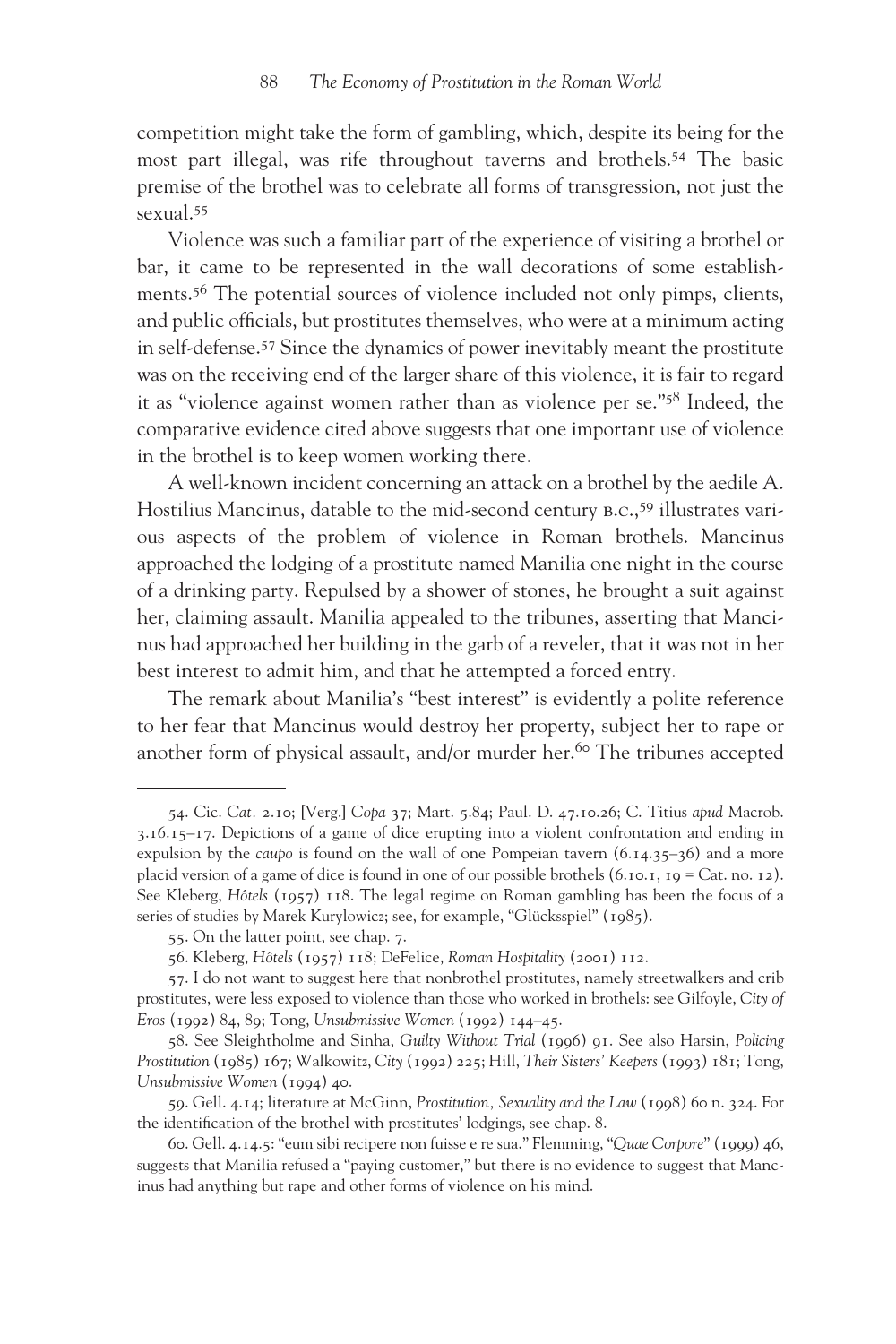competition might take the form of gambling, which, despite its being for the most part illegal, was rife throughout taverns and brothels.54 The basic premise of the brothel was to celebrate all forms of transgression, not just the sexual.55

Violence was such a familiar part of the experience of visiting a brothel or bar, it came to be represented in the wall decorations of some establishments.56 The potential sources of violence included not only pimps, clients, and public officials, but prostitutes themselves, who were at a minimum acting in self-defense.57 Since the dynamics of power inevitably meant the prostitute was on the receiving end of the larger share of this violence, it is fair to regard it as "violence against women rather than as violence per se."58 Indeed, the comparative evidence cited above suggests that one important use of violence in the brothel is to keep women working there.

A well-known incident concerning an attack on a brothel by the aedile A. Hostilius Mancinus, datable to the mid-second century b.c.,<sup>59</sup> illustrates various aspects of the problem of violence in Roman brothels. Mancinus approached the lodging of a prostitute named Manilia one night in the course of a drinking party. Repulsed by a shower of stones, he brought a suit against her, claiming assault. Manilia appealed to the tribunes, asserting that Mancinus had approached her building in the garb of a reveler, that it was not in her best interest to admit him, and that he attempted a forced entry.

The remark about Manilia's "best interest" is evidently a polite reference to her fear that Mancinus would destroy her property, subject her to rape or another form of physical assault, and/or murder her.<sup>60</sup> The tribunes accepted

<sup>54.</sup> Cic. *Cat.* 2.10; [Verg.] *Copa* 37; Mart. 5.84; Paul. D. 47.10.26; C. Titius *apud* Macrob. 3.16.15–17. Depictions of a game of dice erupting into a violent confrontation and ending in expulsion by the *caupo* is found on the wall of one Pompeian tavern (6.14.35–36) and a more placid version of a game of dice is found in one of our possible brothels (6.10.1, 19 = Cat. no. 12). See Kleberg, *Hôtels* (1957) 118. The legal regime on Roman gambling has been the focus of a series of studies by Marek Kurylowicz; see, for example, "Glücksspiel" (1985).

<sup>55.</sup> On the latter point, see chap. 7.

<sup>56.</sup> Kleberg, *Hôtels* (1957) 118; DeFelice, *Roman Hospitality* (2001) 112.

<sup>57.</sup> I do not want to suggest here that nonbrothel prostitutes, namely streetwalkers and crib prostitutes, were less exposed to violence than those who worked in brothels: see Gilfoyle, *City of Eros* (1992) 84, 89; Tong, *Unsubmissive Women* (1992) 144–45.

<sup>58.</sup> See Sleightholme and Sinha, *Guilty Without Trial* (1996) 91. See also Harsin, *Policing Prostitution* (1985) 167; Walkowitz, *City* (1992) 225; Hill, *Their Sisters' Keepers* (1993) 181; Tong, *Unsubmissive Women* (1994) 40.

<sup>59.</sup> Gell. 4.14; literature at McGinn, *Prostitution, Sexuality and the Law* (1998) 60 n. 324. For the identification of the brothel with prostitutes' lodgings, see chap. 8.

<sup>60.</sup> Gell. 4.14.5: "eum sibi recipere non fuisse e re sua." Flemming, "*Quae Corpore*" (1999) 46, suggests that Manilia refused a "paying customer," but there is no evidence to suggest that Mancinus had anything but rape and other forms of violence on his mind.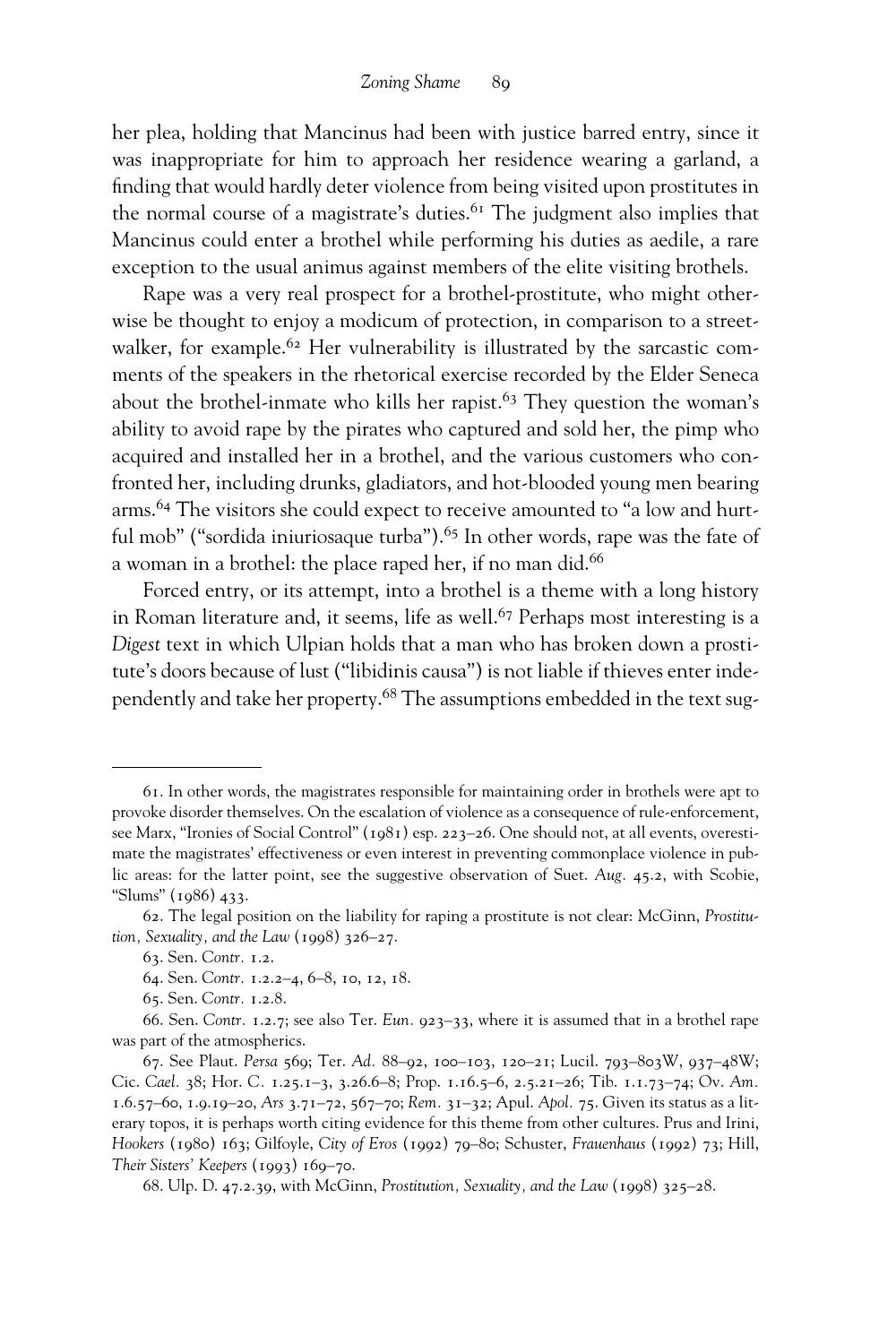her plea, holding that Mancinus had been with justice barred entry, since it was inappropriate for him to approach her residence wearing a garland, a finding that would hardly deter violence from being visited upon prostitutes in the normal course of a magistrate's duties.<sup>61</sup> The judgment also implies that Mancinus could enter a brothel while performing his duties as aedile, a rare exception to the usual animus against members of the elite visiting brothels.

Rape was a very real prospect for a brothel-prostitute, who might otherwise be thought to enjoy a modicum of protection, in comparison to a streetwalker, for example.<sup>62</sup> Her vulnerability is illustrated by the sarcastic comments of the speakers in the rhetorical exercise recorded by the Elder Seneca about the brothel-inmate who kills her rapist.<sup>63</sup> They question the woman's ability to avoid rape by the pirates who captured and sold her, the pimp who acquired and installed her in a brothel, and the various customers who confronted her, including drunks, gladiators, and hot-blooded young men bearing arms.64 The visitors she could expect to receive amounted to "a low and hurtful mob" ("sordida iniuriosaque turba").<sup>65</sup> In other words, rape was the fate of a woman in a brothel: the place raped her, if no man did.<sup>66</sup>

Forced entry, or its attempt, into a brothel is a theme with a long history in Roman literature and, it seems, life as well.<sup>67</sup> Perhaps most interesting is a *Digest* text in which Ulpian holds that a man who has broken down a prostitute's doors because of lust ("libidinis causa") is not liable if thieves enter independently and take her property.68 The assumptions embedded in the text sug-

<sup>61.</sup> In other words, the magistrates responsible for maintaining order in brothels were apt to provoke disorder themselves. On the escalation of violence as a consequence of rule-enforcement, see Marx, "Ironies of Social Control" (1981) esp. 223–26. One should not, at all events, overestimate the magistrates' effectiveness or even interest in preventing commonplace violence in public areas: for the latter point, see the suggestive observation of Suet. *Aug.* 45.2, with Scobie, "Slums" (1986) 433.

<sup>62.</sup> The legal position on the liability for raping a prostitute is not clear: McGinn, *Prostitution, Sexuality, and the Law* (1998) 326–27.

<sup>63.</sup> Sen. *Contr.* 1.2.

<sup>64.</sup> Sen. *Contr.* 1.2.2–4, 6–8, 10, 12, 18.

<sup>65.</sup> Sen. *Contr.* 1.2.8.

<sup>66.</sup> Sen. *Contr.* 1.2.7; see also Ter. *Eun.* 923–33, where it is assumed that in a brothel rape was part of the atmospherics.

<sup>67.</sup> See Plaut. *Persa* 569; Ter. *Ad.* 88–92, 100–103, 120–21; Lucil. 793–803W, 937–48W; Cic. *Cael.* 38; Hor. *C.* 1.25.1–3, 3.26.6–8; Prop. 1.16.5–6, 2.5.21–26; Tib. 1.1.73–74; Ov. *Am.* 1.6.57–60, 1.9.19–20, *Ars* 3.71–72, 567–70; *Rem.* 31–32; Apul. *Apol.* 75. Given its status as a literary topos, it is perhaps worth citing evidence for this theme from other cultures. Prus and Irini, *Hookers* (1980) 163; Gilfoyle, *City of Eros* (1992) 79–80; Schuster, *Frauenhaus* (1992) 73; Hill, *Their Sisters' Keepers* (1993) 169–70.

<sup>68.</sup> Ulp. D. 47.2.39, with McGinn, *Prostitution, Sexuality, and the Law* (1998) 325–28.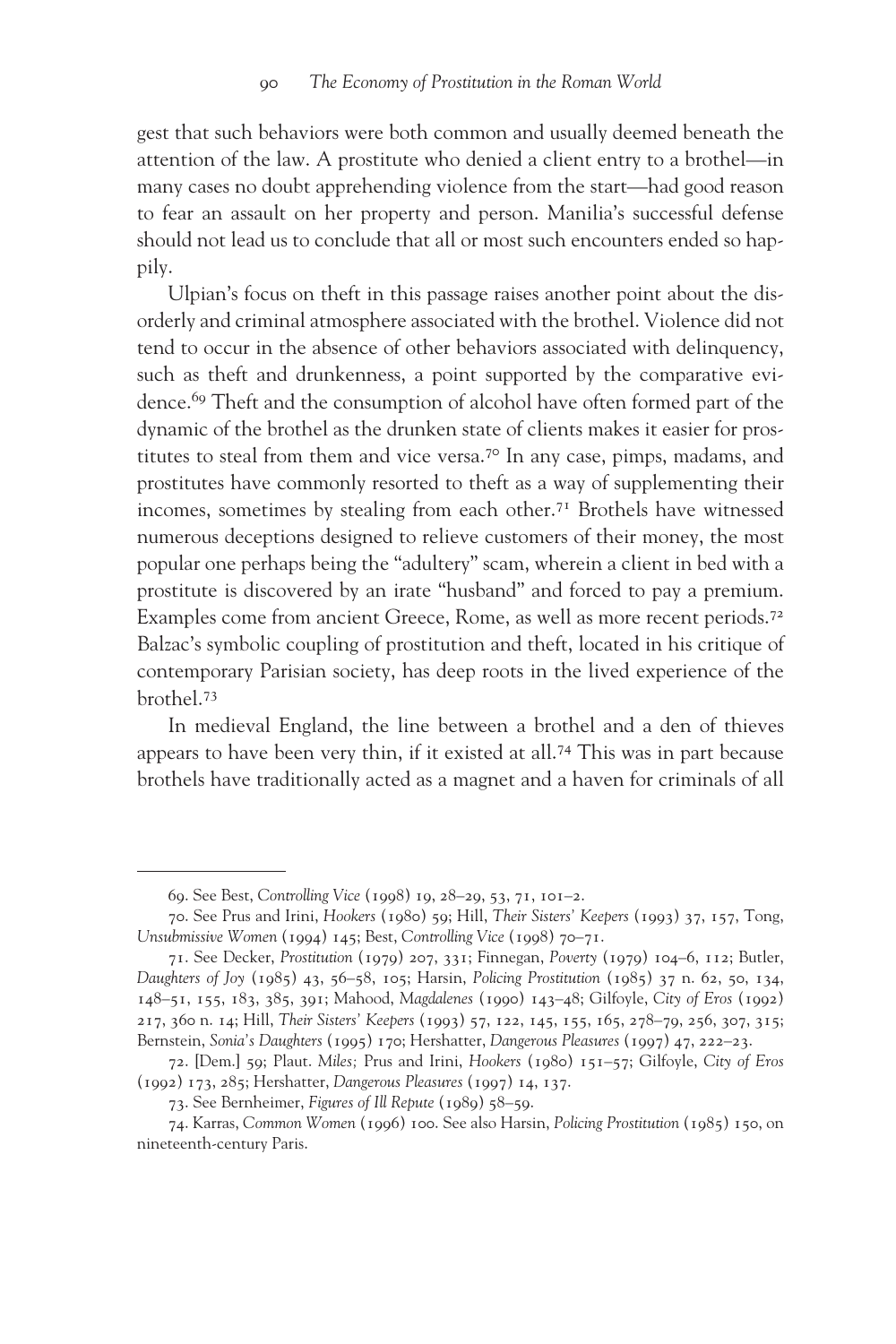gest that such behaviors were both common and usually deemed beneath the attention of the law. A prostitute who denied a client entry to a brothel—in many cases no doubt apprehending violence from the start—had good reason to fear an assault on her property and person. Manilia's successful defense should not lead us to conclude that all or most such encounters ended so happily.

Ulpian's focus on theft in this passage raises another point about the disorderly and criminal atmosphere associated with the brothel. Violence did not tend to occur in the absence of other behaviors associated with delinquency, such as theft and drunkenness, a point supported by the comparative evidence.<sup>69</sup> Theft and the consumption of alcohol have often formed part of the dynamic of the brothel as the drunken state of clients makes it easier for prostitutes to steal from them and vice versa.<sup>70</sup> In any case, pimps, madams, and prostitutes have commonly resorted to theft as a way of supplementing their incomes, sometimes by stealing from each other.71 Brothels have witnessed numerous deceptions designed to relieve customers of their money, the most popular one perhaps being the "adultery" scam, wherein a client in bed with a prostitute is discovered by an irate "husband" and forced to pay a premium. Examples come from ancient Greece, Rome, as well as more recent periods.72 Balzac's symbolic coupling of prostitution and theft, located in his critique of contemporary Parisian society, has deep roots in the lived experience of the brothel.73

In medieval England, the line between a brothel and a den of thieves appears to have been very thin, if it existed at all.74 This was in part because brothels have traditionally acted as a magnet and a haven for criminals of all

<sup>69.</sup> See Best, *Controlling Vice* (1998) 19, 28–29, 53, 71, 101–2.

<sup>70.</sup> See Prus and Irini, *Hookers* (1980) 59; Hill, *Their Sisters' Keepers* (1993) 37, 157, Tong, *Unsubmissive Women* (1994) 145; Best, *Controlling Vice* (1998) 70–71.

<sup>71.</sup> See Decker, *Prostitution* (1979) 207, 331; Finnegan, *Poverty* (1979) 104–6, 112; Butler, *Daughters of Joy* (1985) 43, 56–58, 105; Harsin, *Policing Prostitution* (1985) 37 n. 62, 50, 134, 148–51, 155, 183, 385, 391; Mahood, *Magdalenes* (1990) 143–48; Gilfoyle, *City of Eros* (1992) 217, 360 n. 14; Hill, *Their Sisters' Keepers* (1993) 57, 122, 145, 155, 165, 278–79, 256, 307, 315; Bernstein, *Sonia's Daughters* (1995) 170; Hershatter, *Dangerous Pleasures* (1997) 47, 222–23.

<sup>72. [</sup>Dem.] 59; Plaut. *Miles;* Prus and Irini, *Hookers* (1980) 151–57; Gilfoyle, *City of Eros* (1992) 173, 285; Hershatter, *Dangerous Pleasures* (1997) 14, 137.

<sup>73.</sup> See Bernheimer, *Figures of Ill Repute* (1989) 58–59.

<sup>74.</sup> Karras, *Common Women* (1996) 100. See also Harsin, *Policing Prostitution* (1985) 150, on nineteenth-century Paris.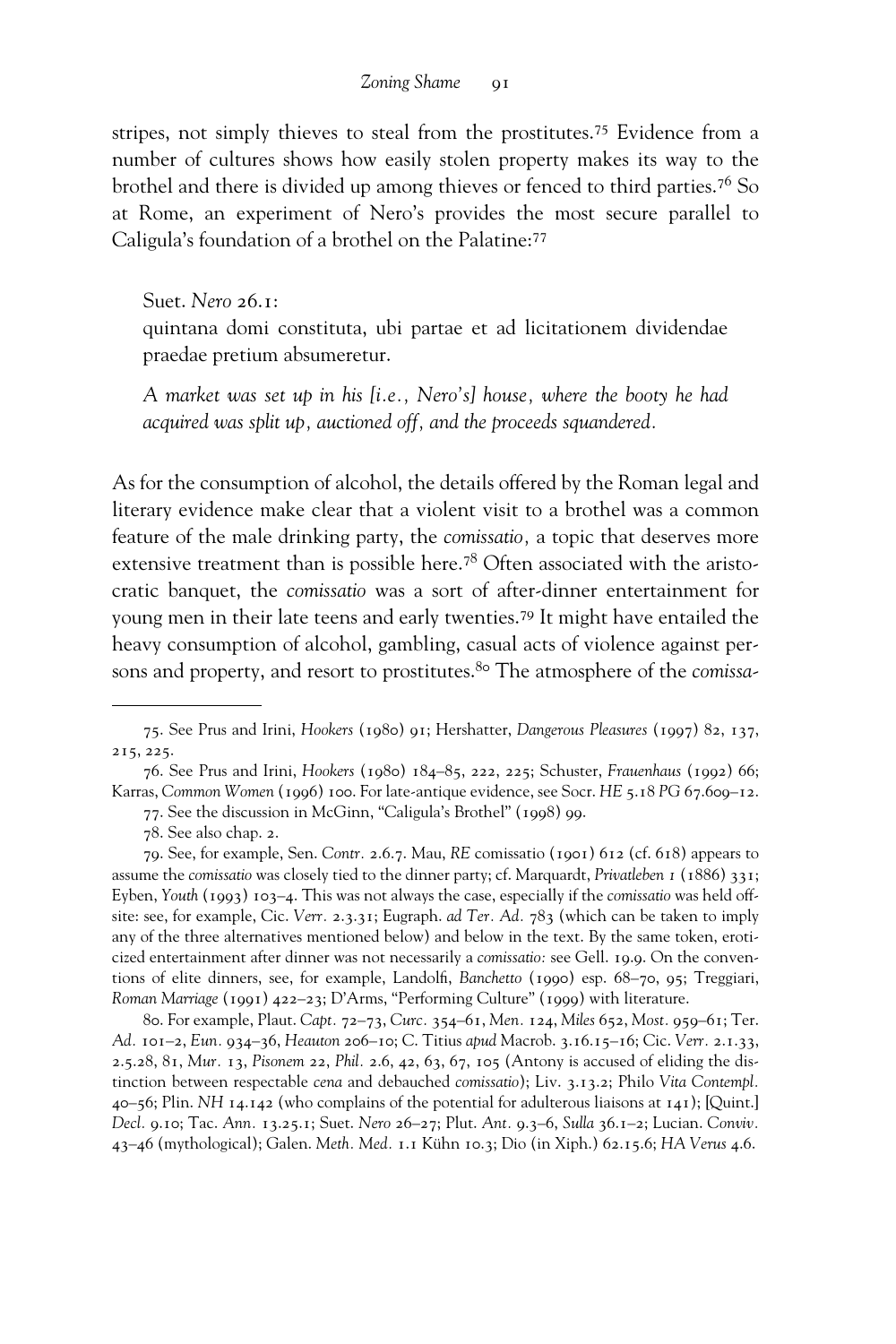stripes, not simply thieves to steal from the prostitutes.75 Evidence from a number of cultures shows how easily stolen property makes its way to the brothel and there is divided up among thieves or fenced to third parties.76 So at Rome, an experiment of Nero's provides the most secure parallel to Caligula's foundation of a brothel on the Palatine:77

Suet. *Nero* 26.1: quintana domi constituta, ubi partae et ad licitationem dividendae praedae pretium absumeretur.

*A market was set up in his [i.e., Nero's] house, where the booty he had acquired was split up, auctioned off, and the proceeds squandered.* 

As for the consumption of alcohol, the details offered by the Roman legal and literary evidence make clear that a violent visit to a brothel was a common feature of the male drinking party, the *comissatio,* a topic that deserves more extensive treatment than is possible here.<sup>78</sup> Often associated with the aristocratic banquet, the *comissatio* was a sort of after-dinner entertainment for young men in their late teens and early twenties.79 It might have entailed the heavy consumption of alcohol, gambling, casual acts of violence against persons and property, and resort to prostitutes.80 The atmosphere of the *comissa-*

77. See the discussion in McGinn, "Caligula's Brothel" (1998) 99.

80. For example, Plaut. *Capt.* 72–73, *Curc.* 354–61, *Men.* 124, *Miles* 652, *Most.* 959–61; Ter. *Ad.* 101–2, *Eun.* 934–36, *Heauton* 206–10; C. Titius *apud* Macrob. 3.16.15–16; Cic. *Verr.* 2.1.33, 2.5.28, 81, *Mur.* 13, *Pisonem* 22, *Phil.* 2.6, 42, 63, 67, 105 (Antony is accused of eliding the distinction between respectable *cena* and debauched *comissatio*); Liv. 3.13.2; Philo *Vita Contempl.* 40–56; Plin. *NH* 14.142 (who complains of the potential for adulterous liaisons at 141); [Quint.] *Decl.* 9.10; Tac. *Ann.* 13.25.1; Suet. *Nero* 26–27; Plut. *Ant.* 9.3–6, *Sulla* 36.1–2; Lucian. *Conviv.* 43–46 (mythological); Galen. *Meth. Med.* 1.1 Kühn 10.3; Dio (in Xiph.) 62.15.6; *HA Verus* 4.6.

<sup>75.</sup> See Prus and Irini, *Hookers* (1980) 91; Hershatter, *Dangerous Pleasures* (1997) 82, 137, 215, 225.

<sup>76.</sup> See Prus and Irini, *Hookers* (1980) 184–85, 222, 225; Schuster, *Frauenhaus* (1992) 66; Karras, *Common Women* (1996) 100. For late-antique evidence, see Socr. *HE* 5.18 *PG* 67.609–12.

<sup>78.</sup> See also chap. 2.

<sup>79.</sup> See, for example, Sen. *Contr.* 2.6.7. Mau, *RE* comissatio (1901) 612 (cf. 618) appears to assume the *comissatio* was closely tied to the dinner party; cf. Marquardt, *Privatleben 1* (1886) 331; Eyben, *Youth* (1993) 103–4. This was not always the case, especially if the *comissatio* was held offsite: see, for example, Cic. *Verr.* 2.3.31; Eugraph. *ad Ter. Ad.* 783 (which can be taken to imply any of the three alternatives mentioned below) and below in the text. By the same token, eroticized entertainment after dinner was not necessarily a *comissatio:* see Gell. 19.9. On the conventions of elite dinners, see, for example, Landolfi, *Banchetto* (1990) esp. 68–70, 95; Treggiari, *Roman Marriage* (1991) 422–23; D'Arms, "Performing Culture" (1999) with literature.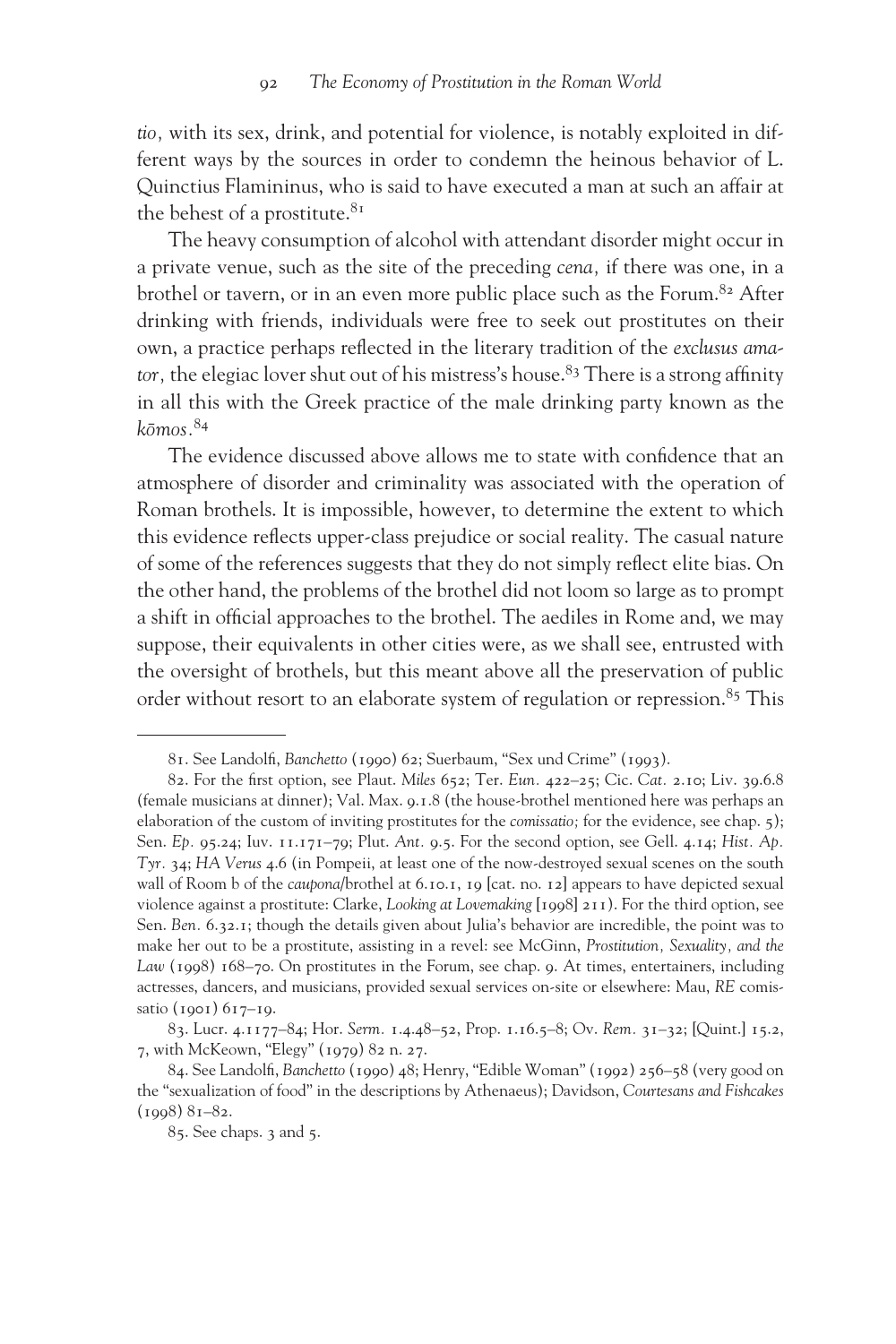*tio,* with its sex, drink, and potential for violence, is notably exploited in different ways by the sources in order to condemn the heinous behavior of L. Quinctius Flamininus, who is said to have executed a man at such an affair at the behest of a prostitute. $81$ 

The heavy consumption of alcohol with attendant disorder might occur in a private venue, such as the site of the preceding *cena,* if there was one, in a brothel or tavern, or in an even more public place such as the Forum.<sup>82</sup> After drinking with friends, individuals were free to seek out prostitutes on their own, a practice perhaps reflected in the literary tradition of the *exclusus amator*, the elegiac lover shut out of his mistress's house.<sup>83</sup> There is a strong affinity in all this with the Greek practice of the male drinking party known as the  $k\bar{\sigma}$ mos.<sup>84</sup>

The evidence discussed above allows me to state with confidence that an atmosphere of disorder and criminality was associated with the operation of Roman brothels. It is impossible, however, to determine the extent to which this evidence reflects upper-class prejudice or social reality. The casual nature of some of the references suggests that they do not simply reflect elite bias. On the other hand, the problems of the brothel did not loom so large as to prompt a shift in official approaches to the brothel. The aediles in Rome and, we may suppose, their equivalents in other cities were, as we shall see, entrusted with the oversight of brothels, but this meant above all the preservation of public order without resort to an elaborate system of regulation or repression.<sup>85</sup> This

<sup>81.</sup> See Landolfi, *Banchetto* (1990) 62; Suerbaum, "Sex und Crime" (1993).

<sup>82.</sup> For the first option, see Plaut. *Miles* 652; Ter. *Eun.* 422–25; Cic. *Cat.* 2.10; Liv. 39.6.8 (female musicians at dinner); Val. Max. 9.1.8 (the house-brothel mentioned here was perhaps an elaboration of the custom of inviting prostitutes for the *comissatio;* for the evidence, see chap. 5); Sen. *Ep.* 95.24; Iuv. 11.171–79; Plut. *Ant.* 9.5. For the second option, see Gell. 4.14; *Hist. Ap. Tyr.* 34; *HA Verus* 4.6 (in Pompeii, at least one of the now-destroyed sexual scenes on the south wall of Room b of the *caupona*/brothel at 6.10.1, 19 [cat. no. 12] appears to have depicted sexual violence against a prostitute: Clarke, *Looking at Lovemaking* [1998] 211). For the third option, see Sen. *Ben.* 6.32.1; though the details given about Julia's behavior are incredible, the point was to make her out to be a prostitute, assisting in a revel: see McGinn, *Prostitution, Sexuality, and the Law* (1998) 168–70. On prostitutes in the Forum, see chap. 9. At times, entertainers, including actresses, dancers, and musicians, provided sexual services on-site or elsewhere: Mau, *RE* comissatio (1901) 617–19.

<sup>83.</sup> Lucr. 4.1177–84; Hor. *Serm.* 1.4.48–52, Prop. 1.16.5–8; Ov. *Rem.* 31–32; [Quint.] 15.2, 7, with McKeown, "Elegy" (1979) 82 n. 27.

<sup>84.</sup> See Landolfi, *Banchetto* (1990) 48; Henry, "Edible Woman" (1992) 256–58 (very good on the "sexualization of food" in the descriptions by Athenaeus); Davidson, *Courtesans and Fishcakes* (1998) 81–82.

<sup>85.</sup> See chaps. 3 and 5.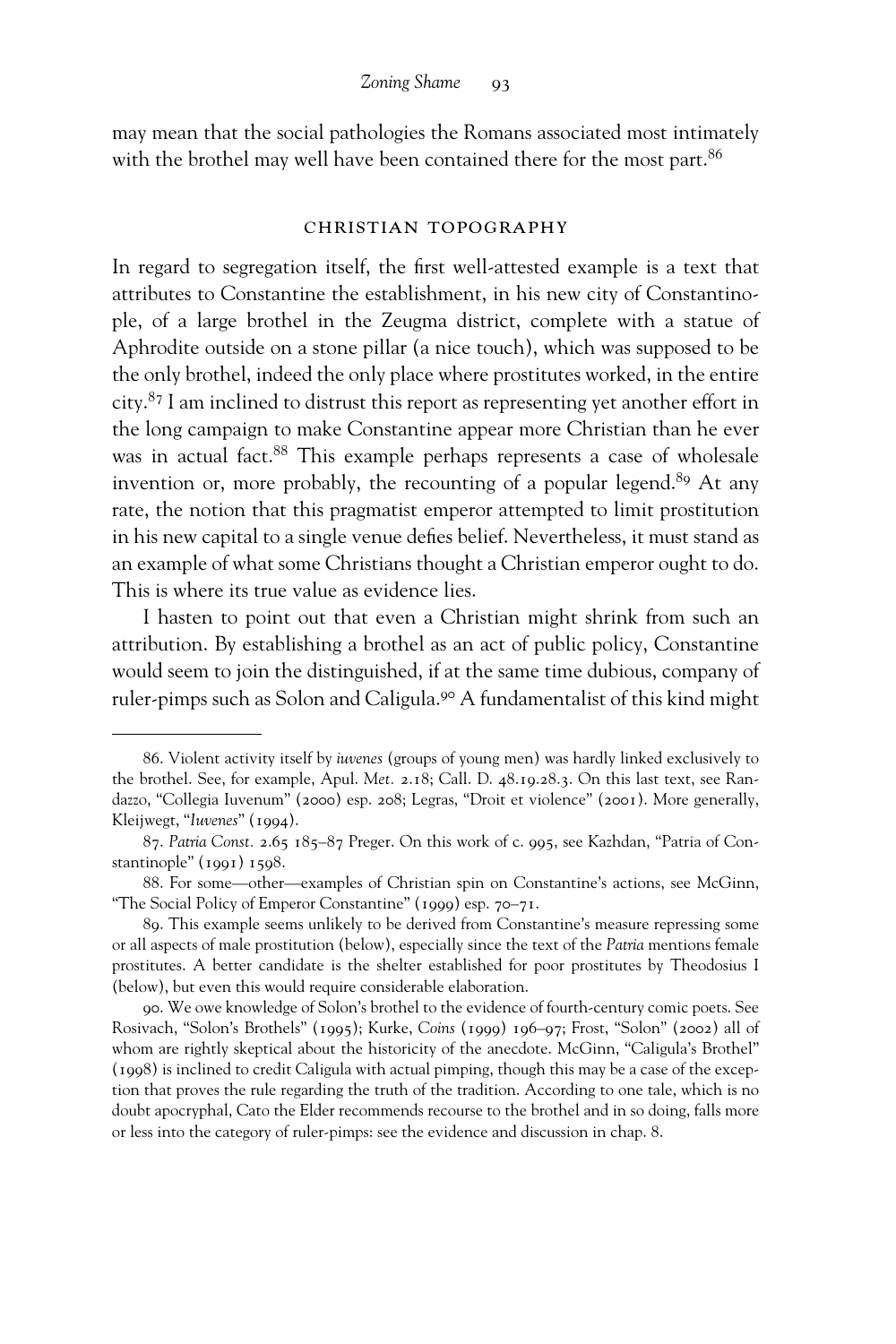may mean that the social pathologies the Romans associated most intimately with the brothel may well have been contained there for the most part.<sup>86</sup>

#### christian topography

In regard to segregation itself, the first well-attested example is a text that attributes to Constantine the establishment, in his new city of Constantinople, of a large brothel in the Zeugma district, complete with a statue of Aphrodite outside on a stone pillar (a nice touch), which was supposed to be the only brothel, indeed the only place where prostitutes worked, in the entire city. $87$  I am inclined to distrust this report as representing yet another effort in the long campaign to make Constantine appear more Christian than he ever was in actual fact.<sup>88</sup> This example perhaps represents a case of wholesale invention or, more probably, the recounting of a popular legend.<sup>89</sup> At any rate, the notion that this pragmatist emperor attempted to limit prostitution in his new capital to a single venue defies belief. Nevertheless, it must stand as an example of what some Christians thought a Christian emperor ought to do. This is where its true value as evidence lies.

I hasten to point out that even a Christian might shrink from such an attribution. By establishing a brothel as an act of public policy, Constantine would seem to join the distinguished, if at the same time dubious, company of ruler-pimps such as Solon and Caligula.90 A fundamentalist of this kind might

<sup>86.</sup> Violent activity itself by *iuvenes* (groups of young men) was hardly linked exclusively to the brothel. See, for example, Apul. *Met.* 2.18; Call. D. 48.19.28.3. On this last text, see Randazzo, "Collegia Iuvenum" (2000) esp. 208; Legras, "Droit et violence" (2001). More generally, Kleijwegt, "*Iuvenes*" (1994).

<sup>87.</sup> *Patria Const.* 2.65 185–87 Preger. On this work of c. 995, see Kazhdan, "Patria of Constantinople" (1991) 1598.

<sup>88.</sup> For some—other—examples of Christian spin on Constantine's actions, see McGinn, "The Social Policy of Emperor Constantine" (1999) esp. 70–71.

<sup>89.</sup> This example seems unlikely to be derived from Constantine's measure repressing some or all aspects of male prostitution (below), especially since the text of the *Patria* mentions female prostitutes. A better candidate is the shelter established for poor prostitutes by Theodosius I (below), but even this would require considerable elaboration.

<sup>90.</sup> We owe knowledge of Solon's brothel to the evidence of fourth-century comic poets. See Rosivach, "Solon's Brothels" (1995); Kurke, *Coins* (1999) 196–97; Frost, "Solon" (2002) all of whom are rightly skeptical about the historicity of the anecdote. McGinn, "Caligula's Brothel" (1998) is inclined to credit Caligula with actual pimping, though this may be a case of the exception that proves the rule regarding the truth of the tradition. According to one tale, which is no doubt apocryphal, Cato the Elder recommends recourse to the brothel and in so doing, falls more or less into the category of ruler-pimps: see the evidence and discussion in chap. 8.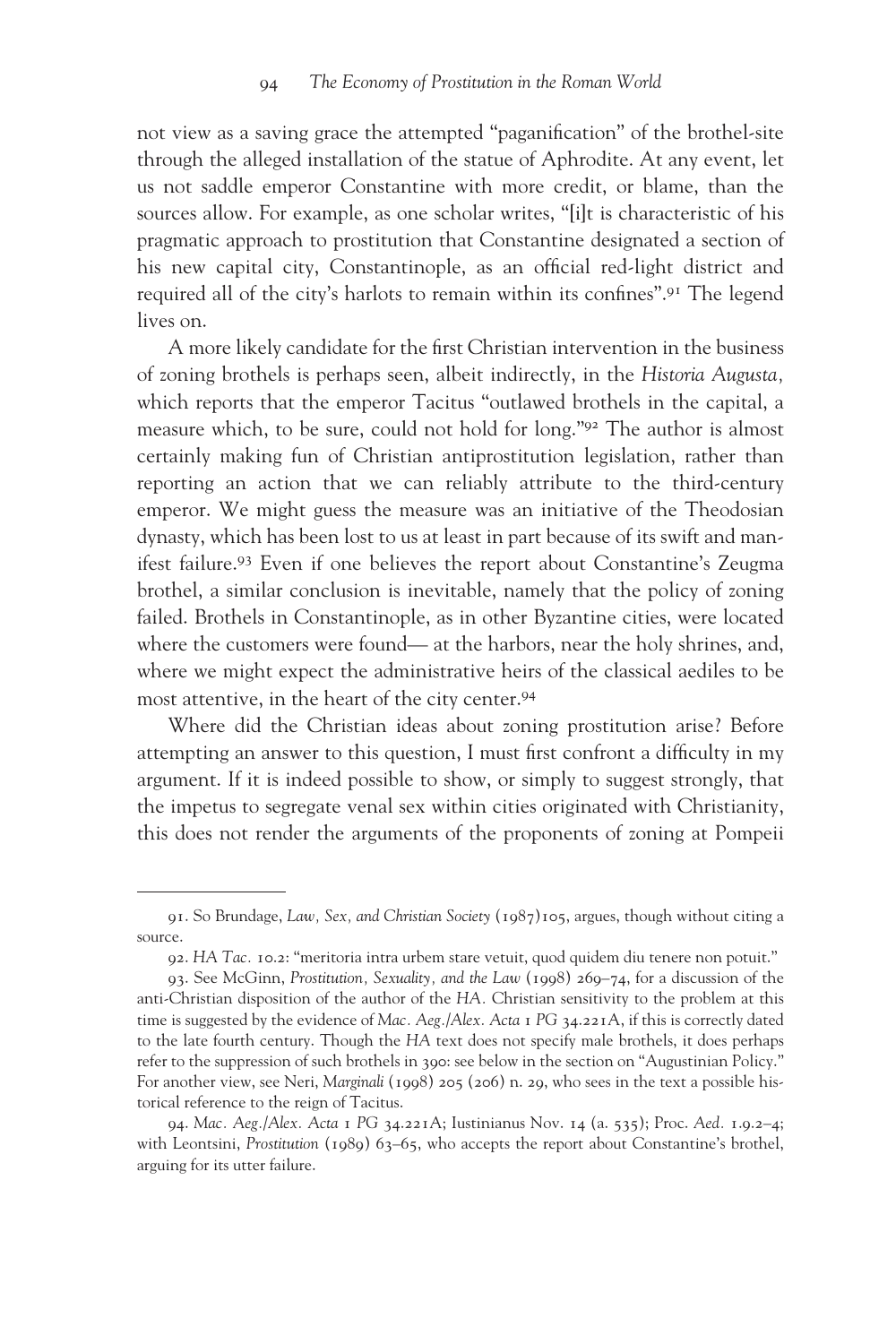not view as a saving grace the attempted "paganification" of the brothel-site through the alleged installation of the statue of Aphrodite. At any event, let us not saddle emperor Constantine with more credit, or blame, than the sources allow. For example, as one scholar writes, "[i]t is characteristic of his pragmatic approach to prostitution that Constantine designated a section of his new capital city, Constantinople, as an official red-light district and required all of the city's harlots to remain within its confines".<sup>91</sup> The legend lives on.

A more likely candidate for the first Christian intervention in the business of zoning brothels is perhaps seen, albeit indirectly, in the *Historia Augusta,* which reports that the emperor Tacitus "outlawed brothels in the capital, a measure which, to be sure, could not hold for long."92 The author is almost certainly making fun of Christian antiprostitution legislation, rather than reporting an action that we can reliably attribute to the third-century emperor. We might guess the measure was an initiative of the Theodosian dynasty, which has been lost to us at least in part because of its swift and manifest failure.93 Even if one believes the report about Constantine's Zeugma brothel, a similar conclusion is inevitable, namely that the policy of zoning failed. Brothels in Constantinople, as in other Byzantine cities, were located where the customers were found— at the harbors, near the holy shrines, and, where we might expect the administrative heirs of the classical aediles to be most attentive, in the heart of the city center.94

Where did the Christian ideas about zoning prostitution arise? Before attempting an answer to this question, I must first confront a difficulty in my argument. If it is indeed possible to show, or simply to suggest strongly, that the impetus to segregate venal sex within cities originated with Christianity, this does not render the arguments of the proponents of zoning at Pompeii

<sup>91.</sup> So Brundage, *Law, Sex, and Christian Society* (1987)105, argues, though without citing a source.

<sup>92.</sup> *HA Tac.* 10.2: "meritoria intra urbem stare vetuit, quod quidem diu tenere non potuit."

<sup>93.</sup> See McGinn, *Prostitution, Sexuality, and the Law* (1998) 269–74, for a discussion of the anti-Christian disposition of the author of the *HA.* Christian sensitivity to the problem at this time is suggested by the evidence of *Mac. Aeg.*/*Alex. Acta* 1 *PG* 34.221A, if this is correctly dated to the late fourth century. Though the *HA* text does not specify male brothels, it does perhaps refer to the suppression of such brothels in 390: see below in the section on "Augustinian Policy." For another view, see Neri, *Marginali* (1998) 205 (206) n. 29, who sees in the text a possible historical reference to the reign of Tacitus.

<sup>94.</sup> *Mac. Aeg.*/*Alex. Acta* 1 *PG* 34.221A; Iustinianus Nov. 14 (a. 535); Proc. *Aed.* 1.9.2–4; with Leontsini, *Prostitution* (1989) 63–65, who accepts the report about Constantine's brothel, arguing for its utter failure.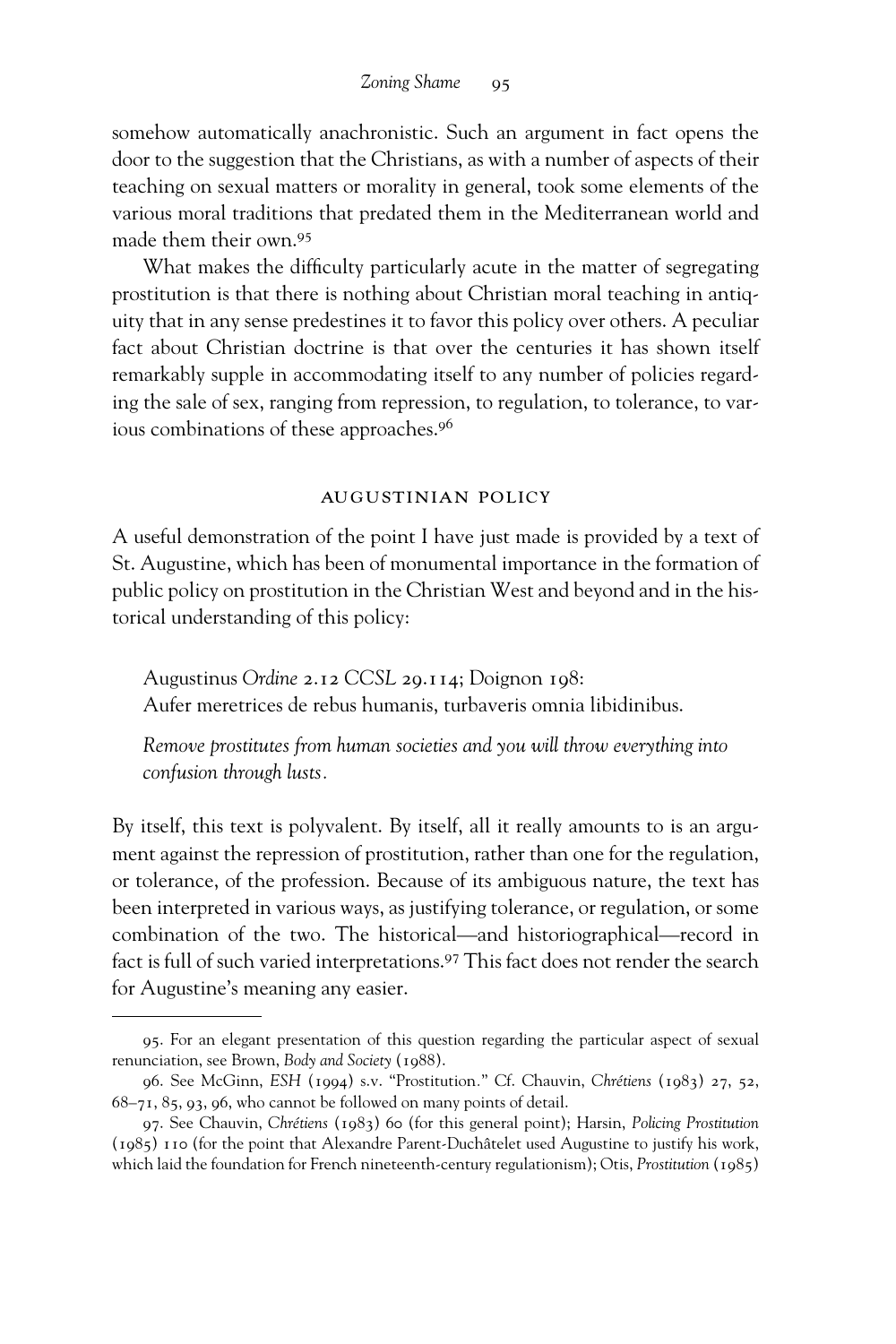somehow automatically anachronistic. Such an argument in fact opens the door to the suggestion that the Christians, as with a number of aspects of their teaching on sexual matters or morality in general, took some elements of the various moral traditions that predated them in the Mediterranean world and made them their own.95

What makes the difficulty particularly acute in the matter of segregating prostitution is that there is nothing about Christian moral teaching in antiquity that in any sense predestines it to favor this policy over others. A peculiar fact about Christian doctrine is that over the centuries it has shown itself remarkably supple in accommodating itself to any number of policies regarding the sale of sex, ranging from repression, to regulation, to tolerance, to various combinations of these approaches.96

### augustinian policy

A useful demonstration of the point I have just made is provided by a text of St. Augustine, which has been of monumental importance in the formation of public policy on prostitution in the Christian West and beyond and in the historical understanding of this policy:

Augustinus *Ordine* 2.12 *CCSL* 29.114; Doignon 198: Aufer meretrices de rebus humanis, turbaveris omnia libidinibus.

*Remove prostitutes from human societies and you will throw everything into confusion through lusts.*

By itself, this text is polyvalent. By itself, all it really amounts to is an argument against the repression of prostitution, rather than one for the regulation, or tolerance, of the profession. Because of its ambiguous nature, the text has been interpreted in various ways, as justifying tolerance, or regulation, or some combination of the two. The historical—and historiographical—record in fact is full of such varied interpretations.97 This fact does not render the search for Augustine's meaning any easier.

<sup>95.</sup> For an elegant presentation of this question regarding the particular aspect of sexual renunciation, see Brown, *Body and Society* (1988).

<sup>96.</sup> See McGinn, *ESH* (1994) s.v. "Prostitution*.*" Cf. Chauvin, *Chrétiens* (1983) 27, 52, 68–71, 85, 93, 96, who cannot be followed on many points of detail.

<sup>97.</sup> See Chauvin, *Chrétiens* (1983) 60 (for this general point); Harsin, *Policing Prostitution* (1985) 110 (for the point that Alexandre Parent-Duchâtelet used Augustine to justify his work, which laid the foundation for French nineteenth-century regulationism); Otis, *Prostitution* (1985)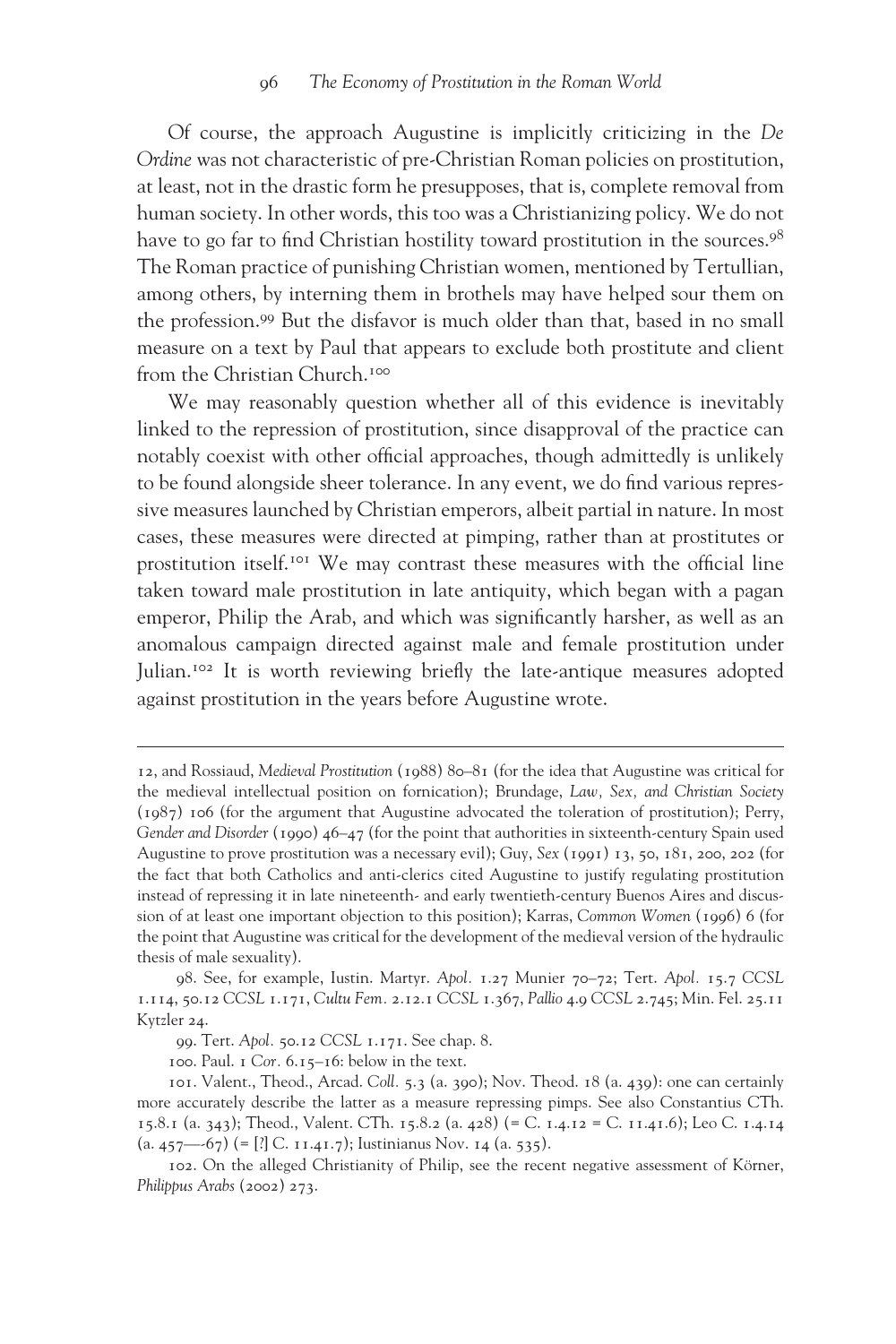Of course, the approach Augustine is implicitly criticizing in the *De Ordine* was not characteristic of pre-Christian Roman policies on prostitution, at least, not in the drastic form he presupposes, that is, complete removal from human society. In other words, this too was a Christianizing policy. We do not have to go far to find Christian hostility toward prostitution in the sources.<sup>98</sup> The Roman practice of punishing Christian women, mentioned by Tertullian, among others, by interning them in brothels may have helped sour them on the profession.99 But the disfavor is much older than that, based in no small measure on a text by Paul that appears to exclude both prostitute and client from the Christian Church.<sup>100</sup>

We may reasonably question whether all of this evidence is inevitably linked to the repression of prostitution, since disapproval of the practice can notably coexist with other official approaches, though admittedly is unlikely to be found alongside sheer tolerance. In any event, we do find various repressive measures launched by Christian emperors, albeit partial in nature. In most cases, these measures were directed at pimping, rather than at prostitutes or prostitution itself.<sup>101</sup> We may contrast these measures with the official line taken toward male prostitution in late antiquity, which began with a pagan emperor, Philip the Arab, and which was significantly harsher, as well as an anomalous campaign directed against male and female prostitution under Julian.<sup>102</sup> It is worth reviewing briefly the late-antique measures adopted against prostitution in the years before Augustine wrote.

<sup>12,</sup> and Rossiaud, *Medieval Prostitution* (1988) 80–81 (for the idea that Augustine was critical for the medieval intellectual position on fornication); Brundage, *Law, Sex, and Christian Society* (1987) 106 (for the argument that Augustine advocated the toleration of prostitution); Perry, *Gender and Disorder* (1990) 46–47 (for the point that authorities in sixteenth-century Spain used Augustine to prove prostitution was a necessary evil); Guy, *Sex* (1991) 13, 50, 181, 200, 202 (for the fact that both Catholics and anti-clerics cited Augustine to justify regulating prostitution instead of repressing it in late nineteenth- and early twentieth-century Buenos Aires and discussion of at least one important objection to this position); Karras, *Common Women* (1996) 6 (for the point that Augustine was critical for the development of the medieval version of the hydraulic thesis of male sexuality).

<sup>98.</sup> See, for example, Iustin. Martyr. *Apol.* 1.27 Munier 70–72; Tert. *Apol.* 15.7 *CCSL* 1.114, 50.12 *CCSL* 1.171, *Cultu Fem.* 2.12.1 *CCSL* 1.367, *Pallio* 4.9 *CCSL* 2.745; Min. Fel. 25.11 Kytzler 24.

<sup>99.</sup> Tert. *Apol.* 50.12 *CCSL* 1.171. See chap. 8.

<sup>100.</sup> Paul. 1 *Cor.* 6.15–16: below in the text.

<sup>101.</sup> Valent., Theod., Arcad. *Coll.* 5.3 (a. 390); Nov. Theod. 18 (a. 439): one can certainly more accurately describe the latter as a measure repressing pimps. See also Constantius CTh. 15.8.1 (a. 343); Theod., Valent. CTh. 15.8.2 (a. 428) (= C. 1.4.12 = C. 11.41.6); Leo C. 1.4.14  $(a. 457 - 67)$  (= [?] C. 11.41.7); Iustinianus Nov. 14 (a. 535).

<sup>102.</sup> On the alleged Christianity of Philip, see the recent negative assessment of Körner, *Philippus Arabs* (2002) 273.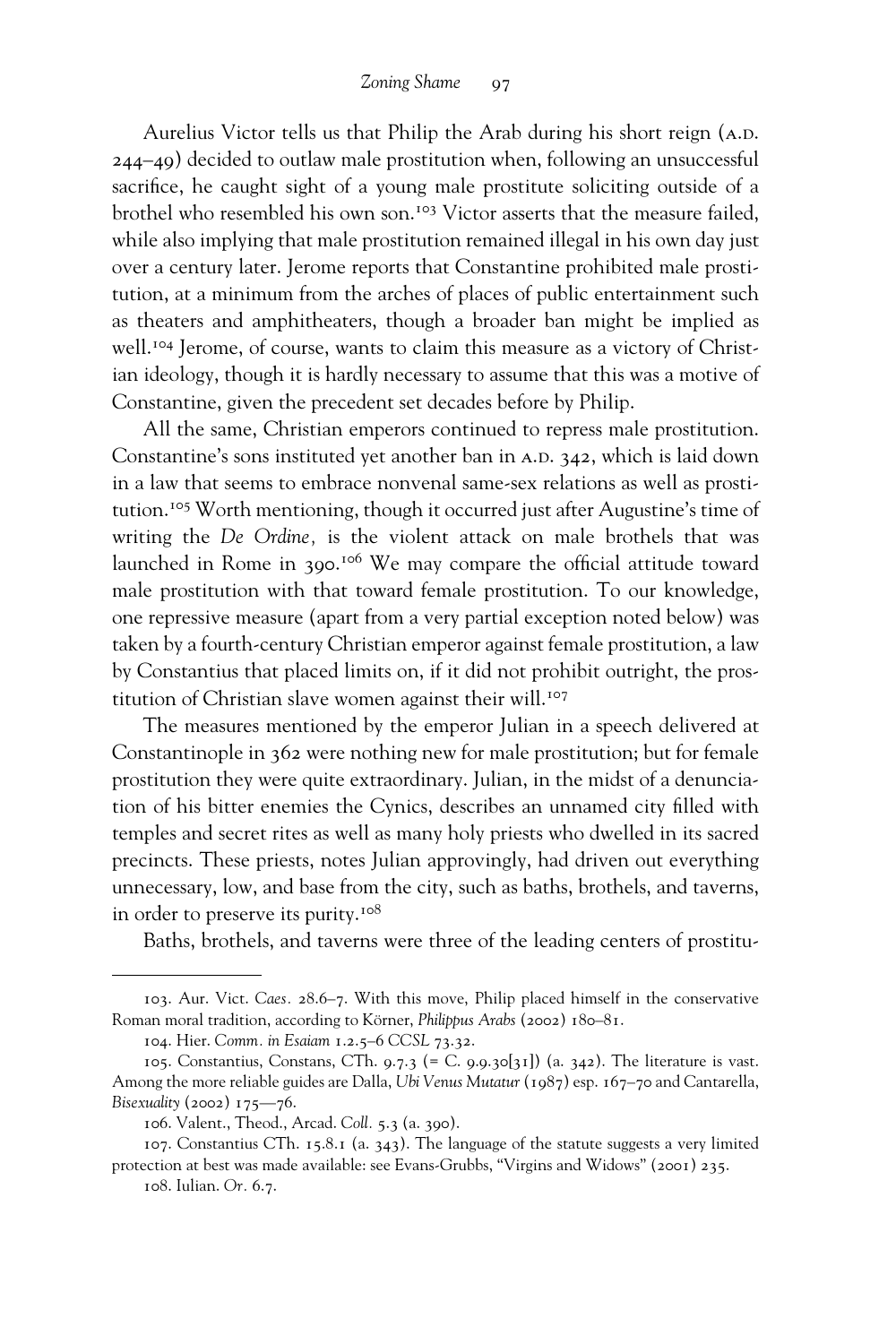Aurelius Victor tells us that Philip the Arab during his short reign (A.D. 244–49) decided to outlaw male prostitution when, following an unsuccessful sacrifice, he caught sight of a young male prostitute soliciting outside of a brothel who resembled his own son.<sup>103</sup> Victor asserts that the measure failed, while also implying that male prostitution remained illegal in his own day just over a century later. Jerome reports that Constantine prohibited male prostitution, at a minimum from the arches of places of public entertainment such as theaters and amphitheaters, though a broader ban might be implied as well.<sup>104</sup> Jerome, of course, wants to claim this measure as a victory of Christian ideology, though it is hardly necessary to assume that this was a motive of Constantine, given the precedent set decades before by Philip.

All the same, Christian emperors continued to repress male prostitution. Constantine's sons instituted yet another ban in A.D. 342, which is laid down in a law that seems to embrace nonvenal same-sex relations as well as prostitution.105 Worth mentioning, though it occurred just after Augustine's time of writing the *De Ordine,* is the violent attack on male brothels that was launched in Rome in 390.<sup>106</sup> We may compare the official attitude toward male prostitution with that toward female prostitution. To our knowledge, one repressive measure (apart from a very partial exception noted below) was taken by a fourth-century Christian emperor against female prostitution, a law by Constantius that placed limits on, if it did not prohibit outright, the prostitution of Christian slave women against their will.<sup>107</sup>

The measures mentioned by the emperor Julian in a speech delivered at Constantinople in 362 were nothing new for male prostitution; but for female prostitution they were quite extraordinary. Julian, in the midst of a denunciation of his bitter enemies the Cynics, describes an unnamed city filled with temples and secret rites as well as many holy priests who dwelled in its sacred precincts. These priests, notes Julian approvingly, had driven out everything unnecessary, low, and base from the city, such as baths, brothels, and taverns, in order to preserve its purity.<sup>108</sup>

Baths, brothels, and taverns were three of the leading centers of prostitu-

<sup>103.</sup> Aur. Vict. *Caes.* 28.6–7. With this move, Philip placed himself in the conservative Roman moral tradition, according to Körner, *Philippus Arabs* (2002) 180–81.

<sup>104.</sup> Hier. *Comm. in Esaiam* 1.2.5–6 *CCSL* 73.32.

<sup>105.</sup> Constantius, Constans, CTh. 9.7.3 (= C. 9.9.30[31]) (a. 342). The literature is vast. Among the more reliable guides are Dalla, *Ubi Venus Mutatur* (1987) esp. 167–70 and Cantarella, *Bisexuality* (2002) 175—76.

<sup>106.</sup> Valent., Theod., Arcad. *Coll.* 5.3 (a. 390).

<sup>107.</sup> Constantius CTh. 15.8.1 (a. 343). The language of the statute suggests a very limited protection at best was made available: see Evans-Grubbs, "Virgins and Widows" (2001) 235.

<sup>108.</sup> Iulian. *Or.* 6.7.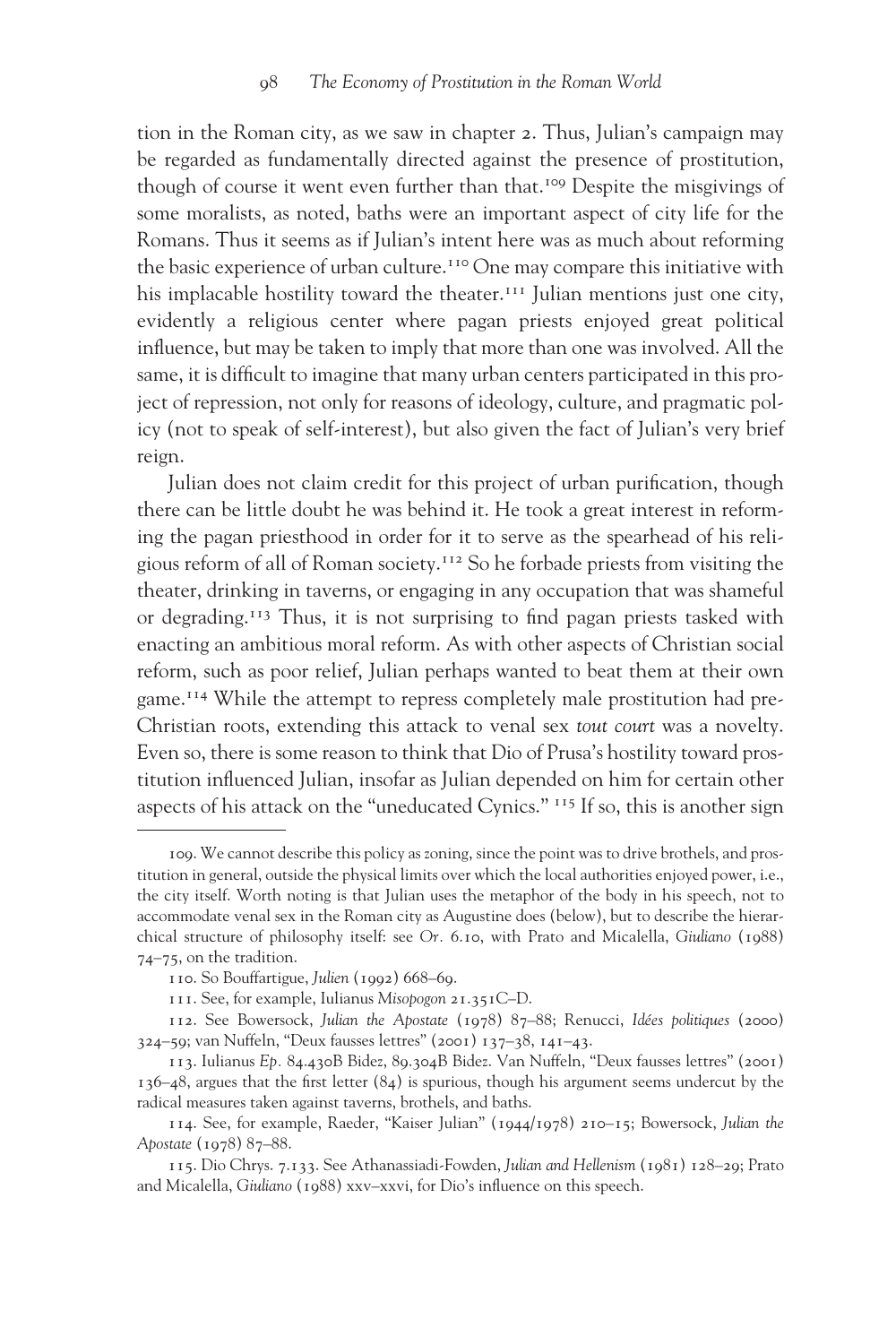tion in the Roman city, as we saw in chapter 2. Thus, Julian's campaign may be regarded as fundamentally directed against the presence of prostitution, though of course it went even further than that.<sup>109</sup> Despite the misgivings of some moralists, as noted, baths were an important aspect of city life for the Romans. Thus it seems as if Julian's intent here was as much about reforming the basic experience of urban culture.110 One may compare this initiative with his implacable hostility toward the theater.<sup>111</sup> Julian mentions just one city, evidently a religious center where pagan priests enjoyed great political influence, but may be taken to imply that more than one was involved. All the same, it is difficult to imagine that many urban centers participated in this project of repression, not only for reasons of ideology, culture, and pragmatic policy (not to speak of self-interest), but also given the fact of Julian's very brief reign.

Julian does not claim credit for this project of urban purification, though there can be little doubt he was behind it. He took a great interest in reforming the pagan priesthood in order for it to serve as the spearhead of his religious reform of all of Roman society.112 So he forbade priests from visiting the theater, drinking in taverns, or engaging in any occupation that was shameful or degrading.<sup>113</sup> Thus, it is not surprising to find pagan priests tasked with enacting an ambitious moral reform. As with other aspects of Christian social reform, such as poor relief, Julian perhaps wanted to beat them at their own game.114 While the attempt to repress completely male prostitution had pre-Christian roots, extending this attack to venal sex *tout court* was a novelty. Even so, there is some reason to think that Dio of Prusa's hostility toward prostitution influenced Julian, insofar as Julian depended on him for certain other aspects of his attack on the "uneducated Cynics." 115 If so, this is another sign

<sup>109.</sup> We cannot describe this policy as zoning, since the point was to drive brothels, and prostitution in general, outside the physical limits over which the local authorities enjoyed power, i.e., the city itself. Worth noting is that Julian uses the metaphor of the body in his speech, not to accommodate venal sex in the Roman city as Augustine does (below), but to describe the hierarchical structure of philosophy itself: see *Or.* 6.10, with Prato and Micalella, *Giuliano* (1988) 74–75, on the tradition.

<sup>110.</sup> So Bouffartigue, *Julien* (1992) 668–69.

<sup>111.</sup> See, for example, Iulianus *Misopogon* 21.351C–D.

<sup>112.</sup> See Bowersock, *Julian the Apostate* (1978) 87–88; Renucci, *Idées politiques* (2000) 324–59; van Nuffeln, "Deux fausses lettres" (2001) 137–38, 141–43.

<sup>113.</sup> Iulianus *Ep.* 84.430B Bidez, 89.304B Bidez. Van Nuffeln, "Deux fausses lettres" (2001)  $136-48$ , argues that the first letter  $(84)$  is spurious, though his argument seems undercut by the radical measures taken against taverns, brothels, and baths.

<sup>114.</sup> See, for example, Raeder, "Kaiser Julian" (1944/1978) 210–15; Bowersock, *Julian the Apostate* (1978) 87–88.

<sup>115.</sup> Dio Chrys. 7.133. See Athanassiadi-Fowden, *Julian and Hellenism* (1981) 128–29; Prato and Micalella, *Giuliano* (1988) xxv–xxvi, for Dio's influence on this speech.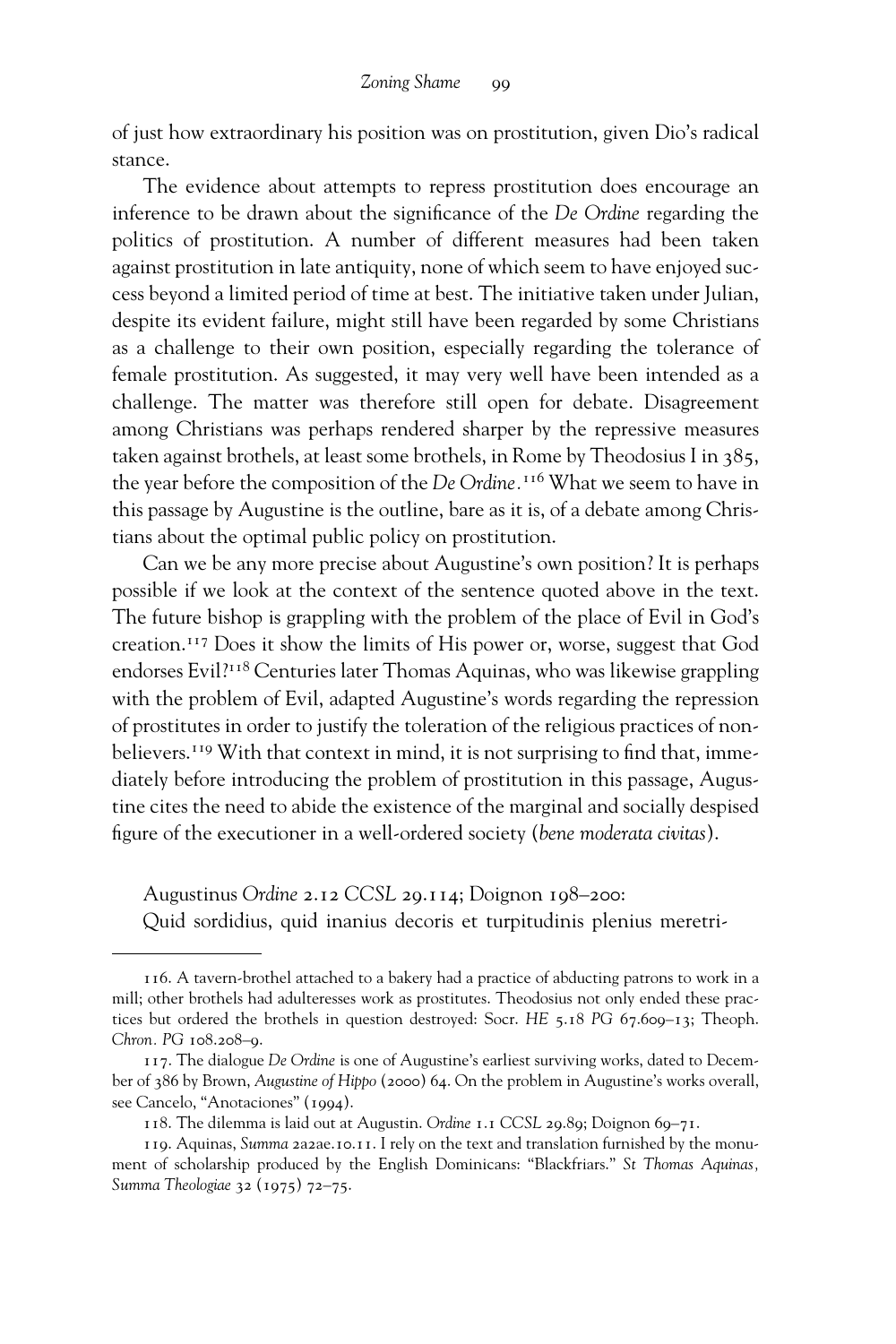of just how extraordinary his position was on prostitution, given Dio's radical stance.

The evidence about attempts to repress prostitution does encourage an inference to be drawn about the significance of the *De Ordine* regarding the politics of prostitution. A number of different measures had been taken against prostitution in late antiquity, none of which seem to have enjoyed success beyond a limited period of time at best. The initiative taken under Julian, despite its evident failure, might still have been regarded by some Christians as a challenge to their own position, especially regarding the tolerance of female prostitution. As suggested, it may very well have been intended as a challenge. The matter was therefore still open for debate. Disagreement among Christians was perhaps rendered sharper by the repressive measures taken against brothels, at least some brothels, in Rome by Theodosius I in 385, the year before the composition of the *De Ordine.*<sup>116</sup> What we seem to have in this passage by Augustine is the outline, bare as it is, of a debate among Christians about the optimal public policy on prostitution.

Can we be any more precise about Augustine's own position? It is perhaps possible if we look at the context of the sentence quoted above in the text. The future bishop is grappling with the problem of the place of Evil in God's creation.117 Does it show the limits of His power or, worse, suggest that God endorses Evil?118 Centuries later Thomas Aquinas, who was likewise grappling with the problem of Evil, adapted Augustine's words regarding the repression of prostitutes in order to justify the toleration of the religious practices of nonbelievers.<sup>119</sup> With that context in mind, it is not surprising to find that, immediately before introducing the problem of prostitution in this passage, Augustine cites the need to abide the existence of the marginal and socially despised figure of the executioner in a well-ordered society (*bene moderata civitas*).

Augustinus *Ordine* 2.12 *CCSL* 29.114; Doignon 198–200: Quid sordidius, quid inanius decoris et turpitudinis plenius meretri-

<sup>116.</sup> A tavern-brothel attached to a bakery had a practice of abducting patrons to work in a mill; other brothels had adulteresses work as prostitutes. Theodosius not only ended these practices but ordered the brothels in question destroyed: Socr. *HE* 5.18 *PG* 67.609–13; Theoph. *Chron. PG* 108.208–9.

<sup>117.</sup> The dialogue *De Ordine* is one of Augustine's earliest surviving works, dated to December of 386 by Brown, *Augustine of Hippo* (2000) 64. On the problem in Augustine's works overall, see Cancelo, "Anotaciones" (1994).

<sup>118.</sup> The dilemma is laid out at Augustin. *Ordine* 1.1 *CCSL* 29.89; Doignon 69–71.

<sup>119.</sup> Aquinas, *Summa* 2a2ae.10.11. I rely on the text and translation furnished by the monument of scholarship produced by the English Dominicans: "Blackfriars." *St Thomas Aquinas, Summa Theologiae* 32 (1975) 72–75.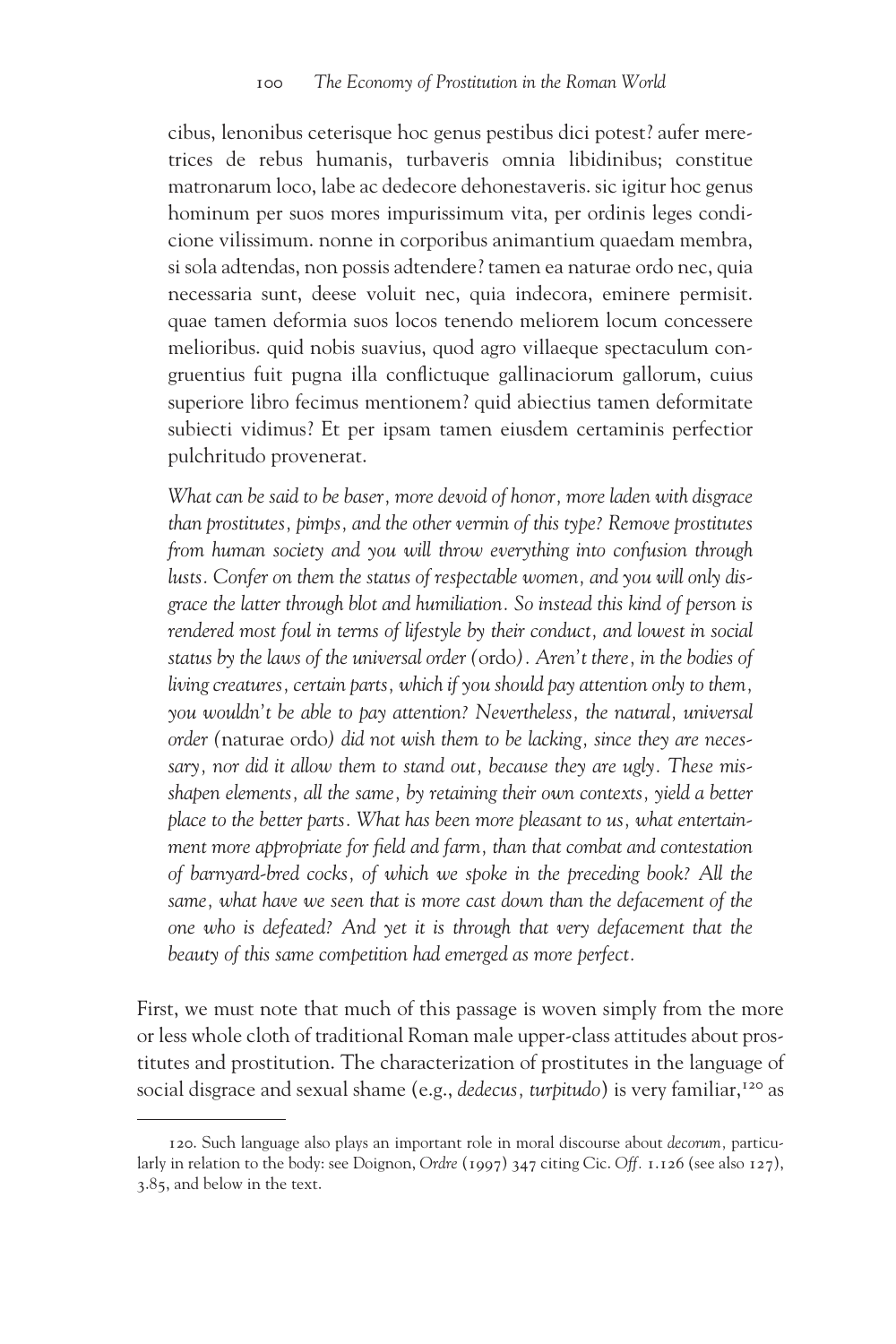cibus, lenonibus ceterisque hoc genus pestibus dici potest? aufer meretrices de rebus humanis, turbaveris omnia libidinibus; constitue matronarum loco, labe ac dedecore dehonestaveris. sic igitur hoc genus hominum per suos mores impurissimum vita, per ordinis leges condicione vilissimum. nonne in corporibus animantium quaedam membra, si sola adtendas, non possis adtendere? tamen ea naturae ordo nec, quia necessaria sunt, deese voluit nec, quia indecora, eminere permisit. quae tamen deformia suos locos tenendo meliorem locum concessere melioribus. quid nobis suavius, quod agro villaeque spectaculum congruentius fuit pugna illa conflictuque gallinaciorum gallorum, cuius superiore libro fecimus mentionem? quid abiectius tamen deformitate subiecti vidimus? Et per ipsam tamen eiusdem certaminis perfectior pulchritudo provenerat.

*What can be said to be baser, more devoid of honor, more laden with disgrace than prostitutes, pimps, and the other vermin of this type? Remove prostitutes from human society and you will throw everything into confusion through lusts. Confer on them the status of respectable women, and you will only disgrace the latter through blot and humiliation. So instead this kind of person is rendered most foul in terms of lifestyle by their conduct, and lowest in social status by the laws of the universal order (*ordo*). Aren't there, in the bodies of living creatures, certain parts, which if you should pay attention only to them, you wouldn't be able to pay attention? Nevertheless, the natural, universal order (*naturae ordo*) did not wish them to be lacking, since they are necessary, nor did it allow them to stand out, because they are ugly. These misshapen elements, all the same, by retaining their own contexts, yield a better place to the better parts. What has been more pleasant to us, what entertainment more appropriate for ‹eld and farm, than that combat and contestation of barnyard-bred cocks, of which we spoke in the preceding book? All the same, what have we seen that is more cast down than the defacement of the one who is defeated? And yet it is through that very defacement that the beauty of this same competition had emerged as more perfect.* 

First, we must note that much of this passage is woven simply from the more or less whole cloth of traditional Roman male upper-class attitudes about prostitutes and prostitution. The characterization of prostitutes in the language of social disgrace and sexual shame (e.g., *dedecus*, *turpitudo*) is very familiar,<sup>120</sup> as

<sup>120.</sup> Such language also plays an important role in moral discourse about *decorum,* particularly in relation to the body: see Doignon, *Ordre* (1997) 347 citing Cic. *Off.* 1.126 (see also 127), 3.85, and below in the text.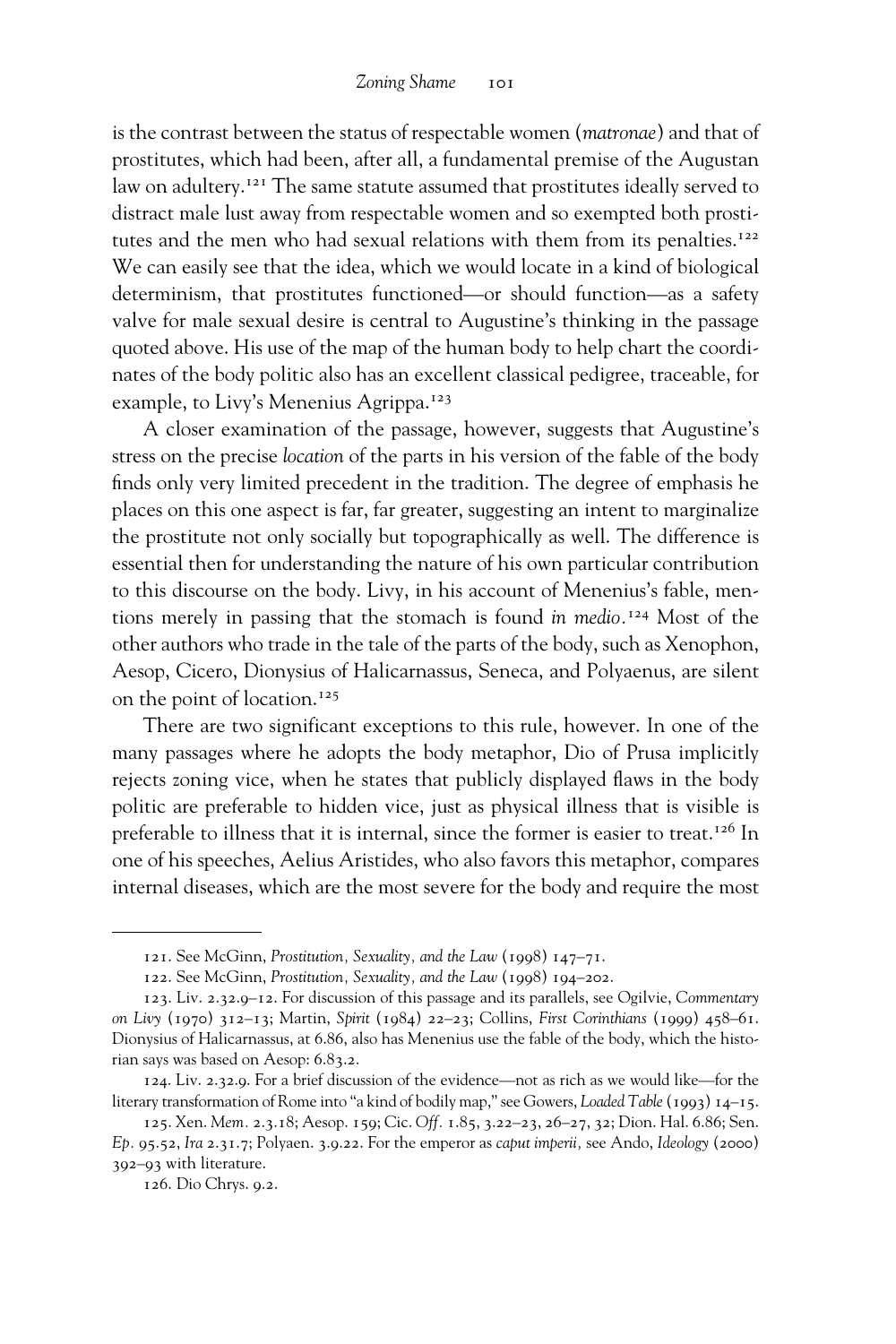is the contrast between the status of respectable women (*matronae*) and that of prostitutes, which had been, after all, a fundamental premise of the Augustan law on adultery.<sup>121</sup> The same statute assumed that prostitutes ideally served to distract male lust away from respectable women and so exempted both prostitutes and the men who had sexual relations with them from its penalties.<sup>122</sup> We can easily see that the idea, which we would locate in a kind of biological determinism, that prostitutes functioned—or should function—as a safety valve for male sexual desire is central to Augustine's thinking in the passage quoted above. His use of the map of the human body to help chart the coordinates of the body politic also has an excellent classical pedigree, traceable, for example, to Livy's Menenius Agrippa.<sup>123</sup>

A closer examination of the passage, however, suggests that Augustine's stress on the precise *location* of the parts in his version of the fable of the body finds only very limited precedent in the tradition. The degree of emphasis he places on this one aspect is far, far greater, suggesting an intent to marginalize the prostitute not only socially but topographically as well. The difference is essential then for understanding the nature of his own particular contribution to this discourse on the body. Livy, in his account of Menenius's fable, mentions merely in passing that the stomach is found *in medio.*<sup>124</sup> Most of the other authors who trade in the tale of the parts of the body, such as Xenophon, Aesop, Cicero, Dionysius of Halicarnassus, Seneca, and Polyaenus, are silent on the point of location.125

There are two significant exceptions to this rule, however. In one of the many passages where he adopts the body metaphor, Dio of Prusa implicitly rejects zoning vice, when he states that publicly displayed flaws in the body politic are preferable to hidden vice, just as physical illness that is visible is preferable to illness that it is internal, since the former is easier to treat.<sup>126</sup> In one of his speeches, Aelius Aristides, who also favors this metaphor, compares internal diseases, which are the most severe for the body and require the most

<sup>121.</sup> See McGinn, *Prostitution, Sexuality, and the Law* (1998) 147–71.

<sup>122.</sup> See McGinn, *Prostitution, Sexuality, and the Law* (1998) 194–202.

<sup>123.</sup> Liv. 2.32.9–12. For discussion of this passage and its parallels, see Ogilvie, *Commentary on Livy* (1970) 312–13; Martin, *Spirit* (1984) 22–23; Collins, *First Corinthians* (1999) 458–61. Dionysius of Halicarnassus, at 6.86, also has Menenius use the fable of the body, which the historian says was based on Aesop: 6.83.2.

<sup>124.</sup> Liv. 2.32.9. For a brief discussion of the evidence—not as rich as we would like—for the literary transformation of Rome into "a kind of bodily map," see Gowers, *Loaded Table*(1993) 14–15.

<sup>125.</sup> Xen. *Mem.* 2.3.18; Aesop. 159; Cic. *Off.* 1.85, 3.22–23, 26–27, 32; Dion. Hal. 6.86; Sen. *Ep.* 95.52, *Ira* 2.31.7; Polyaen. 3.9.22. For the emperor as *caput imperii,* see Ando, *Ideology* (2000) 392–93 with literature.

<sup>126.</sup> Dio Chrys. 9.2.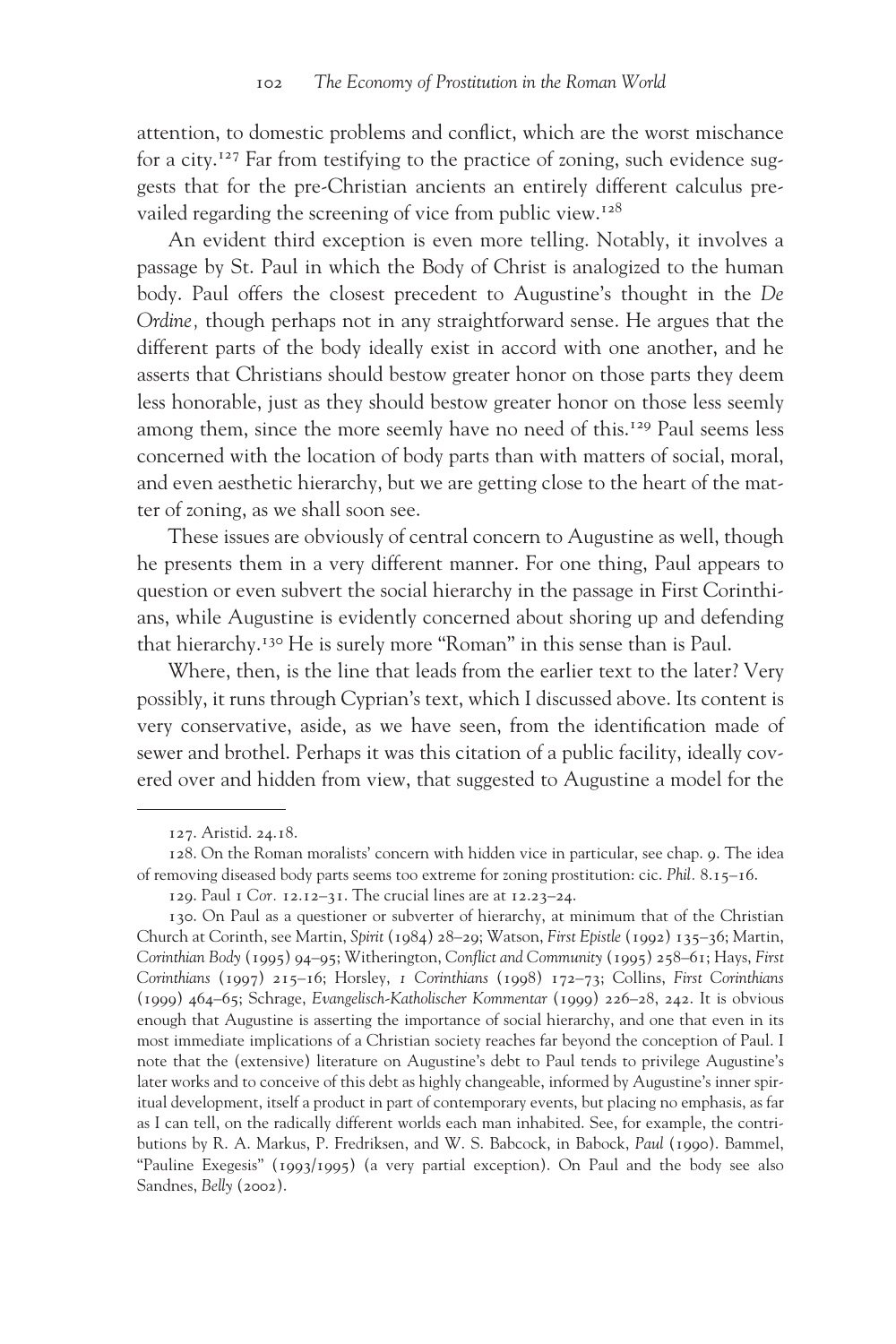attention, to domestic problems and conflict, which are the worst mischance for a city.<sup>127</sup> Far from testifying to the practice of zoning, such evidence suggests that for the pre-Christian ancients an entirely different calculus prevailed regarding the screening of vice from public view.<sup>128</sup>

An evident third exception is even more telling. Notably, it involves a passage by St. Paul in which the Body of Christ is analogized to the human body. Paul offers the closest precedent to Augustine's thought in the *De Ordine,* though perhaps not in any straightforward sense. He argues that the different parts of the body ideally exist in accord with one another, and he asserts that Christians should bestow greater honor on those parts they deem less honorable, just as they should bestow greater honor on those less seemly among them, since the more seemly have no need of this.<sup>129</sup> Paul seems less concerned with the location of body parts than with matters of social, moral, and even aesthetic hierarchy, but we are getting close to the heart of the matter of zoning, as we shall soon see.

These issues are obviously of central concern to Augustine as well, though he presents them in a very different manner. For one thing, Paul appears to question or even subvert the social hierarchy in the passage in First Corinthians, while Augustine is evidently concerned about shoring up and defending that hierarchy.130 He is surely more "Roman" in this sense than is Paul.

Where, then, is the line that leads from the earlier text to the later? Very possibly, it runs through Cyprian's text, which I discussed above. Its content is very conservative, aside, as we have seen, from the identification made of sewer and brothel. Perhaps it was this citation of a public facility, ideally covered over and hidden from view, that suggested to Augustine a model for the

130. On Paul as a questioner or subverter of hierarchy, at minimum that of the Christian Church at Corinth, see Martin, *Spirit* (1984) 28–29; Watson, *First Epistle* (1992) 135–36; Martin, *Corinthian Body* (1995) 94–95; Witherington, *Conflict and Community* (1995) 258–61; Hays, *First Corinthians* (1997) 215–16; Horsley, *1 Corinthians* (1998) 172–73; Collins, *First Corinthians* (1999) 464–65; Schrage, *Evangelisch-Katholischer Kommentar* (1999) 226–28, 242. It is obvious enough that Augustine is asserting the importance of social hierarchy, and one that even in its most immediate implications of a Christian society reaches far beyond the conception of Paul. I note that the (extensive) literature on Augustine's debt to Paul tends to privilege Augustine's later works and to conceive of this debt as highly changeable, informed by Augustine's inner spiritual development, itself a product in part of contemporary events, but placing no emphasis, as far as I can tell, on the radically different worlds each man inhabited. See, for example, the contributions by R. A. Markus, P. Fredriksen, and W. S. Babcock, in Babock, *Paul* (1990). Bammel, "Pauline Exegesis" (1993/1995) (a very partial exception). On Paul and the body see also Sandnes, *Belly* (2002).

<sup>127.</sup> Aristid. 24.18.

<sup>128.</sup> On the Roman moralists' concern with hidden vice in particular, see chap. 9. The idea of removing diseased body parts seems too extreme for zoning prostitution: cic. *Phil.* 8.15–16.

<sup>129.</sup> Paul 1 *Cor.* 12.12–31. The crucial lines are at 12.23–24.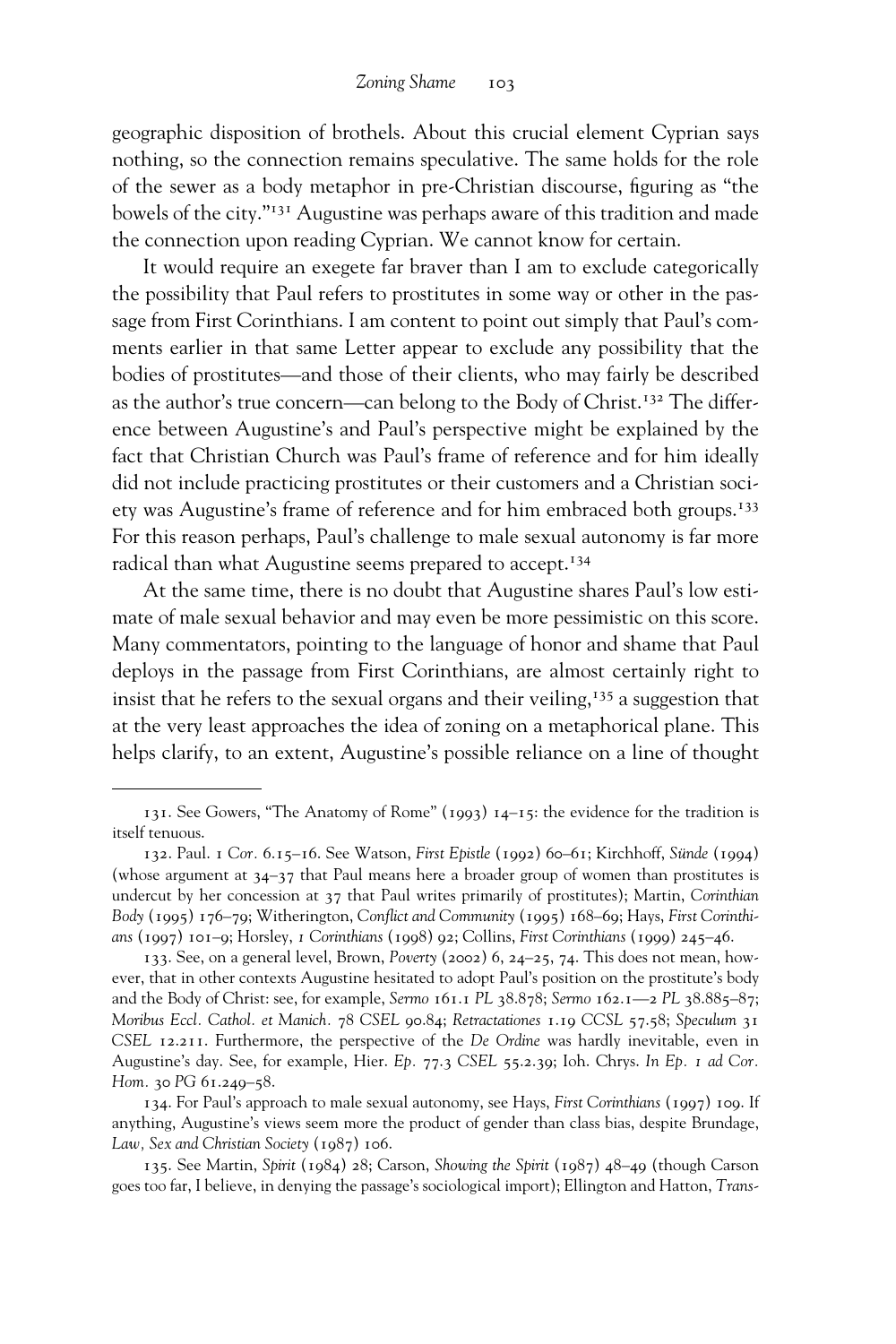geographic disposition of brothels. About this crucial element Cyprian says nothing, so the connection remains speculative. The same holds for the role of the sewer as a body metaphor in pre-Christian discourse, figuring as "the bowels of the city."131 Augustine was perhaps aware of this tradition and made the connection upon reading Cyprian. We cannot know for certain.

It would require an exegete far braver than I am to exclude categorically the possibility that Paul refers to prostitutes in some way or other in the passage from First Corinthians. I am content to point out simply that Paul's comments earlier in that same Letter appear to exclude any possibility that the bodies of prostitutes—and those of their clients, who may fairly be described as the author's true concern—can belong to the Body of Christ.132 The difference between Augustine's and Paul's perspective might be explained by the fact that Christian Church was Paul's frame of reference and for him ideally did not include practicing prostitutes or their customers and a Christian society was Augustine's frame of reference and for him embraced both groups.<sup>133</sup> For this reason perhaps, Paul's challenge to male sexual autonomy is far more radical than what Augustine seems prepared to accept.<sup>134</sup>

At the same time, there is no doubt that Augustine shares Paul's low estimate of male sexual behavior and may even be more pessimistic on this score. Many commentators, pointing to the language of honor and shame that Paul deploys in the passage from First Corinthians, are almost certainly right to insist that he refers to the sexual organs and their veiling,<sup>135</sup> a suggestion that at the very least approaches the idea of zoning on a metaphorical plane. This helps clarify, to an extent, Augustine's possible reliance on a line of thought

<sup>131.</sup> See Gowers, "The Anatomy of Rome" (1993) 14–15: the evidence for the tradition is itself tenuous.

<sup>132.</sup> Paul. 1 *Cor.* 6.15–16. See Watson, *First Epistle* (1992) 60–61; Kirchhoff, *Sünde* (1994) (whose argument at 34–37 that Paul means here a broader group of women than prostitutes is undercut by her concession at 37 that Paul writes primarily of prostitutes); Martin, *Corinthian* Body (1995) 176–79; Witherington, *Conflict and Community* (1995) 168–69; Hays, *First Corinthians* (1997) 101–9; Horsley, *1 Corinthians* (1998) 92; Collins, *First Corinthians* (1999) 245–46.

<sup>133.</sup> See, on a general level, Brown, *Poverty* (2002) 6, 24–25, 74. This does not mean, however, that in other contexts Augustine hesitated to adopt Paul's position on the prostitute's body and the Body of Christ: see, for example, *Sermo* 161.1 *PL* 38.878; *Sermo* 162.1—2 *PL* 38.885–87; *Moribus Eccl. Cathol. et Manich.* 78 *CSEL* 90.84; *Retractationes* 1.19 *CCSL* 57.58; *Speculum* 31 *CSEL* 12.211. Furthermore, the perspective of the *De Ordine* was hardly inevitable, even in Augustine's day. See, for example, Hier. *Ep.* 77.3 *CSEL* 55.2.39; Ioh. Chrys. *In Ep. 1 ad Cor. Hom.* 30 *PG* 61.249–58.

<sup>134.</sup> For Paul's approach to male sexual autonomy, see Hays, *First Corinthians* (1997) 109. If anything, Augustine's views seem more the product of gender than class bias, despite Brundage, Law, Sex and Christian Society (1987) 106.

<sup>135.</sup> See Martin, *Spirit* (1984) 28; Carson, *Showing the Spirit* (1987) 48–49 (though Carson goes too far, I believe, in denying the passage's sociological import); Ellington and Hatton, *Trans-*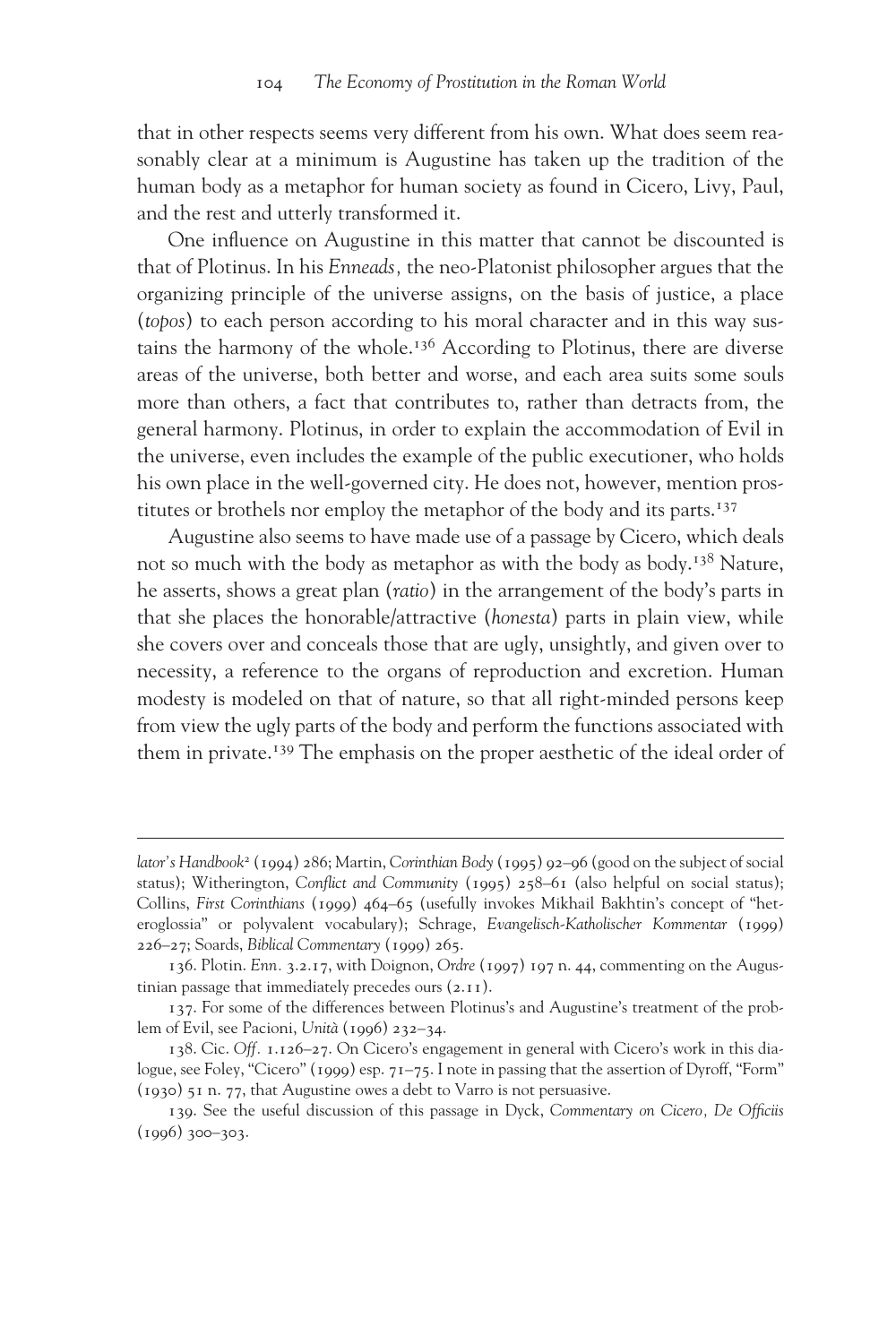that in other respects seems very different from his own. What does seem reasonably clear at a minimum is Augustine has taken up the tradition of the human body as a metaphor for human society as found in Cicero, Livy, Paul, and the rest and utterly transformed it.

One influence on Augustine in this matter that cannot be discounted is that of Plotinus. In his *Enneads,* the neo-Platonist philosopher argues that the organizing principle of the universe assigns, on the basis of justice, a place (*topos*) to each person according to his moral character and in this way sustains the harmony of the whole.<sup>136</sup> According to Plotinus, there are diverse areas of the universe, both better and worse, and each area suits some souls more than others, a fact that contributes to, rather than detracts from, the general harmony. Plotinus, in order to explain the accommodation of Evil in the universe, even includes the example of the public executioner, who holds his own place in the well-governed city. He does not, however, mention prostitutes or brothels nor employ the metaphor of the body and its parts.<sup>137</sup>

Augustine also seems to have made use of a passage by Cicero, which deals not so much with the body as metaphor as with the body as body.<sup>138</sup> Nature, he asserts, shows a great plan (*ratio*) in the arrangement of the body's parts in that she places the honorable/attractive (*honesta*) parts in plain view, while she covers over and conceals those that are ugly, unsightly, and given over to necessity, a reference to the organs of reproduction and excretion. Human modesty is modeled on that of nature, so that all right-minded persons keep from view the ugly parts of the body and perform the functions associated with them in private.139 The emphasis on the proper aesthetic of the ideal order of

*lator's Handbook*<sup>2</sup> (1994) 286; Martin, *Corinthian Body* (1995) 92–96 (good on the subject of social status); Witherington, *Conflict and Community* (1995) 258–61 (also helpful on social status); Collins, *First Corinthians* (1999) 464–65 (usefully invokes Mikhail Bakhtin's concept of "heteroglossia" or polyvalent vocabulary); Schrage, *Evangelisch-Katholischer Kommentar* (1999) 226–27; Soards, *Biblical Commentary* (1999) 265.

<sup>136.</sup> Plotin. *Enn.* 3.2.17, with Doignon, *Ordre* (1997) 197 n. 44, commenting on the Augustinian passage that immediately precedes ours (2.11).

<sup>137.</sup> For some of the differences between Plotinus's and Augustine's treatment of the problem of Evil, see Pacioni, *Unità* (1996) 232–34.

<sup>138.</sup> Cic. *Off.* 1.126–27. On Cicero's engagement in general with Cicero's work in this dialogue, see Foley, "Cicero" (1999) esp. 71–75. I note in passing that the assertion of Dyroff, "Form" (1930) 51 n. 77, that Augustine owes a debt to Varro is not persuasive.

<sup>139.</sup> See the useful discussion of this passage in Dyck, Commentary on Cicero, De Officiis  $(1996)$  300–303.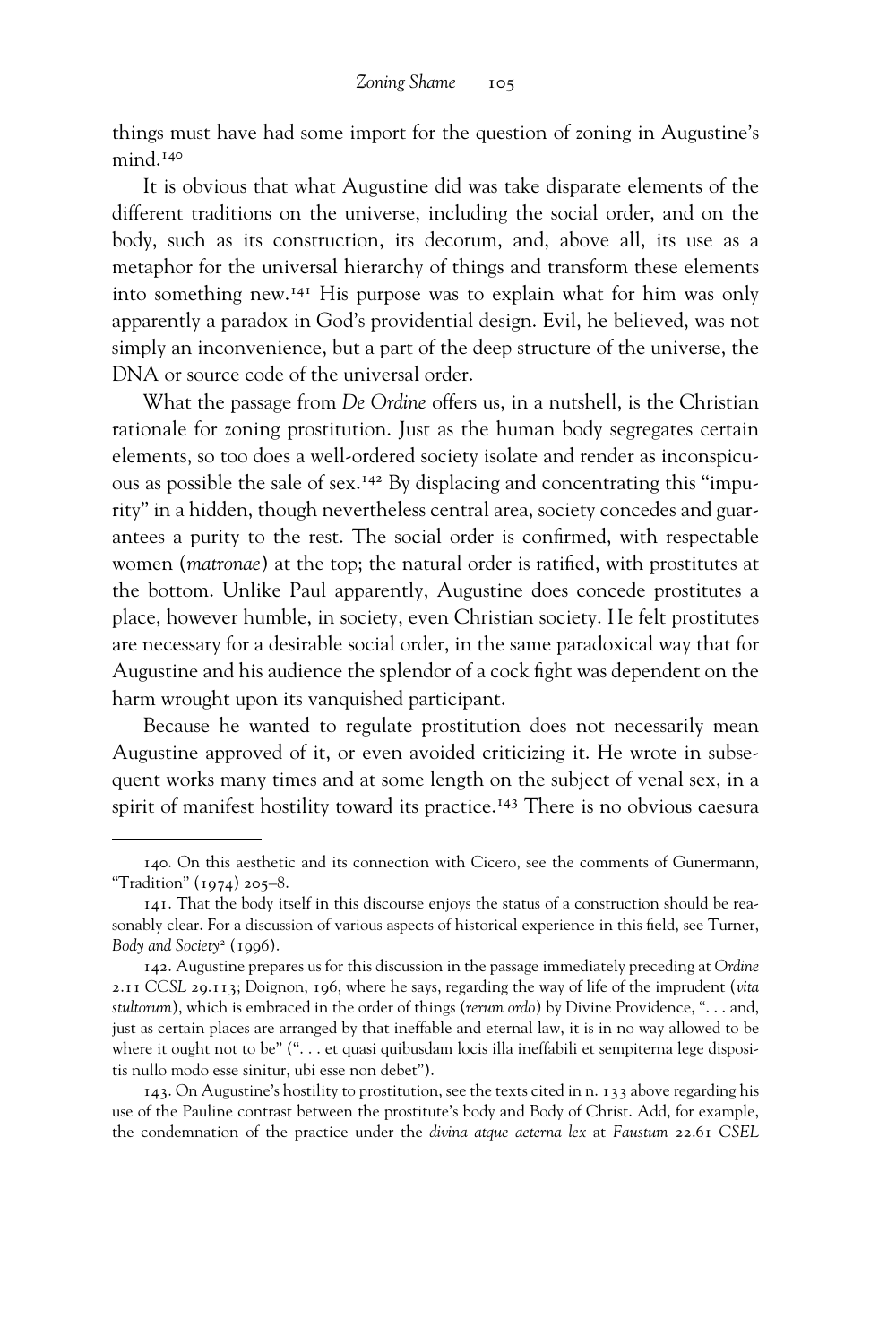things must have had some import for the question of zoning in Augustine's mind.<sup>140</sup>

It is obvious that what Augustine did was take disparate elements of the different traditions on the universe, including the social order, and on the body, such as its construction, its decorum, and, above all, its use as a metaphor for the universal hierarchy of things and transform these elements into something new.141 His purpose was to explain what for him was only apparently a paradox in God's providential design. Evil, he believed, was not simply an inconvenience, but a part of the deep structure of the universe, the DNA or source code of the universal order.

What the passage from *De Ordine* offers us, in a nutshell, is the Christian rationale for zoning prostitution. Just as the human body segregates certain elements, so too does a well-ordered society isolate and render as inconspicuous as possible the sale of sex.142 By displacing and concentrating this "impurity" in a hidden, though nevertheless central area, society concedes and guarantees a purity to the rest. The social order is confirmed, with respectable women (*matronae*) at the top; the natural order is ratified, with prostitutes at the bottom. Unlike Paul apparently, Augustine does concede prostitutes a place, however humble, in society, even Christian society. He felt prostitutes are necessary for a desirable social order, in the same paradoxical way that for Augustine and his audience the splendor of a cock fight was dependent on the harm wrought upon its vanquished participant.

Because he wanted to regulate prostitution does not necessarily mean Augustine approved of it, or even avoided criticizing it. He wrote in subsequent works many times and at some length on the subject of venal sex, in a spirit of manifest hostility toward its practice.<sup>143</sup> There is no obvious caesura

<sup>140.</sup> On this aesthetic and its connection with Cicero, see the comments of Gunermann, "Tradition" (1974) 205–8.

<sup>141.</sup> That the body itself in this discourse enjoys the status of a construction should be reasonably clear. For a discussion of various aspects of historical experience in this field, see Turner, Body and Society<sup>2</sup> (1996).

<sup>142.</sup> Augustine prepares us for this discussion in the passage immediately preceding at *Ordine* 2.11 *CCSL* 29.113; Doignon, 196, where he says, regarding the way of life of the imprudent (*vita stultorum*), which is embraced in the order of things (*rerum ordo*) by Divine Providence, ". . . and, just as certain places are arranged by that ineffable and eternal law, it is in no way allowed to be where it ought not to be" (". . . et quasi quibusdam locis illa ineffabili et sempiterna lege dispositis nullo modo esse sinitur, ubi esse non debet").

<sup>143.</sup> On Augustine's hostility to prostitution, see the texts cited in n. 133 above regarding his use of the Pauline contrast between the prostitute's body and Body of Christ. Add, for example, the condemnation of the practice under the *divina atque aeterna lex* at *Faustum* 22.61 *CSEL*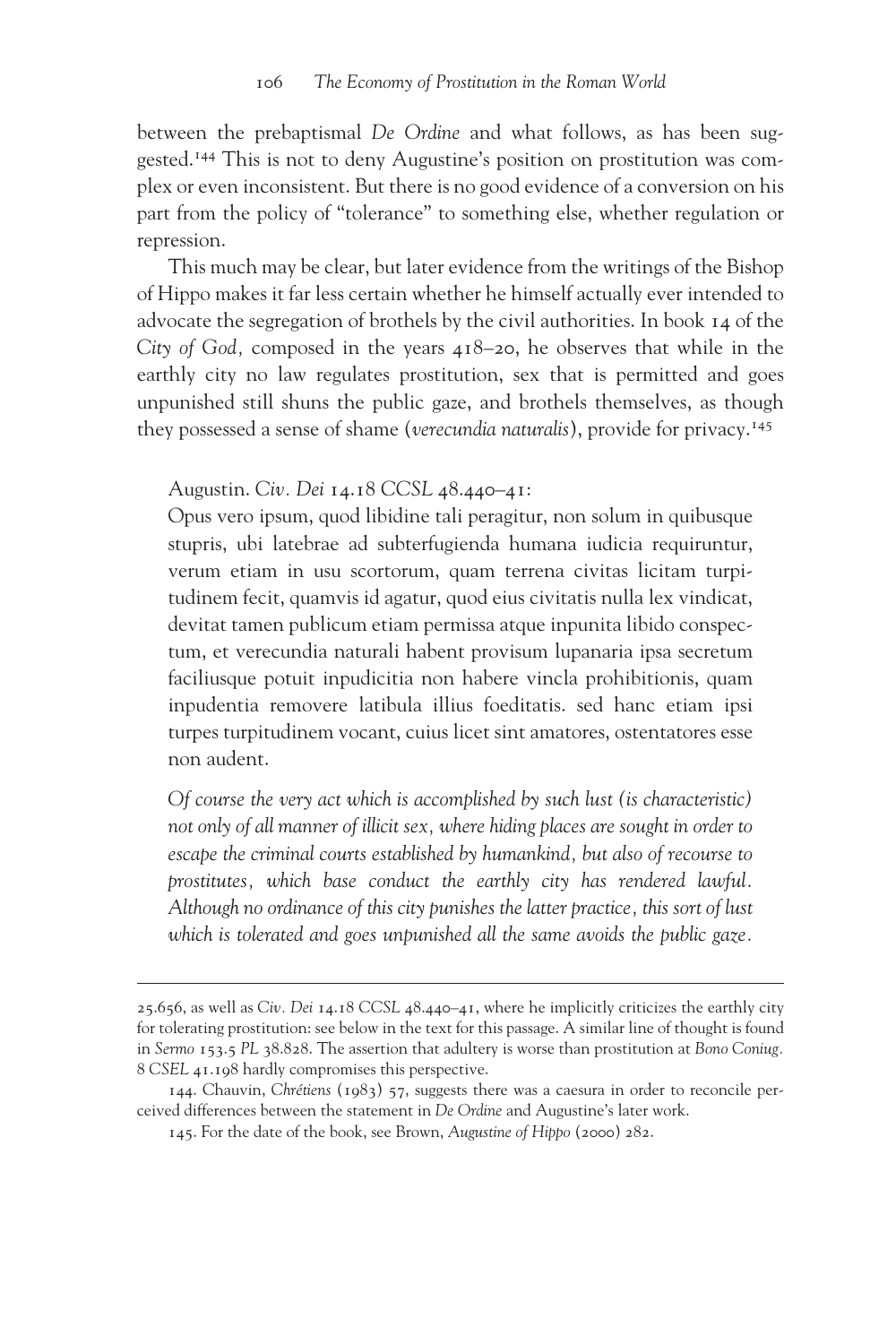between the prebaptismal *De Ordine* and what follows, as has been suggested.144 This is not to deny Augustine's position on prostitution was complex or even inconsistent. But there is no good evidence of a conversion on his part from the policy of "tolerance" to something else, whether regulation or repression.

This much may be clear, but later evidence from the writings of the Bishop of Hippo makes it far less certain whether he himself actually ever intended to advocate the segregation of brothels by the civil authorities. In book 14 of the *City of God,* composed in the years 418–20, he observes that while in the earthly city no law regulates prostitution, sex that is permitted and goes unpunished still shuns the public gaze, and brothels themselves, as though they possessed a sense of shame (*verecundia naturalis*), provide for privacy.145

Augustin. *Civ. Dei* 14.18 *CCSL* 48.440–41:

Opus vero ipsum, quod libidine tali peragitur, non solum in quibusque stupris, ubi latebrae ad subterfugienda humana iudicia requiruntur, verum etiam in usu scortorum, quam terrena civitas licitam turpitudinem fecit, quamvis id agatur, quod eius civitatis nulla lex vindicat, devitat tamen publicum etiam permissa atque inpunita libido conspectum, et verecundia naturali habent provisum lupanaria ipsa secretum faciliusque potuit inpudicitia non habere vincla prohibitionis, quam inpudentia removere latibula illius foeditatis. sed hanc etiam ipsi turpes turpitudinem vocant, cuius licet sint amatores, ostentatores esse non audent.

*Of course the very act which is accomplished by such lust (is characteristic) not only of all manner of illicit sex, where hiding places are sought in order to escape the criminal courts established by humankind, but also of recourse to prostitutes, which base conduct the earthly city has rendered lawful. Although no ordinance of this city punishes the latter practice, this sort of lust which is tolerated and goes unpunished all the same avoids the public gaze.*

145. For the date of the book, see Brown, *Augustine of Hippo* (2000) 282.

<sup>25.656,</sup> as well as *Civ. Dei* 14.18 *CCSL* 48.440–41, where he implicitly criticizes the earthly city for tolerating prostitution: see below in the text for this passage. A similar line of thought is found in *Sermo* 153.5 *PL* 38.828. The assertion that adultery is worse than prostitution at *Bono Coniug.* 8 *CSEL* 41.198 hardly compromises this perspective.

<sup>144.</sup> Chauvin, *Chrétiens* (1983) 57, suggests there was a caesura in order to reconcile perceived differences between the statement in *De Ordine* and Augustine's later work.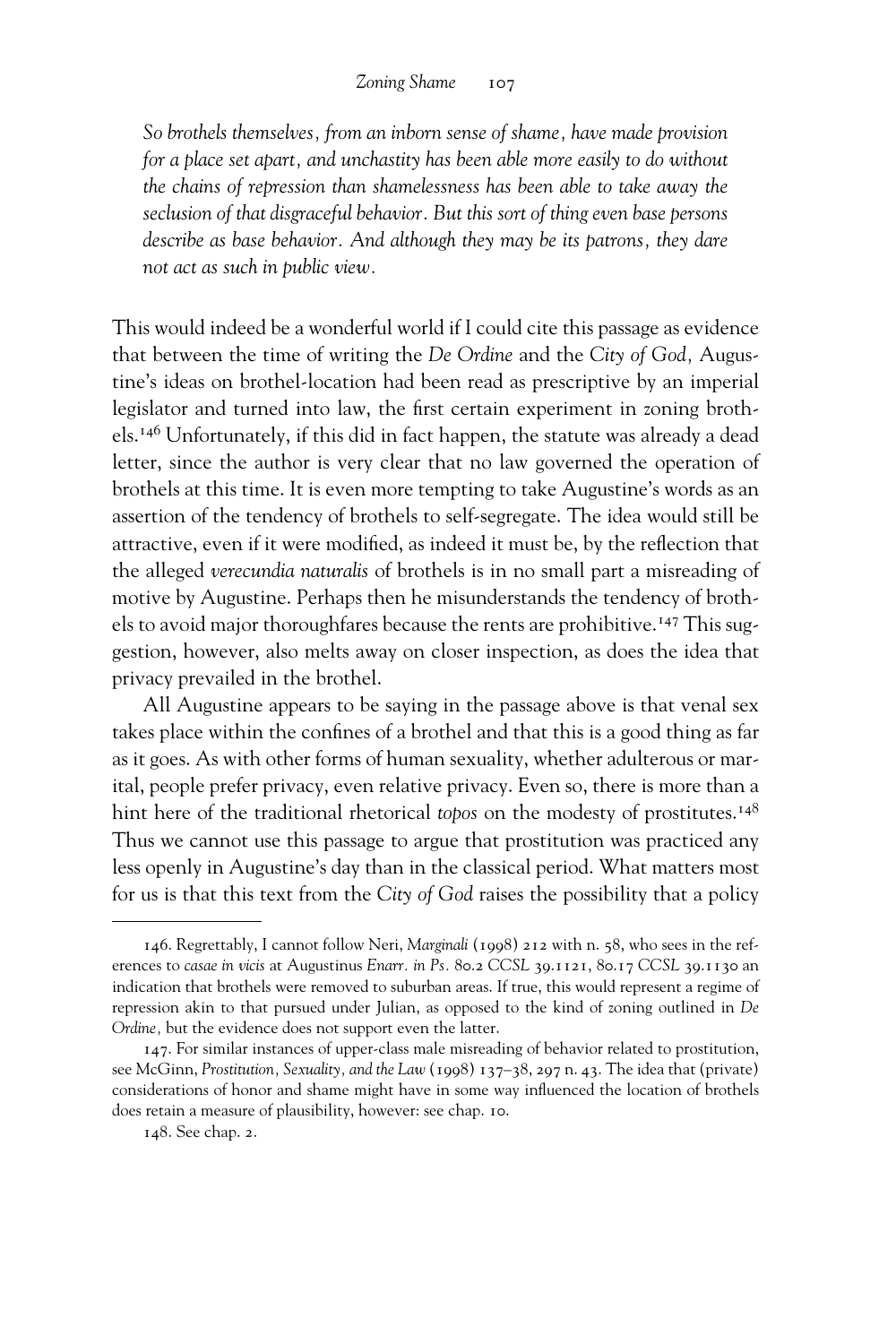*So brothels themselves, from an inborn sense of shame, have made provision for a place set apart, and unchastity has been able more easily to do without the chains of repression than shamelessness has been able to take away the seclusion of that disgraceful behavior. But this sort of thing even base persons describe as base behavior. And although they may be its patrons, they dare not act as such in public view.*

This would indeed be a wonderful world if I could cite this passage as evidence that between the time of writing the *De Ordine* and the *City of God,* Augustine's ideas on brothel-location had been read as prescriptive by an imperial legislator and turned into law, the first certain experiment in zoning brothels.146 Unfortunately, if this did in fact happen, the statute was already a dead letter, since the author is very clear that no law governed the operation of brothels at this time. It is even more tempting to take Augustine's words as an assertion of the tendency of brothels to self-segregate. The idea would still be attractive, even if it were modified, as indeed it must be, by the reflection that the alleged *verecundia naturalis* of brothels is in no small part a misreading of motive by Augustine. Perhaps then he misunderstands the tendency of brothels to avoid major thoroughfares because the rents are prohibitive.<sup>147</sup> This suggestion, however, also melts away on closer inspection, as does the idea that privacy prevailed in the brothel.

All Augustine appears to be saying in the passage above is that venal sex takes place within the confines of a brothel and that this is a good thing as far as it goes. As with other forms of human sexuality, whether adulterous or marital, people prefer privacy, even relative privacy. Even so, there is more than a hint here of the traditional rhetorical *topos* on the modesty of prostitutes.<sup>148</sup> Thus we cannot use this passage to argue that prostitution was practiced any less openly in Augustine's day than in the classical period. What matters most for us is that this text from the *City of God* raises the possibility that a policy

<sup>146.</sup> Regrettably, I cannot follow Neri, *Marginali* (1998) 212 with n. 58, who sees in the references to *casae in vicis* at Augustinus *Enarr. in Ps.* 80.2 *CCSL* 39.1121, 80.17 *CCSL* 39.1130 an indication that brothels were removed to suburban areas. If true, this would represent a regime of repression akin to that pursued under Julian, as opposed to the kind of zoning outlined in *De Ordine,* but the evidence does not support even the latter.

<sup>147.</sup> For similar instances of upper-class male misreading of behavior related to prostitution, see McGinn, *Prostitution, Sexuality, and the Law* (1998) 137–38, 297 n. 43. The idea that (private) considerations of honor and shame might have in some way influenced the location of brothels does retain a measure of plausibility, however: see chap. 10.

<sup>148.</sup> See chap. 2.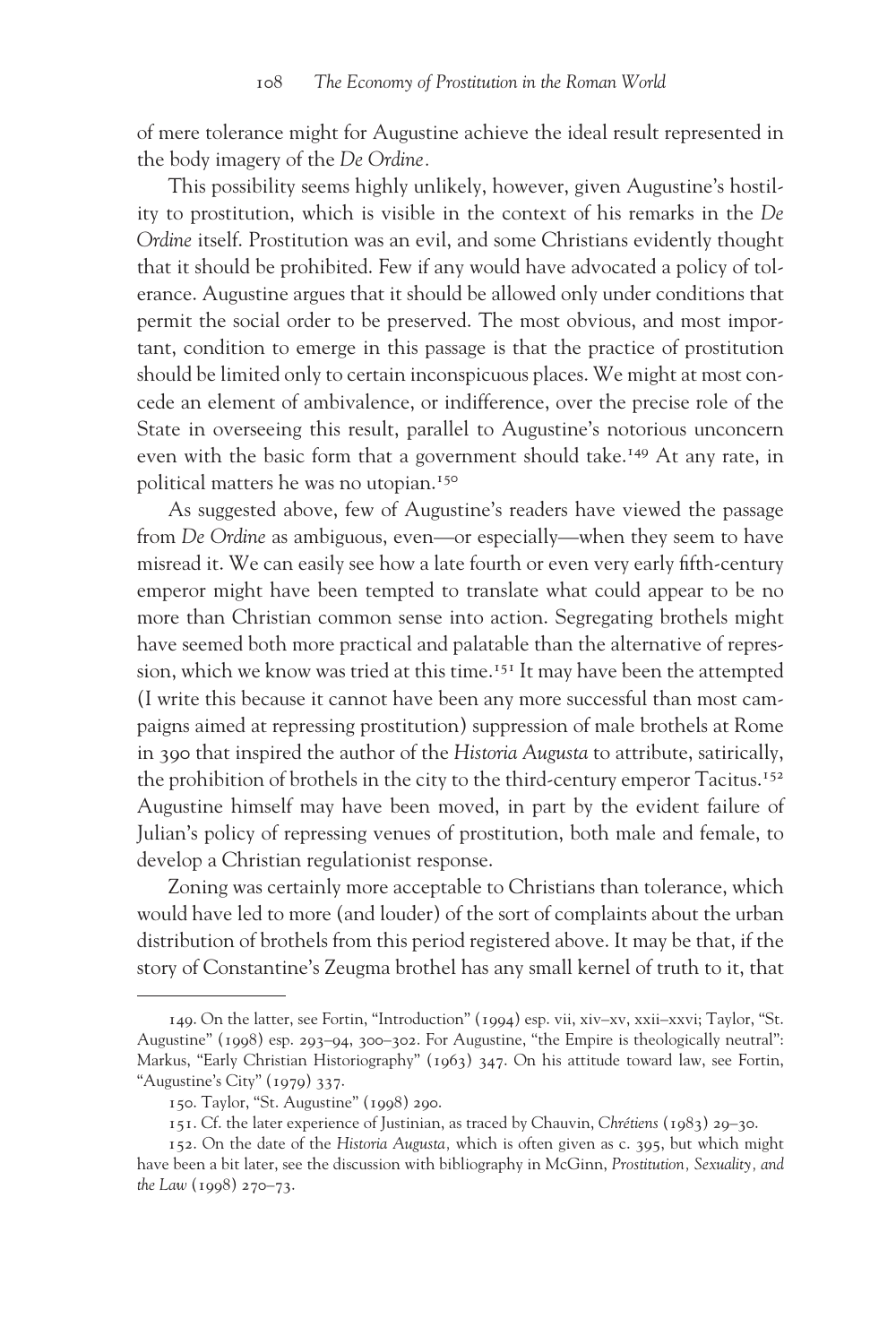of mere tolerance might for Augustine achieve the ideal result represented in the body imagery of the *De Ordine.*

This possibility seems highly unlikely, however, given Augustine's hostility to prostitution, which is visible in the context of his remarks in the *De Ordine* itself. Prostitution was an evil, and some Christians evidently thought that it should be prohibited. Few if any would have advocated a policy of tolerance. Augustine argues that it should be allowed only under conditions that permit the social order to be preserved. The most obvious, and most important, condition to emerge in this passage is that the practice of prostitution should be limited only to certain inconspicuous places. We might at most concede an element of ambivalence, or indifference, over the precise role of the State in overseeing this result, parallel to Augustine's notorious unconcern even with the basic form that a government should take.<sup>149</sup> At any rate, in political matters he was no utopian.<sup>150</sup>

As suggested above, few of Augustine's readers have viewed the passage from *De Ordine* as ambiguous, even—or especially—when they seem to have misread it. We can easily see how a late fourth or even very early fifth-century emperor might have been tempted to translate what could appear to be no more than Christian common sense into action. Segregating brothels might have seemed both more practical and palatable than the alternative of repression, which we know was tried at this time.<sup>151</sup> It may have been the attempted (I write this because it cannot have been any more successful than most campaigns aimed at repressing prostitution) suppression of male brothels at Rome in 390 that inspired the author of the *Historia Augusta* to attribute, satirically, the prohibition of brothels in the city to the third-century emperor Tacitus.<sup>152</sup> Augustine himself may have been moved, in part by the evident failure of Julian's policy of repressing venues of prostitution, both male and female, to develop a Christian regulationist response.

Zoning was certainly more acceptable to Christians than tolerance, which would have led to more (and louder) of the sort of complaints about the urban distribution of brothels from this period registered above. It may be that, if the story of Constantine's Zeugma brothel has any small kernel of truth to it, that

<sup>149.</sup> On the latter, see Fortin, "Introduction" (1994) esp. vii, xiv–xv, xxii–xxvi; Taylor, "St. Augustine" (1998) esp. 293–94, 300–302. For Augustine, "the Empire is theologically neutral": Markus, "Early Christian Historiography" (1963) 347. On his attitude toward law, see Fortin, "Augustine's City" (1979) 337.

<sup>150.</sup> Taylor, "St. Augustine" (1998) 290.

<sup>151.</sup> Cf. the later experience of Justinian, as traced by Chauvin, *Chrétiens* (1983) 29–30.

<sup>152.</sup> On the date of the *Historia Augusta,* which is often given as c. 395, but which might have been a bit later, see the discussion with bibliography in McGinn, *Prostitution, Sexuality, and the Law* (1998) 270–73.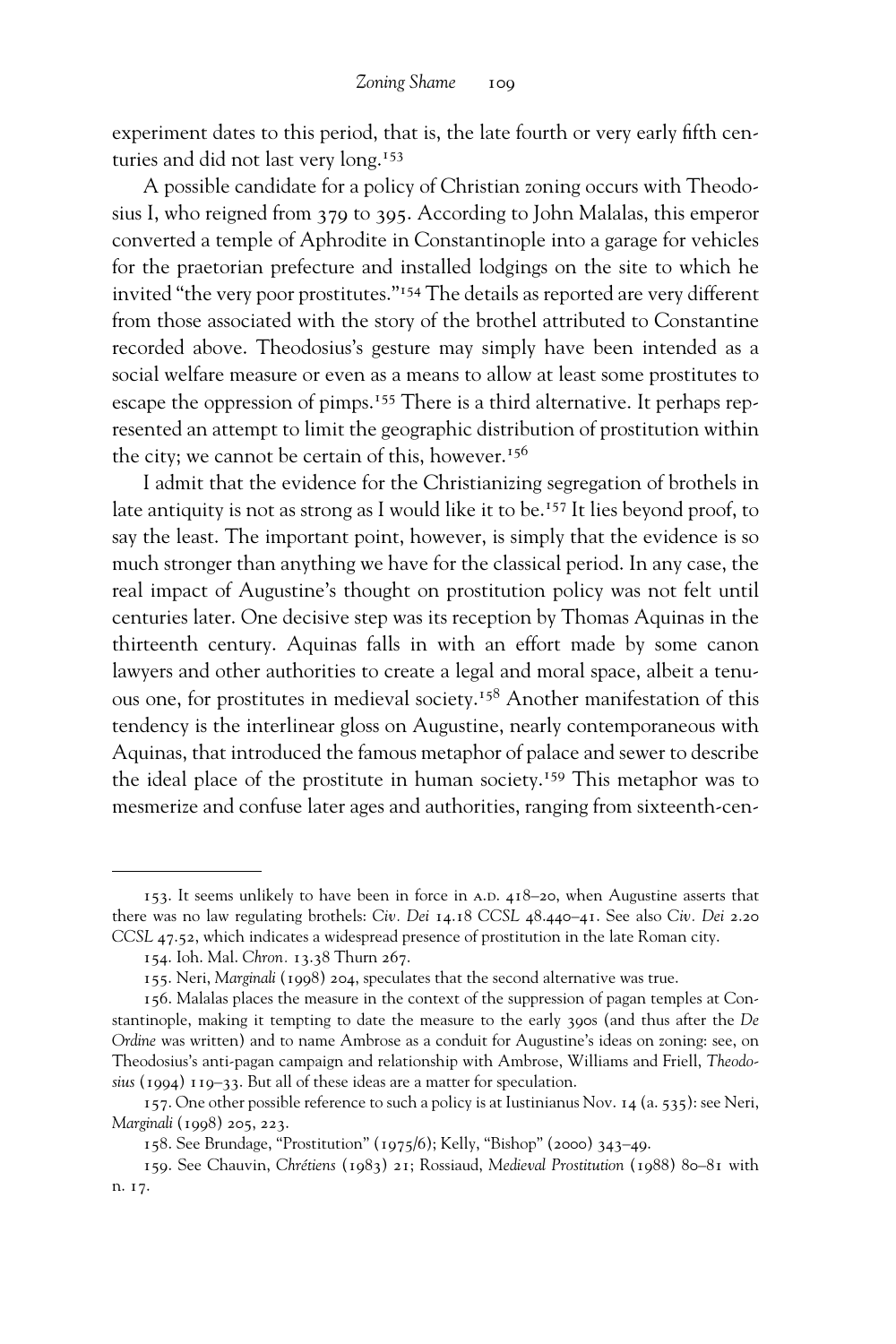experiment dates to this period, that is, the late fourth or very early fifth centuries and did not last very long.<sup>153</sup>

A possible candidate for a policy of Christian zoning occurs with Theodosius I, who reigned from 379 to 395. According to John Malalas, this emperor converted a temple of Aphrodite in Constantinople into a garage for vehicles for the praetorian prefecture and installed lodgings on the site to which he invited "the very poor prostitutes."154 The details as reported are very different from those associated with the story of the brothel attributed to Constantine recorded above. Theodosius's gesture may simply have been intended as a social welfare measure or even as a means to allow at least some prostitutes to escape the oppression of pimps.<sup>155</sup> There is a third alternative. It perhaps represented an attempt to limit the geographic distribution of prostitution within the city; we cannot be certain of this, however.<sup>156</sup>

I admit that the evidence for the Christianizing segregation of brothels in late antiquity is not as strong as I would like it to be.<sup>157</sup> It lies beyond proof, to say the least. The important point, however, is simply that the evidence is so much stronger than anything we have for the classical period. In any case, the real impact of Augustine's thought on prostitution policy was not felt until centuries later. One decisive step was its reception by Thomas Aquinas in the thirteenth century. Aquinas falls in with an effort made by some canon lawyers and other authorities to create a legal and moral space, albeit a tenuous one, for prostitutes in medieval society.<sup>158</sup> Another manifestation of this tendency is the interlinear gloss on Augustine, nearly contemporaneous with Aquinas, that introduced the famous metaphor of palace and sewer to describe the ideal place of the prostitute in human society.<sup>159</sup> This metaphor was to mesmerize and confuse later ages and authorities, ranging from sixteenth-cen-

<sup>153.</sup> It seems unlikely to have been in force in A.D.  $418-20$ , when Augustine asserts that there was no law regulating brothels: *Civ. Dei* 14.18 *CCSL* 48.440–41. See also *Civ. Dei* 2.20 *CCSL* 47.52, which indicates a widespread presence of prostitution in the late Roman city.

<sup>154.</sup> Ioh. Mal. *Chron.* 13.38 Thurn 267.

<sup>155.</sup> Neri, *Marginali* (1998) 204, speculates that the second alternative was true.

<sup>156.</sup> Malalas places the measure in the context of the suppression of pagan temples at Constantinople, making it tempting to date the measure to the early 390s (and thus after the *De Ordine* was written) and to name Ambrose as a conduit for Augustine's ideas on zoning: see, on Theodosius's anti-pagan campaign and relationship with Ambrose, Williams and Friell, *Theodosius* (1994) 119–33. But all of these ideas are a matter for speculation.

<sup>157.</sup> One other possible reference to such a policy is at Iustinianus Nov. 14 (a. 535): see Neri, *Marginali* (1998) 205, 223.

<sup>158.</sup> See Brundage, "Prostitution" (1975/6); Kelly, "Bishop" (2000) 343–49.

<sup>159.</sup> See Chauvin, *Chrétiens* (1983) 21; Rossiaud, *Medieval Prostitution* (1988) 80–81 with n. 17.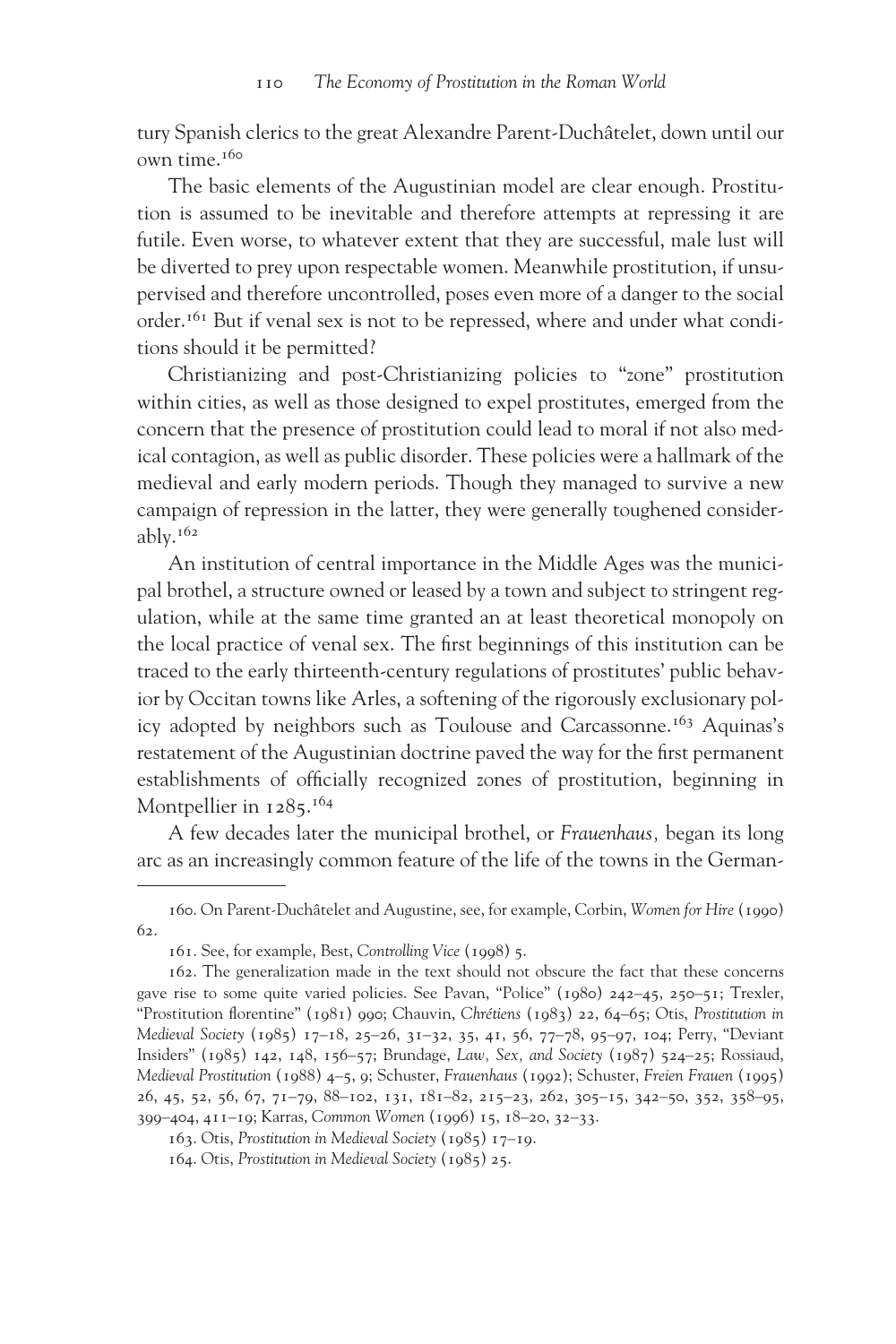tury Spanish clerics to the great Alexandre Parent-Duchâtelet, down until our own time.<sup>160</sup>

The basic elements of the Augustinian model are clear enough. Prostitution is assumed to be inevitable and therefore attempts at repressing it are futile. Even worse, to whatever extent that they are successful, male lust will be diverted to prey upon respectable women. Meanwhile prostitution, if unsupervised and therefore uncontrolled, poses even more of a danger to the social order.<sup>161</sup> But if venal sex is not to be repressed, where and under what conditions should it be permitted?

Christianizing and post-Christianizing policies to "zone" prostitution within cities, as well as those designed to expel prostitutes, emerged from the concern that the presence of prostitution could lead to moral if not also medical contagion, as well as public disorder. These policies were a hallmark of the medieval and early modern periods. Though they managed to survive a new campaign of repression in the latter, they were generally toughened considerably.<sup>162</sup>

An institution of central importance in the Middle Ages was the municipal brothel, a structure owned or leased by a town and subject to stringent regulation, while at the same time granted an at least theoretical monopoly on the local practice of venal sex. The first beginnings of this institution can be traced to the early thirteenth-century regulations of prostitutes' public behavior by Occitan towns like Arles, a softening of the rigorously exclusionary policy adopted by neighbors such as Toulouse and Carcassonne.<sup>163</sup> Aquinas's restatement of the Augustinian doctrine paved the way for the first permanent establishments of officially recognized zones of prostitution, beginning in Montpellier in 1285.<sup>164</sup>

A few decades later the municipal brothel, or *Frauenhaus,* began its long arc as an increasingly common feature of the life of the towns in the German-

163. Otis, *Prostitution in Medieval Society* (1985) 17–19.

<sup>160.</sup> On Parent-Duchâtelet and Augustine, see, for example, Corbin, *Women for Hire* (1990) 62.

<sup>161.</sup> See, for example, Best, *Controlling Vice* (1998) 5.

<sup>162.</sup> The generalization made in the text should not obscure the fact that these concerns gave rise to some quite varied policies. See Pavan, "Police" (1980) 242–45, 250–51; Trexler, "Prostitution florentine" (1981) 990; Chauvin, *Chrétiens* (1983) 22, 64–65; Otis, *Prostitution in Medieval Society* (1985) 17–18, 25–26, 31–32, 35, 41, 56, 77–78, 95–97, 104; Perry, "Deviant Insiders" (1985) 142, 148, 156–57; Brundage, *Law, Sex, and Society* (1987) 524–25; Rossiaud, *Medieval Prostitution* (1988) 4–5, 9; Schuster, *Frauenhaus* (1992); Schuster, *Freien Frauen* (1995) 26, 45, 52, 56, 67, 71–79, 88–102, 131, 181–82, 215–23, 262, 305–15, 342–50, 352, 358–95, 399–404, 411–19; Karras, *Common Women* (1996) 15, 18–20, 32–33.

<sup>164.</sup> Otis, *Prostitution in Medieval Society* (1985) 25.